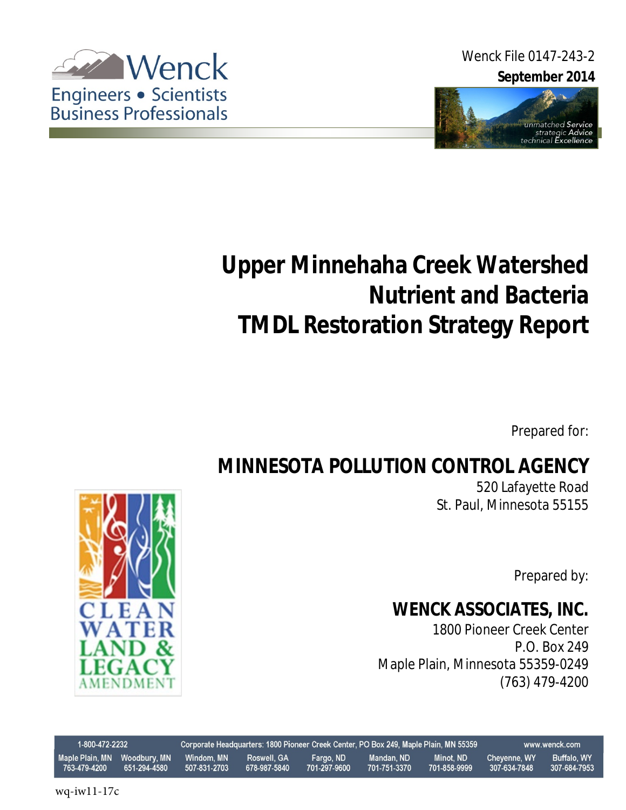

Wenck File 0147-243-2 **September 2014**



# **Upper Minnehaha Creek Watershed Nutrient and Bacteria TMDL Restoration Strategy Report**

Prepared for:

# **MINNESOTA POLLUTION CONTROL AGENCY**

520 Lafayette Road St. Paul, Minnesota 55155

Prepared by:

## **WENCK ASSOCIATES, INC.**

1800 Pioneer Creek Center P.O. Box 249 Maple Plain, Minnesota 55359-0249 (763) 479-4200



1-800-472-2232 Corporate Headquarters: 1800 Pioneer Creek Center, PO Box 249, Maple Plain, MN 55359 www.wenck.com Maple Plain, MN Woodbury, MN Roswell, GA Mandan, ND Cheyenne, WY Windom, MN Fargo, ND Minot, ND Buffalo, WY 763-479-4200 651-294-4580 507-831-2703 701-858-9999 678-987-5840 701-297-9600 701-751-3370 307-634-7848 307-684-7953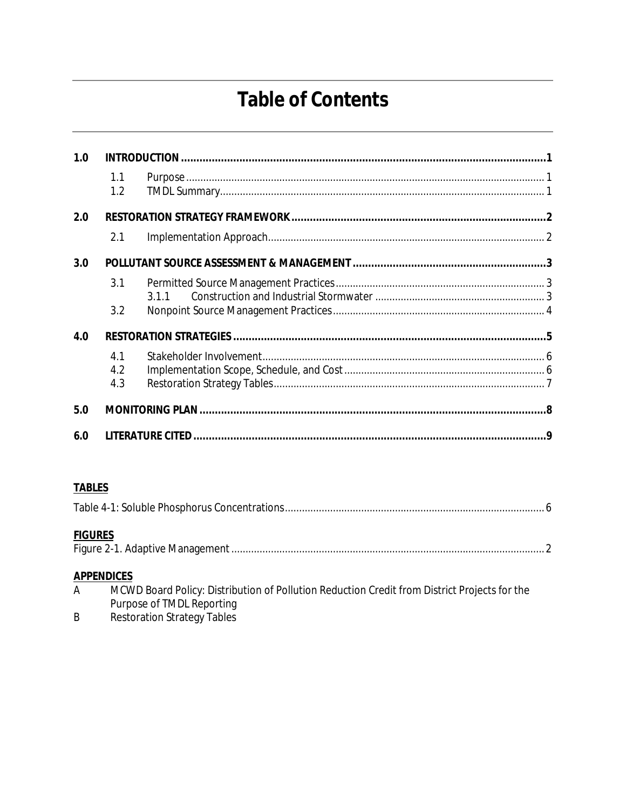# **Table of Contents**

| 1.0 |                   |     |  |
|-----|-------------------|-----|--|
|     | 1.1<br>1.2        |     |  |
| 2.0 |                   |     |  |
|     | 2.1               |     |  |
| 3.0 |                   |     |  |
|     | 3.1<br>3.2        | 311 |  |
| 4.0 |                   |     |  |
|     | 4.1<br>4.2<br>4.3 |     |  |
| 5.0 |                   |     |  |
| 6.0 |                   |     |  |

### **TABLES**

|--|

### **FIGURES**

| and the contract of the contract of the contract of the contract of the contract of the contract of the contract of the contract of the contract of the contract of the contract of the contract of the contract of the contra |  |  |  |
|--------------------------------------------------------------------------------------------------------------------------------------------------------------------------------------------------------------------------------|--|--|--|
|--------------------------------------------------------------------------------------------------------------------------------------------------------------------------------------------------------------------------------|--|--|--|

## **APPENDICES**

| A | MCWD Board Policy: Distribution of Pollution Reduction Credit from District Projects for the |
|---|----------------------------------------------------------------------------------------------|
|   | Purpose of TMDL Reporting                                                                    |
| B | Restoration Strategy Tables                                                                  |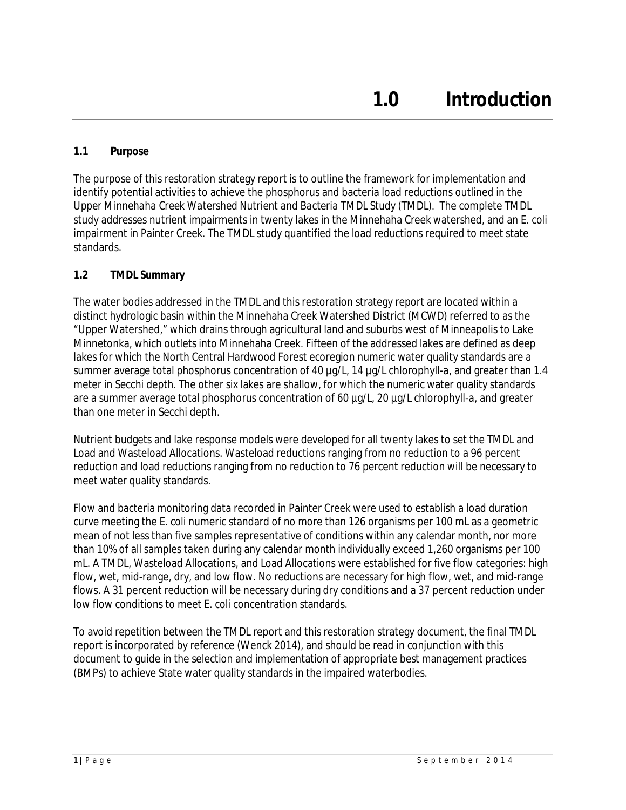#### **1.1 Purpose**

The purpose of this restoration strategy report is to outline the framework for implementation and identify potential activities to achieve the phosphorus and bacteria load reductions outlined in the *Upper Minnehaha Creek Watershed Nutrient and Bacteria TMDL Study* (TMDL). The complete TMDL study addresses nutrient impairments in twenty lakes in the Minnehaha Creek watershed, and an *E. coli* impairment in Painter Creek. The TMDL study quantified the load reductions required to meet state standards.

#### **1.2 TMDL Summary**

The water bodies addressed in the TMDL and this restoration strategy report are located within a distinct hydrologic basin within the Minnehaha Creek Watershed District (MCWD) referred to as the "Upper Watershed," which drains through agricultural land and suburbs west of Minneapolis to Lake Minnetonka, which outlets into Minnehaha Creek. Fifteen of the addressed lakes are defined as deep lakes for which the North Central Hardwood Forest ecoregion numeric water quality standards are a summer average total phosphorus concentration of 40 µg/L, 14 µg/L chlorophyll-a, and greater than 1.4 meter in Secchi depth. The other six lakes are shallow, for which the numeric water quality standards are a summer average total phosphorus concentration of 60 µg/L, 20 µg/L chlorophyll-*a*, and greater than one meter in Secchi depth.

Nutrient budgets and lake response models were developed for all twenty lakes to set the TMDL and Load and Wasteload Allocations. Wasteload reductions ranging from no reduction to a 96 percent reduction and load reductions ranging from no reduction to 76 percent reduction will be necessary to meet water quality standards.

Flow and bacteria monitoring data recorded in Painter Creek were used to establish a load duration curve meeting the *E. coli* numeric standard of no more than 126 organisms per 100 mL as a geometric mean of not less than five samples representative of conditions within any calendar month, nor more than 10% of all samples taken during any calendar month individually exceed 1,260 organisms per 100 mL. A TMDL, Wasteload Allocations, and Load Allocations were established for five flow categories: high flow, wet, mid-range, dry, and low flow. No reductions are necessary for high flow, wet, and mid-range flows. A 31 percent reduction will be necessary during dry conditions and a 37 percent reduction under low flow conditions to meet *E. coli* concentration standards.

To avoid repetition between the TMDL report and this restoration strategy document, the final TMDL report is incorporated by reference (Wenck 2014), and should be read in conjunction with this document to guide in the selection and implementation of appropriate best management practices (BMPs) to achieve State water quality standards in the impaired waterbodies.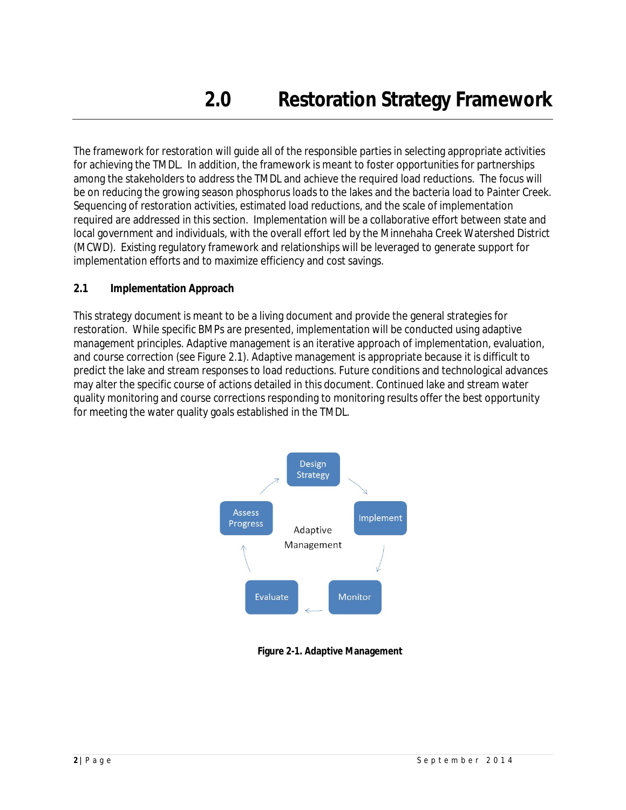The framework for restoration will guide all of the responsible parties in selecting appropriate activities for achieving the TMDL. In addition, the framework is meant to foster opportunities for partnerships among the stakeholders to address the TMDL and achieve the required load reductions. The focus will be on reducing the growing season phosphorus loads to the lakes and the bacteria load to Painter Creek. Sequencing of restoration activities, estimated load reductions, and the scale of implementation required are addressed in this section. Implementation will be a collaborative effort between state and local government and individuals, with the overall effort led by the Minnehaha Creek Watershed District (MCWD). Existing regulatory framework and relationships will be leveraged to generate support for implementation efforts and to maximize efficiency and cost savings.

#### **2.1 Implementation Approach**

This strategy document is meant to be a living document and provide the general strategies for restoration. While specific BMPs are presented, implementation will be conducted using adaptive management principles. Adaptive management is an iterative approach of implementation, evaluation, and course correction (see Figure 2.1). Adaptive management is appropriate because it is difficult to predict the lake and stream responses to load reductions. Future conditions and technological advances may alter the specific course of actions detailed in this document. Continued lake and stream water quality monitoring and course corrections responding to monitoring results offer the best opportunity for meeting the water quality goals established in the TMDL.



<span id="page-3-0"></span>**Figure 2-1. Adaptive Management**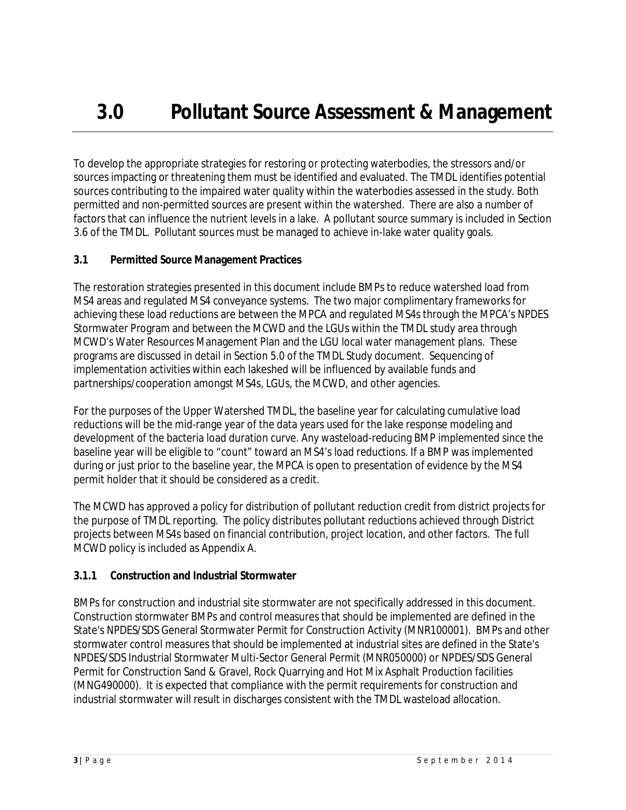To develop the appropriate strategies for restoring or protecting waterbodies, the stressors and/or sources impacting or threatening them must be identified and evaluated. The TMDL identifies potential sources contributing to the impaired water quality within the waterbodies assessed in the study. Both permitted and non-permitted sources are present within the watershed. There are also a number of factors that can influence the nutrient levels in a lake. A pollutant source summary is included in Section 3.6 of the TMDL. Pollutant sources must be managed to achieve in-lake water quality goals.

#### **3.1 Permitted Source Management Practices**

The restoration strategies presented in this document include BMPs to reduce watershed load from MS4 areas and regulated MS4 conveyance systems. The two major complimentary frameworks for achieving these load reductions are between the MPCA and regulated MS4s through the MPCA's NPDES Stormwater Program and between the MCWD and the LGUs within the TMDL study area through MCWD's Water Resources Management Plan and the LGU local water management plans. These programs are discussed in detail in Section 5.0 of the TMDL Study document. Sequencing of implementation activities within each lakeshed will be influenced by available funds and partnerships/cooperation amongst MS4s, LGUs, the MCWD, and other agencies.

For the purposes of the Upper Watershed TMDL, the baseline year for calculating cumulative load reductions will be the mid-range year of the data years used for the lake response modeling and development of the bacteria load duration curve. Any wasteload-reducing BMP implemented since the baseline year will be eligible to "count" toward an MS4's load reductions. If a BMP was implemented during or just prior to the baseline year, the MPCA is open to presentation of evidence by the MS4 permit holder that it should be considered as a credit.

The MCWD has approved a policy for distribution of pollutant reduction credit from district projects for the purpose of TMDL reporting. The policy distributes pollutant reductions achieved through District projects between MS4s based on financial contribution, project location, and other factors. The full MCWD policy is included as Appendix A.

#### **3.1.1 Construction and Industrial Stormwater**

BMPs for construction and industrial site stormwater are not specifically addressed in this document. Construction stormwater BMPs and control measures that should be implemented are defined in the State's NPDES/SDS General Stormwater Permit for Construction Activity (MNR100001). BMPs and other stormwater control measures that should be implemented at industrial sites are defined in the State's NPDES/SDS Industrial Stormwater Multi-Sector General Permit (MNR050000) or NPDES/SDS General Permit for Construction Sand & Gravel, Rock Quarrying and Hot Mix Asphalt Production facilities (MNG490000). It is expected that compliance with the permit requirements for construction and industrial stormwater will result in discharges consistent with the TMDL wasteload allocation.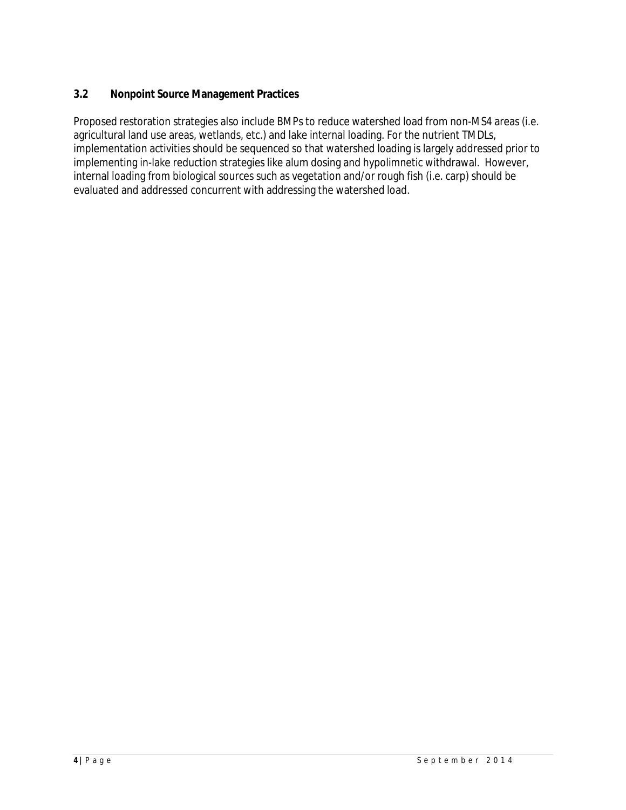#### **3.2 Nonpoint Source Management Practices**

Proposed restoration strategies also include BMPs to reduce watershed load from non-MS4 areas (i.e. agricultural land use areas, wetlands, etc.) and lake internal loading. For the nutrient TMDLs, implementation activities should be sequenced so that watershed loading is largely addressed prior to implementing in-lake reduction strategies like alum dosing and hypolimnetic withdrawal. However, internal loading from biological sources such as vegetation and/or rough fish (i.e. carp) should be evaluated and addressed concurrent with addressing the watershed load.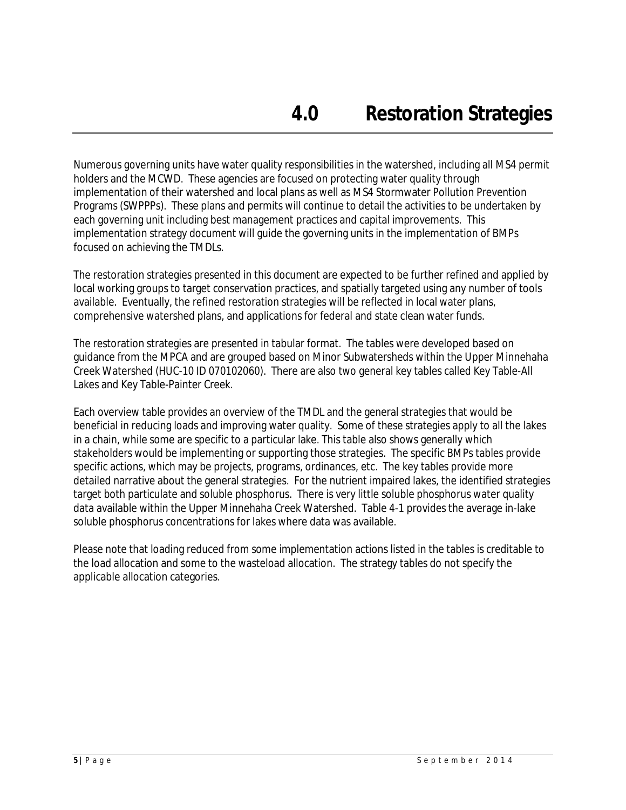Numerous governing units have water quality responsibilities in the watershed, including all MS4 permit holders and the MCWD. These agencies are focused on protecting water quality through implementation of their watershed and local plans as well as MS4 Stormwater Pollution Prevention Programs (SWPPPs). These plans and permits will continue to detail the activities to be undertaken by each governing unit including best management practices and capital improvements. This implementation strategy document will guide the governing units in the implementation of BMPs focused on achieving the TMDLs.

The restoration strategies presented in this document are expected to be further refined and applied by local working groups to target conservation practices, and spatially targeted using any number of tools available. Eventually, the refined restoration strategies will be reflected in local water plans, comprehensive watershed plans, and applications for federal and state clean water funds.

The restoration strategies are presented in tabular format. The tables were developed based on guidance from the MPCA and are grouped based on Minor Subwatersheds within the Upper Minnehaha Creek Watershed (HUC-10 ID 070102060). There are also two general key tables called Key Table-All Lakes and Key Table-Painter Creek.

Each overview table provides an overview of the TMDL and the general strategies that would be beneficial in reducing loads and improving water quality. Some of these strategies apply to all the lakes in a chain, while some are specific to a particular lake. This table also shows generally which stakeholders would be implementing or supporting those strategies. The specific BMPs tables provide specific actions, which may be projects, programs, ordinances, etc. The key tables provide more detailed narrative about the general strategies. For the nutrient impaired lakes, the identified strategies target both particulate and soluble phosphorus. There is very little soluble phosphorus water quality data available within the Upper Minnehaha Creek Watershed. Table 4-1 provides the average in-lake soluble phosphorus concentrations for lakes where data was available.

Please note that loading reduced from some implementation actions listed in the tables is creditable to the load allocation and some to the wasteload allocation. The strategy tables do not specify the applicable allocation categories.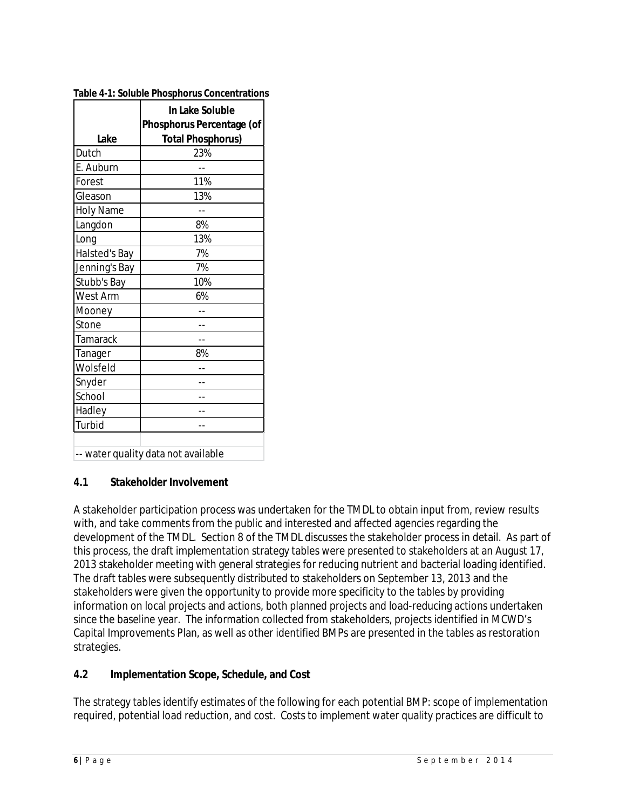<span id="page-7-0"></span>

| Table 4-1: Soluble Phosphorus Concentrations |  |
|----------------------------------------------|--|
|                                              |  |

|                  | In Lake Soluble<br>Phosphorus Percentage (of |
|------------------|----------------------------------------------|
| Lake             | <b>Total Phosphorus)</b>                     |
| Dutch            | 23%                                          |
| E. Auburn        |                                              |
| Forest           | 11%                                          |
| Gleason          | 13%                                          |
| <b>Holy Name</b> |                                              |
| Langdon          | 8%                                           |
| Long             | 13%                                          |
| Halsted's Bay    | 7%                                           |
| Jenning's Bay    | 7%                                           |
| Stubb's Bay      | 10%                                          |
| West Arm         | 6%                                           |
| Mooney           |                                              |
| Stone            |                                              |
| Tamarack         |                                              |
| Tanager          | 8%                                           |
| Wolsfeld         |                                              |
| Snyder           |                                              |
| School           |                                              |
| Hadley           |                                              |
| Turbid           |                                              |
|                  |                                              |
|                  | -- water quality data not available          |

### **4.1 Stakeholder Involvement**

A stakeholder participation process was undertaken for the TMDL to obtain input from, review results with, and take comments from the public and interested and affected agencies regarding the development of the TMDL. Section 8 of the TMDL discusses the stakeholder process in detail. As part of this process, the draft implementation strategy tables were presented to stakeholders at an August 17, 2013 stakeholder meeting with general strategies for reducing nutrient and bacterial loading identified. The draft tables were subsequently distributed to stakeholders on September 13, 2013 and the stakeholders were given the opportunity to provide more specificity to the tables by providing information on local projects and actions, both planned projects and load-reducing actions undertaken since the baseline year. The information collected from stakeholders, projects identified in MCWD's Capital Improvements Plan, as well as other identified BMPs are presented in the tables as restoration strategies.

### **4.2 Implementation Scope, Schedule, and Cost**

The strategy tables identify estimates of the following for each potential BMP: scope of implementation required, potential load reduction, and cost. Costs to implement water quality practices are difficult to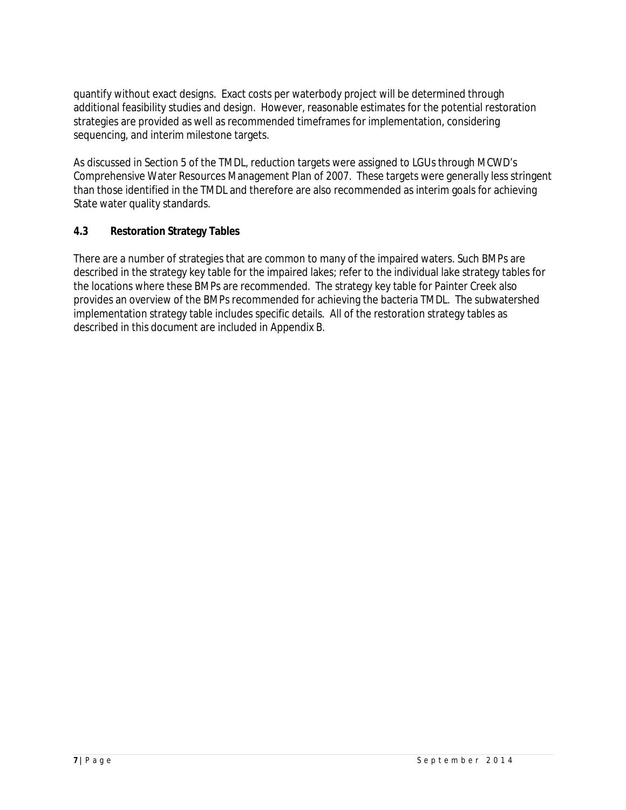quantify without exact designs. Exact costs per waterbody project will be determined through additional feasibility studies and design. However, reasonable estimates for the potential restoration strategies are provided as well as recommended timeframes for implementation, considering sequencing, and interim milestone targets.

As discussed in Section 5 of the TMDL, reduction targets were assigned to LGUs through MCWD's Comprehensive Water Resources Management Plan of 2007. These targets were generally less stringent than those identified in the TMDL and therefore are also recommended as interim goals for achieving State water quality standards.

#### **4.3 Restoration Strategy Tables**

There are a number of strategies that are common to many of the impaired waters. Such BMPs are described in the strategy key table for the impaired lakes; refer to the individual lake strategy tables for the locations where these BMPs are recommended. The strategy key table for Painter Creek also provides an overview of the BMPs recommended for achieving the bacteria TMDL. The subwatershed implementation strategy table includes specific details. All of the restoration strategy tables as described in this document are included in Appendix B.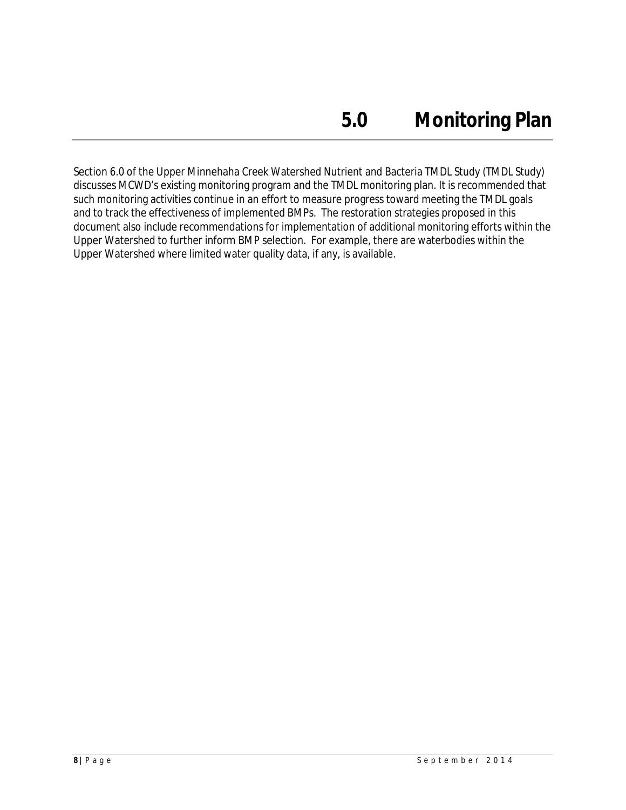Section 6.0 of the Upper Minnehaha Creek Watershed Nutrient and Bacteria TMDL Study (TMDL Study) discusses MCWD's existing monitoring program and the TMDL monitoring plan. It is recommended that such monitoring activities continue in an effort to measure progress toward meeting the TMDL goals and to track the effectiveness of implemented BMPs. The restoration strategies proposed in this document also include recommendations for implementation of additional monitoring efforts within the Upper Watershed to further inform BMP selection. For example, there are waterbodies within the Upper Watershed where limited water quality data, if any, is available.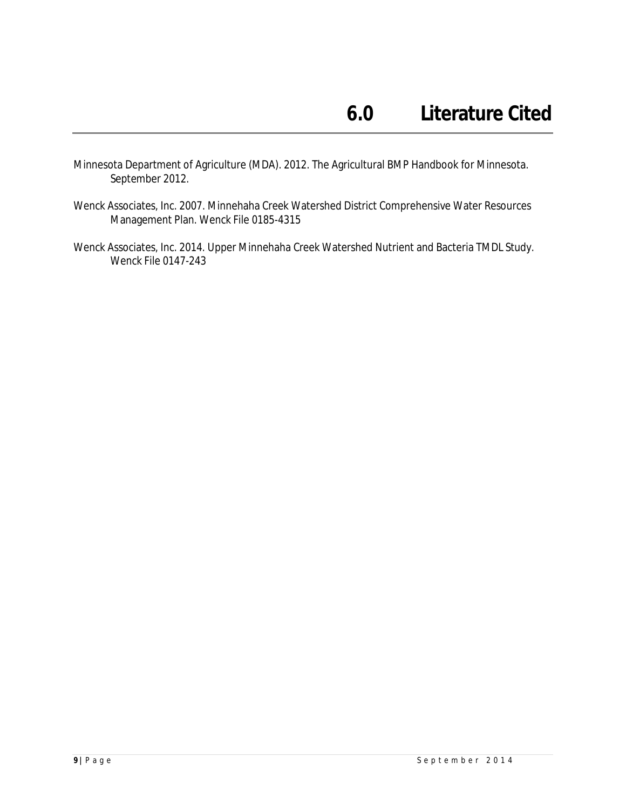- Minnesota Department of Agriculture (MDA). 2012. The Agricultural BMP Handbook for Minnesota. September 2012.
- Wenck Associates, Inc. 2007. Minnehaha Creek Watershed District Comprehensive Water Resources Management Plan. Wenck File 0185-4315
- Wenck Associates, Inc. 2014. Upper Minnehaha Creek Watershed Nutrient and Bacteria TMDL Study. Wenck File 0147-243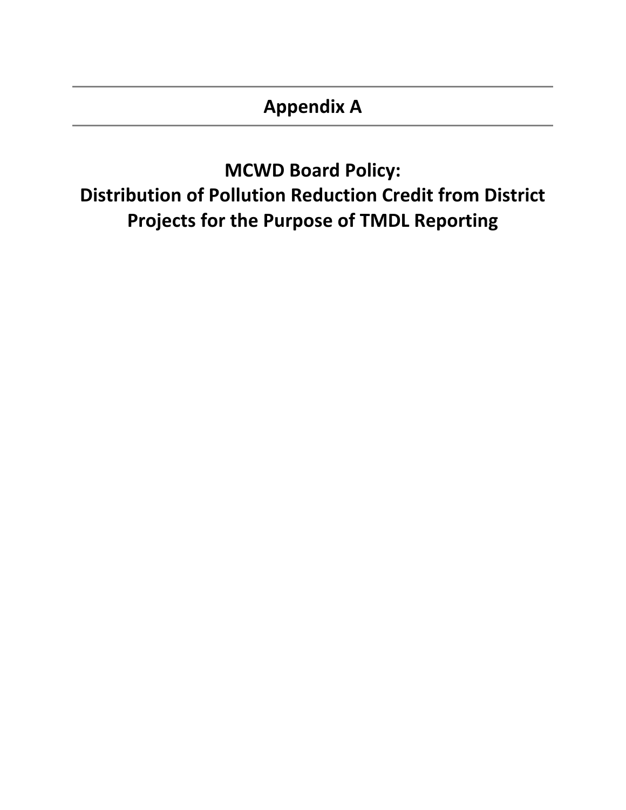## **Appendix A**

**MCWD Board Policy: Distribution of Pollution Reduction Credit from District Projects for the Purpose of TMDL Reporting**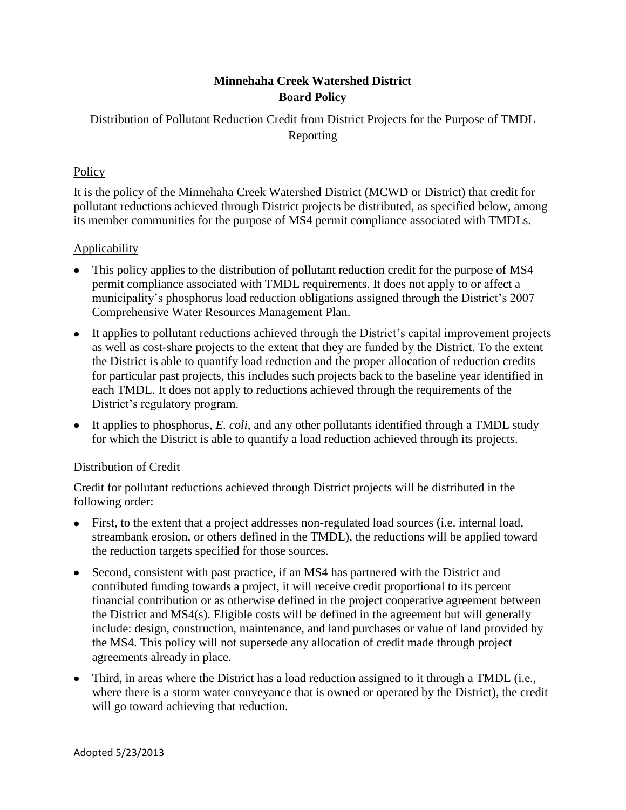### **Minnehaha Creek Watershed District Board Policy**

#### Distribution of Pollutant Reduction Credit from District Projects for the Purpose of TMDL Reporting

#### **Policy**

It is the policy of the Minnehaha Creek Watershed District (MCWD or District) that credit for pollutant reductions achieved through District projects be distributed, as specified below, among its member communities for the purpose of MS4 permit compliance associated with TMDLs.

#### Applicability

- This policy applies to the distribution of pollutant reduction credit for the purpose of MS4 permit compliance associated with TMDL requirements. It does not apply to or affect a municipality's phosphorus load reduction obligations assigned through the District's 2007 Comprehensive Water Resources Management Plan.
- It applies to pollutant reductions achieved through the District's capital improvement projects as well as cost-share projects to the extent that they are funded by the District. To the extent the District is able to quantify load reduction and the proper allocation of reduction credits for particular past projects, this includes such projects back to the baseline year identified in each TMDL. It does not apply to reductions achieved through the requirements of the District's regulatory program.
- It applies to phosphorus, *E. coli*, and any other pollutants identified through a TMDL study for which the District is able to quantify a load reduction achieved through its projects.

#### Distribution of Credit

Credit for pollutant reductions achieved through District projects will be distributed in the following order:

- First, to the extent that a project addresses non-regulated load sources (i.e. internal load, streambank erosion, or others defined in the TMDL), the reductions will be applied toward the reduction targets specified for those sources.
- Second, consistent with past practice, if an MS4 has partnered with the District and contributed funding towards a project, it will receive credit proportional to its percent financial contribution or as otherwise defined in the project cooperative agreement between the District and MS4(s). Eligible costs will be defined in the agreement but will generally include: design, construction, maintenance, and land purchases or value of land provided by the MS4. This policy will not supersede any allocation of credit made through project agreements already in place.
- Third, in areas where the District has a load reduction assigned to it through a TMDL (i.e., where there is a storm water conveyance that is owned or operated by the District), the credit will go toward achieving that reduction.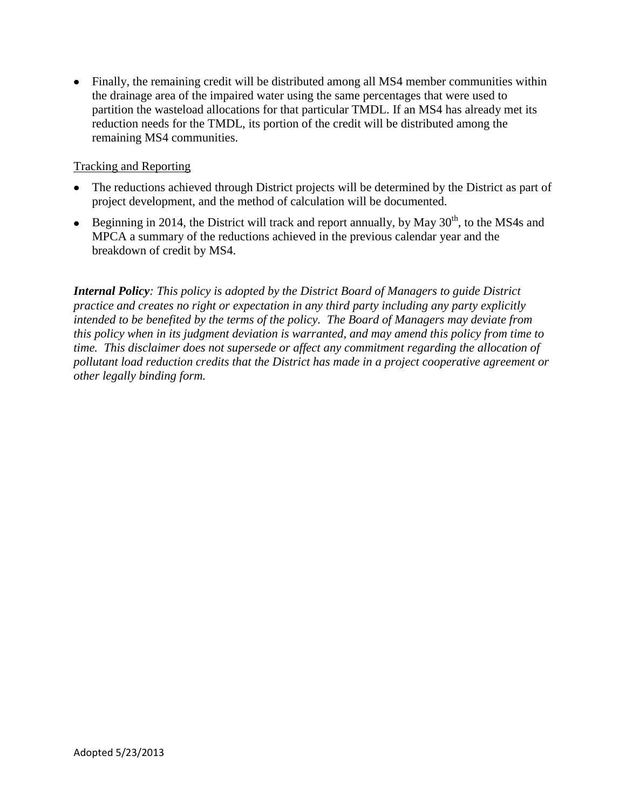Finally, the remaining credit will be distributed among all MS4 member communities within the drainage area of the impaired water using the same percentages that were used to partition the wasteload allocations for that particular TMDL. If an MS4 has already met its reduction needs for the TMDL, its portion of the credit will be distributed among the remaining MS4 communities.

#### Tracking and Reporting

- The reductions achieved through District projects will be determined by the District as part of project development, and the method of calculation will be documented.
- Beginning in 2014, the District will track and report annually, by May  $30<sup>th</sup>$ , to the MS4s and MPCA a summary of the reductions achieved in the previous calendar year and the breakdown of credit by MS4.

*Internal Policy: This policy is adopted by the District Board of Managers to guide District practice and creates no right or expectation in any third party including any party explicitly intended to be benefited by the terms of the policy. The Board of Managers may deviate from this policy when in its judgment deviation is warranted, and may amend this policy from time to time. This disclaimer does not supersede or affect any commitment regarding the allocation of pollutant load reduction credits that the District has made in a project cooperative agreement or other legally binding form.*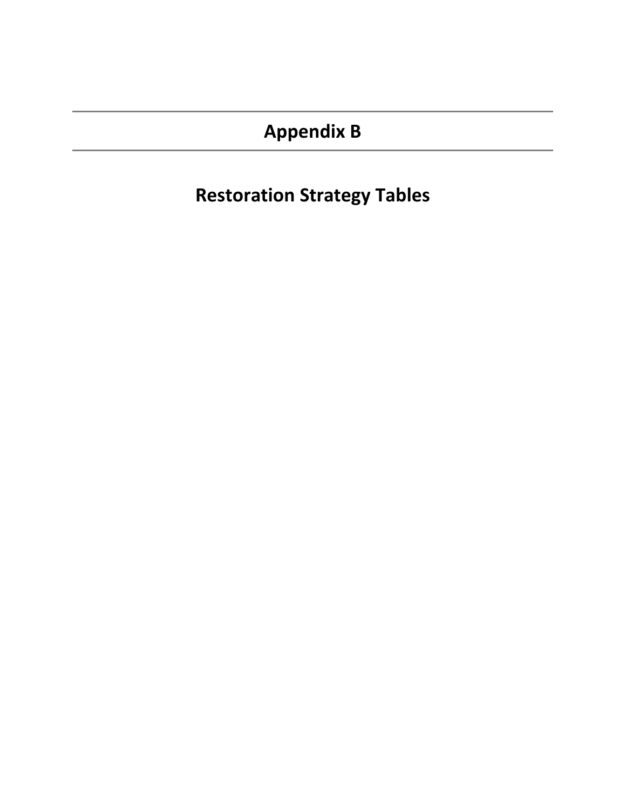## **Appendix B**

# **Restoration Strategy Tables**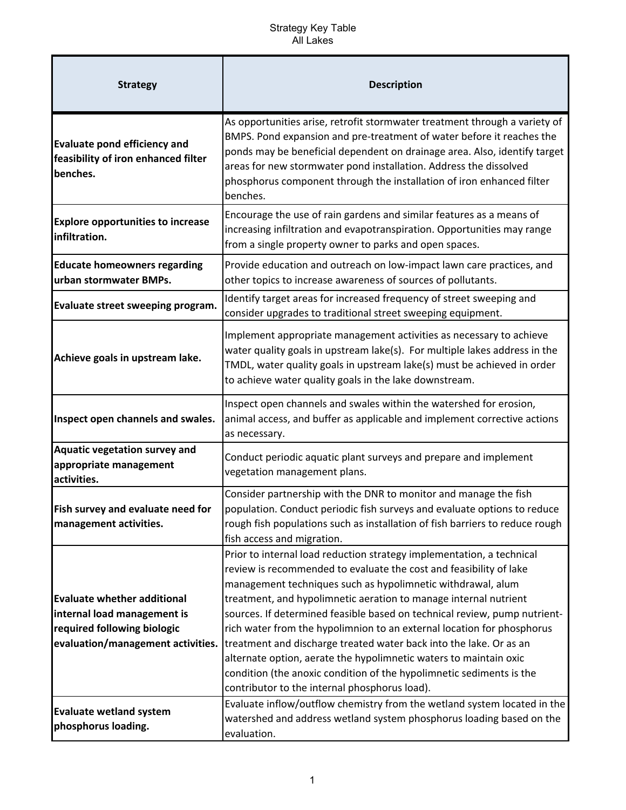#### Strategy Key Table All Lakes

| <b>Strategy</b>                                                                        | <b>Description</b>                                                                                                                                                                                                                                                                                                                                                                         |
|----------------------------------------------------------------------------------------|--------------------------------------------------------------------------------------------------------------------------------------------------------------------------------------------------------------------------------------------------------------------------------------------------------------------------------------------------------------------------------------------|
| <b>Evaluate pond efficiency and</b><br>feasibility of iron enhanced filter<br>benches. | As opportunities arise, retrofit stormwater treatment through a variety of<br>BMPS. Pond expansion and pre-treatment of water before it reaches the<br>ponds may be beneficial dependent on drainage area. Also, identify target<br>areas for new stormwater pond installation. Address the dissolved<br>phosphorus component through the installation of iron enhanced filter<br>benches. |
| <b>Explore opportunities to increase</b><br>infiltration.                              | Encourage the use of rain gardens and similar features as a means of<br>increasing infiltration and evapotranspiration. Opportunities may range<br>from a single property owner to parks and open spaces.                                                                                                                                                                                  |
| <b>Educate homeowners regarding</b><br>urban stormwater BMPs.                          | Provide education and outreach on low-impact lawn care practices, and<br>other topics to increase awareness of sources of pollutants.                                                                                                                                                                                                                                                      |
| Evaluate street sweeping program.                                                      | Identify target areas for increased frequency of street sweeping and<br>consider upgrades to traditional street sweeping equipment.                                                                                                                                                                                                                                                        |
| Achieve goals in upstream lake.                                                        | Implement appropriate management activities as necessary to achieve<br>water quality goals in upstream lake(s). For multiple lakes address in the<br>TMDL, water quality goals in upstream lake(s) must be achieved in order<br>to achieve water quality goals in the lake downstream.                                                                                                     |
| Inspect open channels and swales.                                                      | Inspect open channels and swales within the watershed for erosion,<br>animal access, and buffer as applicable and implement corrective actions<br>as necessary.                                                                                                                                                                                                                            |
| <b>Aquatic vegetation survey and</b><br>appropriate management<br>activities.          | Conduct periodic aquatic plant surveys and prepare and implement<br>vegetation management plans.                                                                                                                                                                                                                                                                                           |
| Fish survey and evaluate need for<br>management activities.                            | Consider partnership with the DNR to monitor and manage the fish<br>population. Conduct periodic fish surveys and evaluate options to reduce<br>rough fish populations such as installation of fish barriers to reduce rough<br>fish access and migration.                                                                                                                                 |
| <b>Evaluate whether additional</b><br>internal load management is                      | Prior to internal load reduction strategy implementation, a technical<br>review is recommended to evaluate the cost and feasibility of lake<br>management techniques such as hypolimnetic withdrawal, alum<br>treatment, and hypolimnetic aeration to manage internal nutrient<br>sources. If determined feasible based on technical review, pump nutrient-                                |
| required following biologic<br>evaluation/management activities.                       | rich water from the hypolimnion to an external location for phosphorus<br>treatment and discharge treated water back into the lake. Or as an<br>alternate option, aerate the hypolimnetic waters to maintain oxic<br>condition (the anoxic condition of the hypolimnetic sediments is the<br>contributor to the internal phosphorus load).                                                 |
| <b>Evaluate wetland system</b><br>phosphorus loading.                                  | Evaluate inflow/outflow chemistry from the wetland system located in the<br>watershed and address wetland system phosphorus loading based on the<br>evaluation.                                                                                                                                                                                                                            |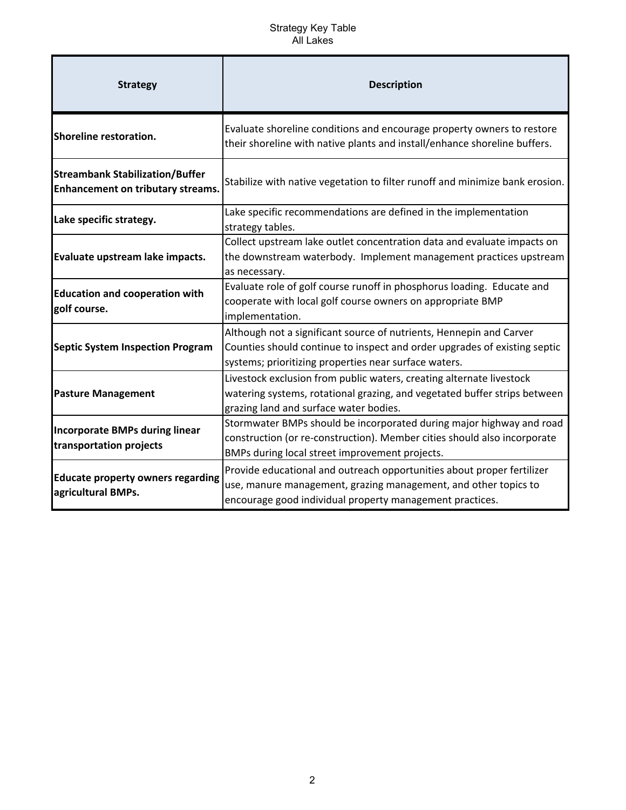#### Strategy Key Table All Lakes

| <b>Strategy</b>                                                                    | <b>Description</b>                                                                                                                                                                                        |  |  |  |  |  |  |  |  |
|------------------------------------------------------------------------------------|-----------------------------------------------------------------------------------------------------------------------------------------------------------------------------------------------------------|--|--|--|--|--|--|--|--|
| Shoreline restoration.                                                             | Evaluate shoreline conditions and encourage property owners to restore<br>their shoreline with native plants and install/enhance shoreline buffers.                                                       |  |  |  |  |  |  |  |  |
| <b>Streambank Stabilization/Buffer</b><br><b>Enhancement on tributary streams.</b> | Stabilize with native vegetation to filter runoff and minimize bank erosion.                                                                                                                              |  |  |  |  |  |  |  |  |
| Lake specific strategy.                                                            | Lake specific recommendations are defined in the implementation<br>strategy tables.                                                                                                                       |  |  |  |  |  |  |  |  |
| Evaluate upstream lake impacts.                                                    | Collect upstream lake outlet concentration data and evaluate impacts on<br>the downstream waterbody. Implement management practices upstream<br>as necessary.                                             |  |  |  |  |  |  |  |  |
| <b>Education and cooperation with</b><br>golf course.                              | Evaluate role of golf course runoff in phosphorus loading. Educate and<br>cooperate with local golf course owners on appropriate BMP<br>implementation.                                                   |  |  |  |  |  |  |  |  |
| <b>Septic System Inspection Program</b>                                            | Although not a significant source of nutrients, Hennepin and Carver<br>Counties should continue to inspect and order upgrades of existing septic<br>systems; prioritizing properties near surface waters. |  |  |  |  |  |  |  |  |
| <b>Pasture Management</b>                                                          | Livestock exclusion from public waters, creating alternate livestock<br>watering systems, rotational grazing, and vegetated buffer strips between<br>grazing land and surface water bodies.               |  |  |  |  |  |  |  |  |
| <b>Incorporate BMPs during linear</b><br>transportation projects                   | Stormwater BMPs should be incorporated during major highway and road<br>construction (or re-construction). Member cities should also incorporate<br>BMPs during local street improvement projects.        |  |  |  |  |  |  |  |  |
| <b>Educate property owners regarding</b><br>agricultural BMPs.                     | Provide educational and outreach opportunities about proper fertilizer<br>use, manure management, grazing management, and other topics to<br>encourage good individual property management practices.     |  |  |  |  |  |  |  |  |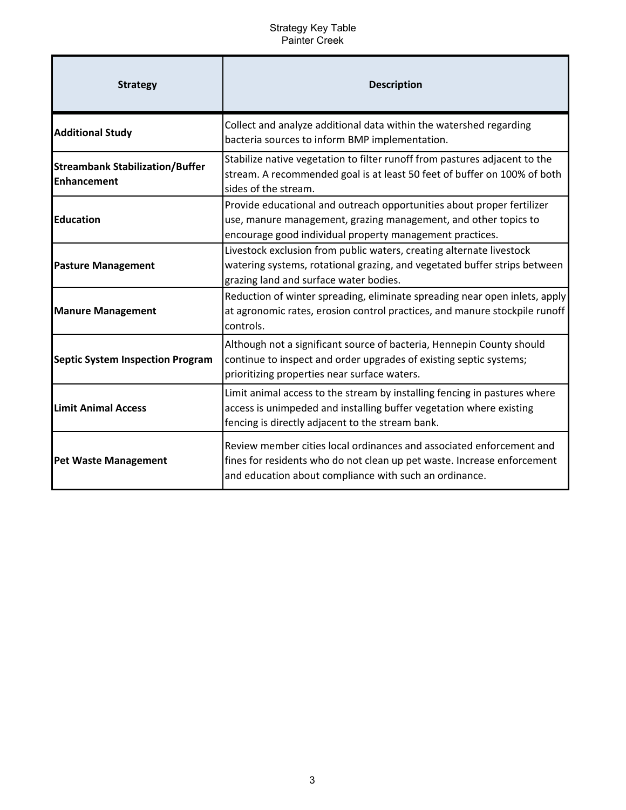#### Strategy Key Table Painter Creek

| <b>Strategy</b>                                       | <b>Description</b>                                                                                                                                                                                        |
|-------------------------------------------------------|-----------------------------------------------------------------------------------------------------------------------------------------------------------------------------------------------------------|
| <b>Additional Study</b>                               | Collect and analyze additional data within the watershed regarding<br>bacteria sources to inform BMP implementation.                                                                                      |
| <b>Streambank Stabilization/Buffer</b><br>Enhancement | Stabilize native vegetation to filter runoff from pastures adjacent to the<br>stream. A recommended goal is at least 50 feet of buffer on 100% of both<br>sides of the stream.                            |
| <b>Education</b>                                      | Provide educational and outreach opportunities about proper fertilizer<br>use, manure management, grazing management, and other topics to<br>encourage good individual property management practices.     |
| <b>Pasture Management</b>                             | Livestock exclusion from public waters, creating alternate livestock<br>watering systems, rotational grazing, and vegetated buffer strips between<br>grazing land and surface water bodies.               |
| <b>Manure Management</b>                              | Reduction of winter spreading, eliminate spreading near open inlets, apply<br>at agronomic rates, erosion control practices, and manure stockpile runoff<br>controls.                                     |
| <b>Septic System Inspection Program</b>               | Although not a significant source of bacteria, Hennepin County should<br>continue to inspect and order upgrades of existing septic systems;<br>prioritizing properties near surface waters.               |
| <b>Limit Animal Access</b>                            | Limit animal access to the stream by installing fencing in pastures where<br>access is unimpeded and installing buffer vegetation where existing<br>fencing is directly adjacent to the stream bank.      |
| <b>Pet Waste Management</b>                           | Review member cities local ordinances and associated enforcement and<br>fines for residents who do not clean up pet waste. Increase enforcement<br>and education about compliance with such an ordinance. |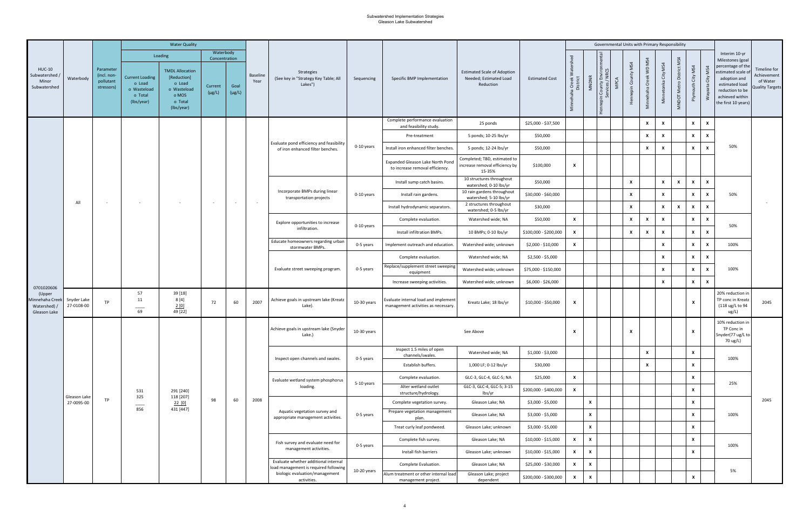|                                                           |                            |                                                     |                                                                          | <b>Water Quality</b>                                                                             |                            |                     |                         |                                                                               |                                     |                                                                            |                                                                           |                       |                                     |                | Governmental Units with Primary Responsibility |                           |                        |                                            |                                           |                                                                                                                                                        |                                                                   |
|-----------------------------------------------------------|----------------------------|-----------------------------------------------------|--------------------------------------------------------------------------|--------------------------------------------------------------------------------------------------|----------------------------|---------------------|-------------------------|-------------------------------------------------------------------------------|-------------------------------------|----------------------------------------------------------------------------|---------------------------------------------------------------------------|-----------------------|-------------------------------------|----------------|------------------------------------------------|---------------------------|------------------------|--------------------------------------------|-------------------------------------------|--------------------------------------------------------------------------------------------------------------------------------------------------------|-------------------------------------------------------------------|
|                                                           |                            |                                                     |                                                                          | Loading                                                                                          | Waterbody<br>Concentration |                     |                         |                                                                               |                                     |                                                                            |                                                                           |                       |                                     |                |                                                |                           |                        |                                            |                                           | Interim 10-yr                                                                                                                                          |                                                                   |
| <b>HUC-10</b><br>Subwatershed<br>Minor<br>Subwatershed    | Waterbody                  | Parameter<br>(incl. non-<br>pollutant<br>stressors) | <b>Current Loading</b><br>o Load<br>o Wasteload<br>o Total<br>(lbs/year) | <b>TMDL Allocation</b><br>[Reduction]<br>o Load<br>o Wasteload<br>o MOS<br>o Total<br>(Ibs/year) | Current<br>$(\mu g/L)$     | Goal<br>$(\mu g/L)$ | <b>Baseline</b><br>Year | <b>Strategies</b><br>(See key in "Strategy Key Table; All<br>Lakes")          | Sequencing                          | Specific BMP Implementation                                                | <b>Estimated Scale of Adoption</b><br>Needed; Estimated Load<br>Reduction | <b>Estimated Cost</b> | <b>MNDNR</b><br>a Creek<br>District | vices<br>vices | MS4<br>Š<br>$rac{p}{\sqrt{2}}$<br>$\subset$    | Creek WD MS4<br>$\bar{z}$ | MS4<br>City<br>ka<br>έ | $\mathsf{\Omega}$<br>$\circ$<br>Σ<br>MNDOT | MS4<br>MS4<br>City<br>£<br>$\frac{5}{2}$  | Milestones (goal<br>percentage of the<br>stimated scale<br>adoption and<br>estimated load<br>reduction to be<br>achieved within<br>the first 10 years) | Timeline for<br>Achievement<br>of Water<br><b>Quality Targets</b> |
|                                                           |                            |                                                     |                                                                          |                                                                                                  |                            |                     |                         |                                                                               |                                     | Complete performance evaluation<br>and feasibility study.                  | 25 ponds                                                                  | \$25,000 - \$37,500   |                                     |                |                                                | $\mathbf{x}$              | X                      |                                            | $\mathbf{x}$<br>$\boldsymbol{\mathsf{x}}$ |                                                                                                                                                        |                                                                   |
|                                                           |                            |                                                     |                                                                          |                                                                                                  |                            |                     |                         |                                                                               |                                     | Pre-treatment                                                              | 5 ponds; 10-25 lbs/yr                                                     | \$50,000              |                                     |                |                                                | $\mathbf{x}$              | X                      |                                            | $\boldsymbol{x}$<br>$\mathbf{x}$          |                                                                                                                                                        |                                                                   |
|                                                           |                            |                                                     |                                                                          |                                                                                                  |                            |                     |                         | Evaluate pond efficiency and feasibility<br>of iron enhanced filter benches.  | 0-10 years                          | Install iron enhanced filter benches.                                      | 5 ponds; 12-24 lbs/yr                                                     | \$50,000              |                                     |                |                                                | $\mathbf{x}$              | X                      |                                            | X                                         | 50%<br>$\mathbf{x}$                                                                                                                                    |                                                                   |
|                                                           |                            |                                                     |                                                                          |                                                                                                  |                            |                     |                         |                                                                               |                                     | Expanded Gleason Lake North Pond<br>to increase removal efficiency.        | Completed; TBD, estimated to<br>increase removal efficiency by<br>15-35%  | \$100,000             | $\mathbf{x}$                        |                |                                                |                           |                        |                                            |                                           |                                                                                                                                                        |                                                                   |
|                                                           |                            |                                                     |                                                                          |                                                                                                  |                            |                     |                         |                                                                               |                                     | Install sump catch basins.                                                 | 10 structures throughout<br>watershed; 0-10 lbs/yr                        | \$50,000              |                                     |                | x                                              |                           | X                      | х                                          | $\boldsymbol{x}$                          | $\mathbf{x}$                                                                                                                                           |                                                                   |
|                                                           |                            |                                                     |                                                                          |                                                                                                  |                            |                     |                         | Incorporate BMPs during linear<br>transportation projects                     | 0-10 years                          | Install rain gardens.                                                      | 10 rain gardens throughout<br>watershed; 5-10 lbs/yr                      | \$30,000 - \$60,000   |                                     |                | $\mathbf{x}$                                   |                           | X                      |                                            | $\boldsymbol{\mathsf{x}}$<br>$\mathbf{x}$ | 50%                                                                                                                                                    |                                                                   |
|                                                           | All                        |                                                     | $\overline{\phantom{a}}$                                                 |                                                                                                  | $\sim$                     |                     | $\sim$                  |                                                                               |                                     | Install hydrodynamic separators.                                           | 2 structures throughout<br>watershed; 0-5 lbs/yr                          | \$30,000              |                                     |                | $\mathbf{x}$                                   |                           | X                      | X                                          | $\mathbf{x}$<br>$\boldsymbol{\mathsf{x}}$ |                                                                                                                                                        | $\sim$                                                            |
|                                                           |                            |                                                     |                                                                          |                                                                                                  |                            |                     |                         | Explore opportunities to increase                                             |                                     | Complete evaluation.                                                       | Watershed wide; NA                                                        | \$50,000              | $\mathbf{x}$                        |                | $\mathbf{x}$                                   | $\mathbf{x}$              | X                      |                                            | X                                         | $\mathbf{x}$                                                                                                                                           |                                                                   |
|                                                           |                            |                                                     |                                                                          |                                                                                                  |                            |                     |                         | infiltration.                                                                 | 0-10 years                          | Install infiltration BMPs.                                                 | 10 BMPs; 0-10 lbs/yr                                                      | \$100,000 - \$200,000 | $\mathbf{x}$                        |                | x                                              | $\mathbf{x}$              | X                      |                                            | $\mathbf{x}$<br>X                         | 50%                                                                                                                                                    |                                                                   |
|                                                           |                            |                                                     |                                                                          |                                                                                                  |                            |                     |                         | Educate homeowners regarding urban<br>stormwater BMPs.                        | 0-5 years                           | Implement outreach and education                                           | Watershed wide; unknown                                                   | \$2,000 - \$10,000    | $\mathbf{x}$                        |                |                                                |                           | $\mathbf{x}$           |                                            | $\boldsymbol{\mathsf{x}}$<br>$\pmb{\chi}$ | 100%                                                                                                                                                   |                                                                   |
|                                                           |                            |                                                     |                                                                          |                                                                                                  |                            |                     |                         | Evaluate street sweeping program.                                             |                                     | Complete evaluation.                                                       | Watershed wide; NA                                                        | \$2,500 - \$5,000     |                                     |                |                                                |                           | $\mathbf{x}$           |                                            | $\pmb{\mathsf{x}}$<br>$\mathbf{x}$        |                                                                                                                                                        |                                                                   |
|                                                           |                            |                                                     |                                                                          |                                                                                                  |                            |                     |                         |                                                                               | 0-5 years                           | Replace/supplement street sweeping<br>equipment                            | Watershed wide; unknown                                                   | \$75,000 - \$150,000  |                                     |                |                                                |                           | X                      |                                            | $\mathbf{x}$<br>$\mathbf{x}$              | 100%                                                                                                                                                   |                                                                   |
| 0701020606                                                |                            |                                                     |                                                                          |                                                                                                  |                            |                     |                         |                                                                               |                                     | Increase sweeping activities.                                              | Watershed wide; unknown                                                   | \$6,000 - \$26,000    |                                     |                |                                                |                           | $\mathbf{x}$           |                                            | $\mathbf{x}$<br>$\mathbf{x}$              |                                                                                                                                                        |                                                                   |
| (Upper<br>Minnehaha Creek<br>Watershed) /<br>Gleason Lake | Snyder Lake<br>27-0108-00  | <b>TP</b>                                           | 57<br>11<br>----<br>69                                                   | 39 [18]<br>8 [4]<br>2[0]<br>49 [22]                                                              | 72                         | 60                  | 2007                    | Achieve goals in upstream lake (Kreatz<br>Lake).                              | 10-30 years                         | Evaluate internal load and implemen<br>management activities as necessary. | Kreatz Lake; 18 lbs/yr                                                    | \$10,000 - \$50,000   | $\boldsymbol{\mathsf{x}}$           |                |                                                |                           |                        |                                            | $\mathbf{x}$                              | 20% reduction in<br>TP conc in Kreatz<br>(118 ug/L to 94<br>ug/L)                                                                                      | 2045                                                              |
|                                                           |                            |                                                     |                                                                          |                                                                                                  |                            |                     |                         | Achieve goals in upstream lake (Snyder<br>Lake.)                              | $10-30$ years                       |                                                                            | See Above                                                                 |                       | $\mathbf{x}$                        |                | Y                                              |                           |                        |                                            | $\mathbf{x}$                              | 10% reduction in<br>TP Conc in<br>Snyder(77 ug/L to  <br>70 ug/L)                                                                                      |                                                                   |
|                                                           |                            |                                                     |                                                                          |                                                                                                  |                            |                     |                         |                                                                               | 0-5 years                           | Inspect 1.5 miles of open<br>channels/swales.                              | Watershed wide; NA                                                        | \$1,000 - \$3,000     |                                     |                |                                                | $\mathbf{x}$              |                        |                                            | $\mathbf{x}$                              | 100%                                                                                                                                                   |                                                                   |
|                                                           |                            |                                                     |                                                                          |                                                                                                  |                            |                     |                         | Inspect open channels and swales.                                             |                                     | Establish buffers.                                                         | 1,000 LF; 0-12 lbs/yr                                                     | \$30,000              |                                     |                |                                                | $\mathbf{x}$              |                        |                                            | $\mathbf{x}$                              |                                                                                                                                                        |                                                                   |
|                                                           |                            |                                                     |                                                                          |                                                                                                  |                            |                     |                         | Evaluate wetland system phosphorus                                            | 5-10 years                          | Complete evaluation.                                                       | GLC-3, GLC-4, GLC-5; NA                                                   | \$25,000              | $\mathbf{x}$                        |                |                                                |                           |                        |                                            | $\mathbf{x}$                              | 25%                                                                                                                                                    |                                                                   |
|                                                           |                            |                                                     | 531<br>325                                                               | 291 [240]                                                                                        |                            |                     |                         | loading.                                                                      |                                     | Alter wetland outlet<br>structure/hydrology.                               | GLC-3, GLC-4, GLC-5; 3-15<br>lbs/yr                                       | \$200,000 - \$400,000 | $\mathbf{x}$                        |                |                                                |                           |                        |                                            | $\mathbf{x}$                              |                                                                                                                                                        |                                                                   |
|                                                           | Gleason Lake<br>27-0095-00 | TP                                                  | ----<br>856                                                              | 118 [207]<br>22[0]<br>431 [447]                                                                  | 98                         | 60                  | 2008                    |                                                                               |                                     | Complete vegetation survey.                                                | Gleason Lake; NA                                                          | \$3,000 - \$5,000     |                                     | $\mathbf{x}$   |                                                |                           |                        |                                            | $\mathbf{x}$                              |                                                                                                                                                        | 2045                                                              |
|                                                           |                            |                                                     |                                                                          |                                                                                                  |                            |                     |                         | Aquatic vegetation survey and<br>appropriate management activities.           | 0-5 years                           | Prepare vegetation management<br>plan.                                     | Gleason Lake; NA                                                          | \$3,000 - \$5,000     |                                     | $\mathbf{x}$   |                                                |                           |                        |                                            | $\mathbf{x}$                              | 100%                                                                                                                                                   |                                                                   |
|                                                           |                            |                                                     |                                                                          |                                                                                                  |                            |                     |                         |                                                                               |                                     | Treat curly leaf pondweed.                                                 | Gleason Lake; unknown                                                     | \$3,000 - \$5,000     |                                     | $\mathbf{x}$   |                                                |                           |                        |                                            | $\boldsymbol{x}$                          |                                                                                                                                                        |                                                                   |
|                                                           |                            |                                                     |                                                                          |                                                                                                  |                            |                     |                         | Fish survey and evaluate need for                                             |                                     | Complete fish survey.                                                      | Gleason Lake; NA                                                          | \$10,000 - \$15,000   | $\mathbf{x}$                        | $\mathbf{x}$   |                                                |                           |                        |                                            | $\mathbf{x}$                              | 100%                                                                                                                                                   |                                                                   |
|                                                           |                            |                                                     |                                                                          |                                                                                                  |                            |                     |                         |                                                                               | 0-5 years<br>management activities. | Install fish barriers                                                      | Gleason Lake; unknown                                                     | \$10,000 - \$15,000   | $\mathbf{x}$                        | $\mathbf{x}$   |                                                |                           |                        |                                            | $\mathbf{x}$                              |                                                                                                                                                        |                                                                   |
|                                                           |                            |                                                     |                                                                          |                                                                                                  |                            |                     |                         | Evaluate whether additional internal<br>load management is required following | 10-20 years                         | Complete Evaluation.                                                       | Gleason Lake; NA                                                          | \$25,000 - \$30,000   | $\mathbf{x}$                        | $\mathbf{x}$   |                                                |                           |                        |                                            |                                           | 5%                                                                                                                                                     |                                                                   |
|                                                           |                            |                                                     |                                                                          |                                                                                                  |                            |                     |                         | biologic evaluation/management<br>activities.                                 |                                     | Alum treatment or other internal load<br>management project.               | Gleason Lake; project<br>dependent                                        | \$200,000 - \$300,000 | $\mathbf{x}$                        | $\mathbf{x}$   |                                                |                           |                        |                                            | $\boldsymbol{\mathsf{x}}$                 |                                                                                                                                                        |                                                                   |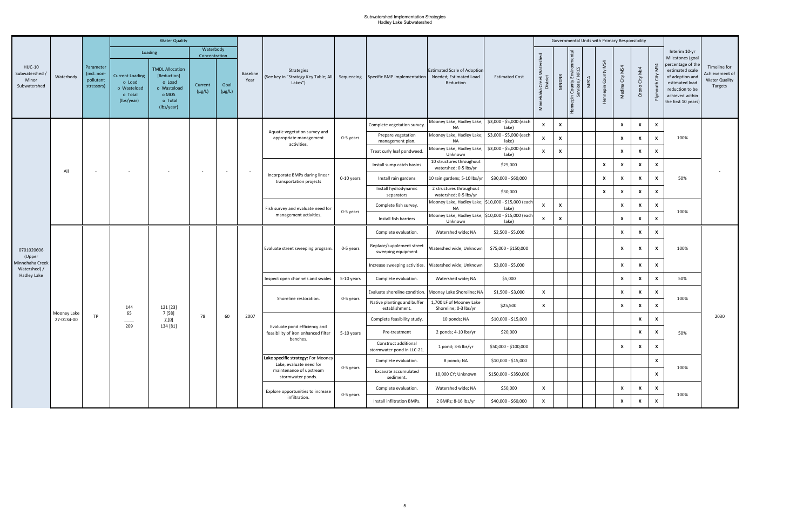|                                                        |                           |                                                     |                                                                          | <b>Water Quality</b>                                                                             |                            |                     |                         |                                                                                 |            |                                                    |                                                                           |                                  | Governmental Units with Primary Responsibility |                                                                    |                                 |                       |                           |                           |                                                                                                                                                            |                                                                   |
|--------------------------------------------------------|---------------------------|-----------------------------------------------------|--------------------------------------------------------------------------|--------------------------------------------------------------------------------------------------|----------------------------|---------------------|-------------------------|---------------------------------------------------------------------------------|------------|----------------------------------------------------|---------------------------------------------------------------------------|----------------------------------|------------------------------------------------|--------------------------------------------------------------------|---------------------------------|-----------------------|---------------------------|---------------------------|------------------------------------------------------------------------------------------------------------------------------------------------------------|-------------------------------------------------------------------|
|                                                        |                           |                                                     |                                                                          | Loading                                                                                          | Waterbody<br>Concentration |                     |                         |                                                                                 |            |                                                    |                                                                           |                                  |                                                | ental                                                              |                                 |                       |                           |                           | Interim 10-yr                                                                                                                                              |                                                                   |
| <b>HUC-10</b><br>Subwatershed<br>Minor<br>Subwatershed | Waterbody                 | Parameter<br>(incl. non-<br>pollutant<br>stressors) | <b>Current Loading</b><br>o Load<br>o Wasteload<br>o Total<br>(Ibs/year) | <b>TMDL Allocation</b><br>[Reduction]<br>o Load<br>o Wasteload<br>o MOS<br>o Total<br>(Ibs/year) | Current<br>$(\mu g/L)$     | Goal<br>$(\mu g/L)$ | <b>Baseline</b><br>Year | <b>Strategies</b><br>(See key in "Strategy Key Table; All<br>Lakes")            |            | Sequencing Specific BMP Implementation             | <b>Estimated Scale of Adoption</b><br>Needed; Estimated Load<br>Reduction | <b>Estimated Cost</b>            | Watershed<br>ia Creek \<br>District<br>Ξ       | Hennepin County Environ<br>Services / NRCS<br><b>MNDNR</b><br>MPCA | <b>NS4</b><br>Ϋ́Γ<br>S<br>nepin | NS4<br>City<br>Medina | City Ms4<br>ono<br>ŏ      | MS4<br>City<br>outh       | Milestones (goal<br>percentage of the<br>estimated scale<br>of adoption and<br>estimated load<br>reduction to be<br>achieved within<br>the first 10 years) | Timeline for<br>Achievement of<br><b>Water Quality</b><br>Targets |
|                                                        |                           |                                                     |                                                                          |                                                                                                  |                            |                     |                         |                                                                                 |            | Complete vegetation survey.                        | Mooney Lake, Hadley Lake; \$3,000 - \$5,000 (each<br><b>NA</b>            | lake)                            | $\boldsymbol{x}$                               | $\boldsymbol{\mathsf{x}}$                                          |                                 | $\mathbf{x}$          | X                         | $\mathbf{x}$              |                                                                                                                                                            |                                                                   |
|                                                        |                           |                                                     |                                                                          |                                                                                                  |                            |                     |                         | Aquatic vegetation survey and<br>appropriate management<br>activities.          | 0-5 years  | Prepare vegetation<br>management plan.             | Mooney Lake, Hadley Lake;<br><b>NA</b>                                    | $53,000 - $5,000$ (each<br>lake) | $\mathbf{x}$                                   | $\boldsymbol{\mathsf{x}}$                                          |                                 | $\mathbf{x}$          | X                         | $\boldsymbol{\mathsf{x}}$ | 100%                                                                                                                                                       |                                                                   |
|                                                        |                           |                                                     |                                                                          |                                                                                                  |                            |                     |                         |                                                                                 |            | Treat curly leaf pondweed.                         | Mooney Lake, Hadley Lake;<br>Unknown                                      | \$3,000 - \$5,000 (each<br>lake) | X                                              | $\pmb{\chi}$                                                       |                                 | $\mathsf{x}$          | X                         | $\mathbf{x}$              |                                                                                                                                                            |                                                                   |
|                                                        | All                       |                                                     |                                                                          |                                                                                                  |                            |                     | $\sim$                  | Incorporate BMPs during linear<br>transportation projects                       |            | Install sump catch basins                          | 10 structures throughout<br>watershed; 0-5 lbs/yr                         | \$25,000                         |                                                |                                                                    | $\boldsymbol{\mathsf{x}}$       | X                     | X                         | $\mathbf{x}$              |                                                                                                                                                            |                                                                   |
|                                                        |                           |                                                     |                                                                          |                                                                                                  |                            |                     |                         |                                                                                 | 0-10 years | Install rain gardens                               | 10 rain gardens; 5-10 lbs/yr                                              | \$30,000 - \$60,000              |                                                |                                                                    | $\mathbf{x}$                    | X                     | X                         | $\mathbf{x}$              | 50%                                                                                                                                                        |                                                                   |
|                                                        |                           |                                                     |                                                                          |                                                                                                  |                            |                     |                         |                                                                                 |            | Install hydrodynamic<br>separators                 | 2 structures throughout<br>watershed; 0-5 lbs/yr                          | \$30,000                         |                                                |                                                                    | $\mathbf{x}$                    | X                     | X                         | $\mathbf{x}$              |                                                                                                                                                            |                                                                   |
|                                                        |                           |                                                     |                                                                          |                                                                                                  |                            |                     |                         | Fish survey and evaluate need for                                               | 0-5 years  | Complete fish survey.                              | Mooney Lake, Hadley Lake; \$10,000 - \$15,000 (each<br><b>NA</b>          | lake)                            | $\mathbf{x}$                                   | $\boldsymbol{x}$                                                   |                                 | X                     | X                         | $\mathbf{x}$              |                                                                                                                                                            | 100%                                                              |
|                                                        |                           |                                                     |                                                                          |                                                                                                  |                            |                     |                         | management activities.                                                          |            | Install fish barriers                              | Mooney Lake, Hadley Lake; \$10,000 - \$15,000 (each<br>Unknown            | lake)                            |                                                | $\pmb{\chi}$                                                       |                                 | $\mathbf{x}$          | $\boldsymbol{\mathsf{x}}$ | $\mathbf{x}$              |                                                                                                                                                            |                                                                   |
|                                                        |                           |                                                     |                                                                          |                                                                                                  |                            |                     |                         |                                                                                 |            | Complete evaluation.                               | Watershed wide; NA                                                        | \$2,500 - \$5,000                |                                                |                                                                    |                                 | X                     | X                         | $\mathbf{x}$              |                                                                                                                                                            |                                                                   |
| 0701020606<br>(Upper                                   |                           |                                                     |                                                                          |                                                                                                  |                            |                     |                         | Evaluate street sweeping program.                                               | 0-5 years  | Replace/supplement street<br>sweeping equipment    | Watershed wide; Unknown                                                   | \$75,000 - \$150,000             |                                                |                                                                    |                                 | $\boldsymbol{x}$      | X                         | $\mathbf{x}$              | 100%                                                                                                                                                       |                                                                   |
| Minnehaha Creek<br>Watershed) /                        |                           |                                                     |                                                                          |                                                                                                  |                            |                     |                         |                                                                                 |            | Increase sweeping activities.                      | Watershed wide; Unknown                                                   | \$3,000 - \$5,000                |                                                |                                                                    |                                 | $\boldsymbol{x}$      | X                         | $\mathbf{x}$              |                                                                                                                                                            |                                                                   |
| Hadley Lake                                            |                           |                                                     |                                                                          |                                                                                                  |                            |                     |                         | Inspect open channels and swales.                                               | 5-10 years | Complete evaluation.                               | Watershed wide; NA                                                        | \$5,000                          |                                                |                                                                    |                                 | X                     | X                         | $\mathbf{x}$              | 50%                                                                                                                                                        |                                                                   |
|                                                        |                           |                                                     |                                                                          |                                                                                                  |                            |                     |                         | Shoreline restoration.                                                          | 0-5 years  | Evaluate shoreline condition.                      | Mooney Lake Shoreline; NA                                                 | \$1,500 - \$3,000                | $\mathbf{x}$                                   |                                                                    |                                 | $\boldsymbol{x}$      | X                         | $\mathbf{x}$              | 100%                                                                                                                                                       |                                                                   |
|                                                        |                           |                                                     | 144                                                                      | 121 [23]                                                                                         |                            |                     |                         |                                                                                 |            | Native plantings and buffer<br>establishment.      | 1,700 LF of Mooney Lake<br>Shoreline; 0-3 lbs/yr                          | \$25,500                         | $\mathbf{x}$                                   |                                                                    |                                 | X                     | X                         | $\mathbf{x}$              |                                                                                                                                                            |                                                                   |
|                                                        | Mooney Lake<br>27-0134-00 | TP                                                  | 65<br>209                                                                | 7 [58]<br>7[0]<br>134 [81]                                                                       | 78                         | 60                  | 2007                    |                                                                                 |            | Complete feasibility study.                        | 10 ponds; NA                                                              | \$10,000 - \$15,000              |                                                |                                                                    |                                 |                       | X                         | $\mathbf{x}$              |                                                                                                                                                            | 2030                                                              |
|                                                        |                           |                                                     |                                                                          |                                                                                                  |                            |                     |                         | Evaluate pond efficiency and<br>feasibility of iron enhanced filter<br>benches. | 5-10 years | Pre-treatment                                      | 2 ponds; 4-10 lbs/yr                                                      | \$20,000                         |                                                |                                                                    |                                 |                       | X                         | X                         | 50%                                                                                                                                                        |                                                                   |
|                                                        |                           |                                                     |                                                                          |                                                                                                  |                            |                     |                         |                                                                                 |            | Construct additional<br>stormwater pond in LLC-21. | 1 pond; 3-6 lbs/yr                                                        | \$50,000 - \$100,000             |                                                |                                                                    |                                 | $\mathbf{x}$          | X                         | $\mathbf{x}$              |                                                                                                                                                            |                                                                   |
|                                                        |                           |                                                     |                                                                          |                                                                                                  |                            |                     |                         | Lake specific strategy: For Mooney<br>Lake, evaluate need for                   |            | Complete evaluation.                               | 8 ponds; NA                                                               | \$10,000 - \$15,000              |                                                |                                                                    |                                 |                       |                           | $\mathbf{x}$              |                                                                                                                                                            |                                                                   |
|                                                        |                           |                                                     |                                                                          |                                                                                                  |                            |                     |                         | maintenance of upstream<br>stormwater ponds.                                    | 0-5 years  | Excavate accumulated<br>sediment.                  | 10,000 CY; Unknown                                                        | \$150,000 - \$350,000            |                                                |                                                                    |                                 |                       |                           | $\mathbf{x}$              | 100%                                                                                                                                                       |                                                                   |
|                                                        |                           |                                                     |                                                                          |                                                                                                  |                            |                     |                         | Explore opportunities to increase                                               | 0-5 years  | Complete evaluation.                               | Watershed wide; NA                                                        | \$50,000                         | $\mathbf{x}$                                   |                                                                    |                                 | $\mathsf{x}$          | X                         | $\mathbf{x}$              | 100%                                                                                                                                                       |                                                                   |
|                                                        |                           |                                                     |                                                                          |                                                                                                  |                            |                     |                         | infiltration.                                                                   |            | Install infiltration BMPs.                         | 2 BMPs; 8-16 lbs/yr                                                       | \$40,000 - \$60,000              | $\mathbf{x}$                                   |                                                                    |                                 | $\mathbf{x}$          | X                         | $\mathbf{x}$              |                                                                                                                                                            |                                                                   |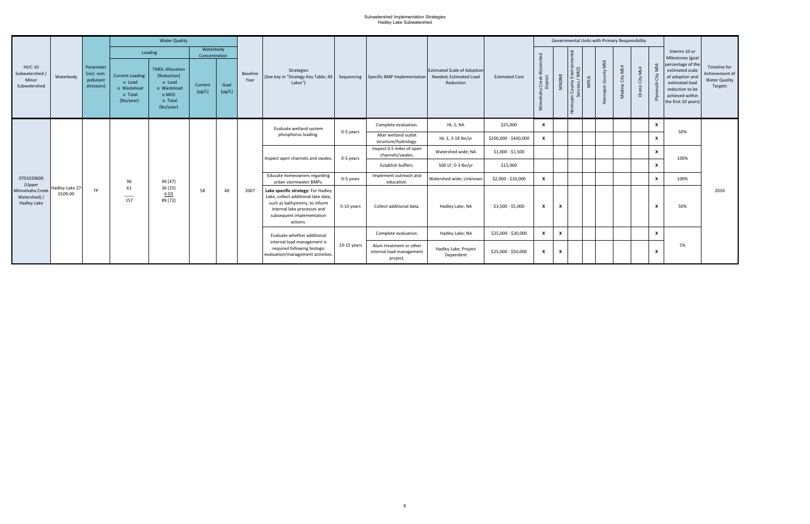|                                                                 |                           |                                                     |                                                                          |                                                                                                  |                            |                     |                  |                                                                                                                                                                                    |               |                                                                 |                                                                           |                       |                                                        |                           |                                                 |                         | Governmental Units with Primary Responsibility |                                |                    |                  |                                                                                                                                        |                                                                   |  |  |              |      |  |              |  |
|-----------------------------------------------------------------|---------------------------|-----------------------------------------------------|--------------------------------------------------------------------------|--------------------------------------------------------------------------------------------------|----------------------------|---------------------|------------------|------------------------------------------------------------------------------------------------------------------------------------------------------------------------------------|---------------|-----------------------------------------------------------------|---------------------------------------------------------------------------|-----------------------|--------------------------------------------------------|---------------------------|-------------------------------------------------|-------------------------|------------------------------------------------|--------------------------------|--------------------|------------------|----------------------------------------------------------------------------------------------------------------------------------------|-------------------------------------------------------------------|--|--|--------------|------|--|--------------|--|
|                                                                 | Waterbody                 |                                                     |                                                                          | Loading                                                                                          | Waterbody<br>Concentration |                     |                  |                                                                                                                                                                                    |               |                                                                 |                                                                           |                       | $\overline{\phantom{a}}$                               |                           | nental                                          |                         |                                                |                                |                    |                  | Interim 10-yr<br>Milestones (goal                                                                                                      |                                                                   |  |  |              |      |  |              |  |
| <b>HUC-10</b><br>Subwatershed<br>Minor<br>Subwatershed          |                           | Parameter<br>(incl. non-<br>pollutant<br>stressors) | <b>Current Loading</b><br>o Load<br>o Wasteload<br>o Total<br>(Ibs/year) | <b>TMDL Allocation</b><br>[Reduction]<br>o Load<br>o Wasteload<br>o MOS<br>o Total<br>(lbs/year) | Current<br>$(\mu g/L)$     | Goal<br>$(\mu g/L)$ | Baseline<br>Year | <b>Strategies</b><br>(See key in "Strategy Key Table; All<br>Lakes")                                                                                                               | Sequencing    | Specific BMP Implementation                                     | <b>Estimated Scale of Adoption</b><br>Needed; Estimated Load<br>Reduction | <b>Estimated Cost</b> | aha Creek V<br>District                                | <b>MNDNR</b>              | ٵ<br>Z<br>County I<br>ervices /<br>$=$ $\alpha$ | $\epsilon$              | MS4<br>ήı<br>Cour<br>Ĩ                         | na City MS4<br>눈<br>$\epsilon$ | Orono City Ms4     | MS4              | percentage of the<br>estimated scale<br>of adoption and<br>estimated load<br>reduction to be<br>achieved within<br>the first 10 years) | Timeline for<br>Achievement of<br><b>Water Quality</b><br>Targets |  |  |              |      |  |              |  |
|                                                                 |                           |                                                     |                                                                          |                                                                                                  |                            |                     |                  | Evaluate wetland system                                                                                                                                                            |               | Complete evaluation.                                            | $HL-1$ ; NA                                                               | \$25,000              | $\mathsf{x}$                                           |                           |                                                 |                         |                                                |                                |                    | $\mathbf{x}$     |                                                                                                                                        |                                                                   |  |  |              |      |  |              |  |
|                                                                 |                           |                                                     |                                                                          |                                                                                                  |                            |                     |                  | phosphorus loading.                                                                                                                                                                | 0-5 years     | Alter wetland outlet<br>structure/hydrology.                    | HL-1; 3-18 lbs/yr                                                         | \$200,000 - \$400,000 | $\mathsf{x}$                                           |                           |                                                 |                         |                                                |                                |                    | $\mathbf{x}$     | 50%                                                                                                                                    |                                                                   |  |  |              |      |  |              |  |
|                                                                 |                           |                                                     |                                                                          |                                                                                                  |                            |                     |                  | Inspect open channels and swales.                                                                                                                                                  | 0-5 years     | Inspect 0.5 miles of open<br>channels/swales.                   | Watershed wide; NA                                                        | \$1,000 - \$1,500     |                                                        |                           |                                                 |                         |                                                |                                |                    | $\mathbf{x}$     | 100%                                                                                                                                   |                                                                   |  |  |              |      |  |              |  |
|                                                                 |                           |                                                     | 96                                                                       |                                                                                                  |                            |                     |                  |                                                                                                                                                                                    |               |                                                                 |                                                                           |                       |                                                        |                           |                                                 |                         |                                                | Establish buffers.             | 500 LF; 0-3 lbs/yr | \$15,000         |                                                                                                                                        |                                                                   |  |  |              |      |  | $\mathbf{x}$ |  |
| 0701020606                                                      |                           |                                                     |                                                                          |                                                                                                  |                            |                     |                  |                                                                                                                                                                                    | 49 [47]       |                                                                 |                                                                           |                       | Educate homeowners regarding<br>urban stormwater BMPs. | 0-5 years                 | Implement outreach and<br>education.            | Watershed wide; Unknown | \$2,000 - \$10,000                             | $\mathsf{x}$                   |                    |                  |                                                                                                                                        |                                                                   |  |  | $\mathbf{x}$ | 100% |  |              |  |
| (Upper<br>Minnehaha Creek<br>Watershed) /<br><b>Hadley Lake</b> | Hadley Lake 27<br>0109-00 | TP                                                  | 61<br>157                                                                | 36 [25]<br>4[0]<br>89 [72]                                                                       | 58                         | 40                  | 2007             | Lake specific strategy: For Hadley<br>Lake, collect additional lake data,<br>such as bathymetry, to inform<br>internal lake processes and<br>subsequent implementation<br>actions. | 5-10 years    | Collect additional data.                                        | Hadley Lake; NA                                                           | \$3,500 - \$5,000     | $\mathbf{x}$                                           | $\boldsymbol{x}$          |                                                 |                         |                                                |                                |                    | $\mathbf{x}$     | 50%                                                                                                                                    | 2030                                                              |  |  |              |      |  |              |  |
|                                                                 |                           |                                                     |                                                                          |                                                                                                  |                            |                     |                  | Evaluate whether additional                                                                                                                                                        |               | Complete evaluation.                                            | Hadley Lake; NA                                                           | \$25,000 - \$30,000   | $\mathbf{x}$                                           | $\mathbf{x}$              |                                                 |                         |                                                |                                |                    | $\mathbf{x}$     |                                                                                                                                        |                                                                   |  |  |              |      |  |              |  |
|                                                                 |                           |                                                     |                                                                          |                                                                                                  |                            |                     |                  | internal load management is<br>required following biologic<br>evaluation/management activities                                                                                     | $10-15$ years | Alum treatment or other<br>internal load management<br>project. | Hadley Lake; Project<br>Dependent                                         | \$25,000 - \$50,000   | $\mathbf{x}$                                           | $\boldsymbol{\mathsf{x}}$ |                                                 |                         |                                                |                                |                    | $\boldsymbol{x}$ | 5%                                                                                                                                     |                                                                   |  |  |              |      |  |              |  |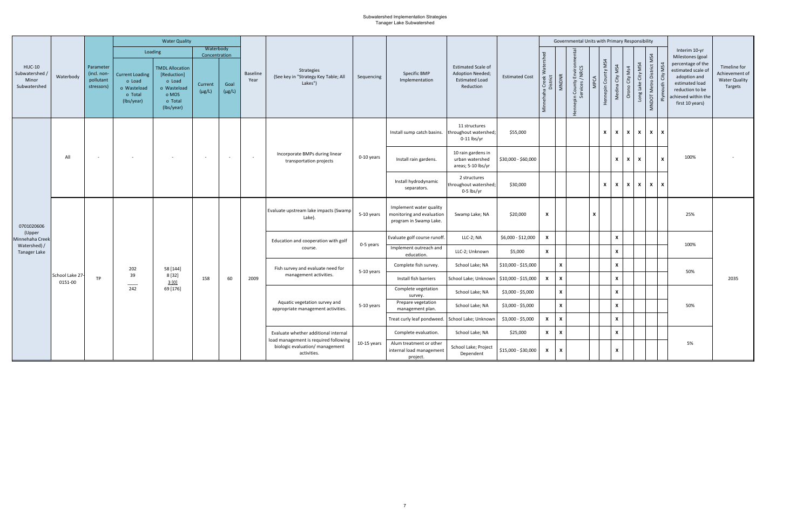|                                                        |                           |                                                     |                                                                          | <b>Water Quality</b>                                                                             |                            |                     |                         |                                                                                         |               |                                                                                |                                                                                     |                       |                                            |              | Governmental Units with Primary Responsibility |                                                           |                 |                           |                           |                          |                   |                                                                                                                                                           |                                                                   |
|--------------------------------------------------------|---------------------------|-----------------------------------------------------|--------------------------------------------------------------------------|--------------------------------------------------------------------------------------------------|----------------------------|---------------------|-------------------------|-----------------------------------------------------------------------------------------|---------------|--------------------------------------------------------------------------------|-------------------------------------------------------------------------------------|-----------------------|--------------------------------------------|--------------|------------------------------------------------|-----------------------------------------------------------|-----------------|---------------------------|---------------------------|--------------------------|-------------------|-----------------------------------------------------------------------------------------------------------------------------------------------------------|-------------------------------------------------------------------|
|                                                        |                           |                                                     |                                                                          | Loading                                                                                          | Waterbody<br>Concentration |                     |                         |                                                                                         |               |                                                                                |                                                                                     |                       |                                            |              |                                                |                                                           |                 |                           |                           |                          |                   | Interim 10-yr                                                                                                                                             |                                                                   |
| <b>HUC-10</b><br>Subwatershed<br>Minor<br>Subwatershed | Waterbody                 | Parameter<br>(incl. non-<br>pollutant<br>stressors) | <b>Current Loading</b><br>o Load<br>o Wasteload<br>o Total<br>(Ibs/year) | <b>TMDL Allocation</b><br>[Reduction]<br>o Load<br>o Wasteload<br>o MOS<br>o Total<br>(lbs/year) | Current<br>$(\mu g/L)$     | Goal<br>$(\mu g/L)$ | <b>Baseline</b><br>Year | Strategies<br>(See key in "Strategy Key Table; All<br>Lakes")                           | Sequencing    | Specific BMP<br>Implementation                                                 | <b>Estimated Scale of</b><br>Adoption Needed;<br><b>Estimated Load</b><br>Reduction | <b>Estimated Cost</b> | Watershed<br>Minnehaha Creek \<br>District | <b>MNDNR</b> | nnepin County Environ<br>Services / NRCS<br>홒  | MS4<br>unty<br><b>MPCA</b><br>Ğ<br>$\equiv$<br>inepi<br>운 | Medina City MS4 | Orono City Ms4            | Long Lake City MS4        | MNDOT Metro District MS4 | Plymouth City MS4 | Milestones (goal<br>percentage of the<br>estimated scale of<br>adoption and<br>estimated load<br>reduction to be<br>chieved within the<br>first 10 years) | Timeline for<br>Achievement of<br><b>Water Quality</b><br>Targets |
|                                                        |                           |                                                     |                                                                          |                                                                                                  |                            |                     |                         |                                                                                         |               | Install sump catch basins.                                                     | 11 structures<br>throughout watershed;<br>$0-11$ lbs/yr                             | \$55,000              |                                            |              |                                                | $\mathsf{x}$                                              | $\mathsf{x}$    | $\mathbf{x}$              | $\mathbf{x}$              | $\mathbf{x}$             | $\mathsf{x}$      |                                                                                                                                                           |                                                                   |
|                                                        | All                       | $\overline{\phantom{a}}$                            | $\sim$                                                                   | $\sim$                                                                                           | $\sim$                     | $\sim$              | $\sim$                  | Incorporate BMPs during linear<br>transportation projects                               | 0-10 years    | Install rain gardens.                                                          | 10 rain gardens in<br>urban watershed<br>areas; 5-10 lbs/yr                         | \$30,000 - \$60,000   |                                            |              |                                                |                                                           | $\mathsf{x}$    | $\boldsymbol{\mathsf{x}}$ | $\boldsymbol{\mathsf{x}}$ |                          | $\mathbf{x}$      | 100%                                                                                                                                                      |                                                                   |
|                                                        |                           |                                                     |                                                                          |                                                                                                  |                            |                     |                         |                                                                                         |               | Install hydrodynamic<br>separators.                                            | 2 structures<br>throughout watershed;<br>0-5 lbs/yr                                 | \$30,000              |                                            |              |                                                | $\mathbf{x}$                                              | $\mathbf{x}$    | $\mathbf{x}$              | $\mathbf{x}$              | $\mathbf{x}$             | $\mathsf{x}$      |                                                                                                                                                           |                                                                   |
| 0701020606                                             |                           |                                                     |                                                                          |                                                                                                  |                            |                     |                         | Evaluate upstream lake impacts (Swamp<br>Lake).                                         | 5-10 years    | Implement water quality<br>monitoring and evaluation<br>program in Swamp Lake. | Swamp Lake; NA                                                                      | \$20,000              | $\mathbf{x}$                               |              |                                                | $\boldsymbol{\mathsf{x}}$                                 |                 |                           |                           |                          |                   | 25%                                                                                                                                                       |                                                                   |
| (Upper<br>Minnehaha Creek                              |                           |                                                     |                                                                          |                                                                                                  |                            |                     |                         | Education and cooperation with golf                                                     |               | Evaluate golf course runoff.                                                   | LLC-2; NA                                                                           | \$6,000 - \$12,000    | $\mathbf{x}$                               |              |                                                |                                                           | $\mathbf{x}$    |                           |                           |                          |                   |                                                                                                                                                           |                                                                   |
| Watershed) /<br>Tanager Lake                           |                           |                                                     |                                                                          |                                                                                                  |                            |                     |                         | course.                                                                                 | 0-5 years     | Implement outreach and<br>education.                                           | LLC-2; Unknown                                                                      | \$5,000               | $\mathbf{x}$                               |              |                                                |                                                           | $\mathbf{x}$    |                           |                           |                          |                   | 100%                                                                                                                                                      |                                                                   |
|                                                        |                           |                                                     | 202                                                                      | 58 [144]                                                                                         |                            |                     |                         | Fish survey and evaluate need for                                                       |               | Complete fish survey.                                                          | School Lake; NA                                                                     | \$10,000 - \$15,000   |                                            | $\mathbf{x}$ |                                                |                                                           | $\mathbf{x}$    |                           |                           |                          |                   |                                                                                                                                                           |                                                                   |
|                                                        | School Lake 27<br>0151-00 | TP                                                  | 39                                                                       | 8 [32]<br>3[0]                                                                                   | 158                        | 60                  | 2009                    | management activities.                                                                  | 5-10 years    | Install fish barriers                                                          | School Lake; Unknown                                                                | \$10,000 - \$15,000   | $\mathbf{x}$                               | $\mathbf{x}$ |                                                |                                                           | $\mathbf{x}$    |                           |                           |                          |                   | 50%                                                                                                                                                       | 2035                                                              |
|                                                        |                           |                                                     | 242                                                                      | 69 [176]                                                                                         |                            |                     |                         |                                                                                         |               | Complete vegetation<br>survey.                                                 | School Lake; NA                                                                     | \$3,000 - \$5,000     |                                            | $\mathbf{x}$ |                                                |                                                           | $\mathbf{x}$    |                           |                           |                          |                   |                                                                                                                                                           |                                                                   |
|                                                        |                           |                                                     |                                                                          |                                                                                                  |                            |                     |                         | Aquatic vegetation survey and<br>appropriate management activities.                     | 5-10 years    | Prepare vegetation<br>management plan.                                         | School Lake; NA                                                                     | \$3,000 - \$5,000     |                                            | $\mathbf{x}$ |                                                |                                                           | $\mathbf{x}$    |                           |                           |                          |                   | 50%                                                                                                                                                       |                                                                   |
|                                                        |                           |                                                     |                                                                          |                                                                                                  |                            |                     |                         |                                                                                         |               | Treat curly leaf pondweed.                                                     | School Lake; Unknown                                                                | \$3,000 - \$5,000     | $\mathbf{x}$                               | $\mathsf{x}$ |                                                |                                                           | $\mathbf{x}$    |                           |                           |                          |                   |                                                                                                                                                           |                                                                   |
|                                                        |                           |                                                     |                                                                          |                                                                                                  |                            |                     |                         | Evaluate whether additional internal                                                    |               | Complete evaluation.                                                           | School Lake; NA                                                                     | \$25,000              | $\mathbf{x}$                               | $\mathbf{x}$ |                                                |                                                           | $\mathbf{x}$    |                           |                           |                          |                   |                                                                                                                                                           |                                                                   |
|                                                        |                           |                                                     |                                                                          |                                                                                                  |                            |                     |                         | load management is required following<br>biologic evaluation/ management<br>activities. | $10-15$ years | Alum treatment or other<br>internal load management<br>project.                | School Lake; Project<br>Dependent                                                   | \$15,000 - \$30,000   | $\mathbf{x}$                               | X            |                                                |                                                           | X               |                           |                           |                          |                   | 5%                                                                                                                                                        |                                                                   |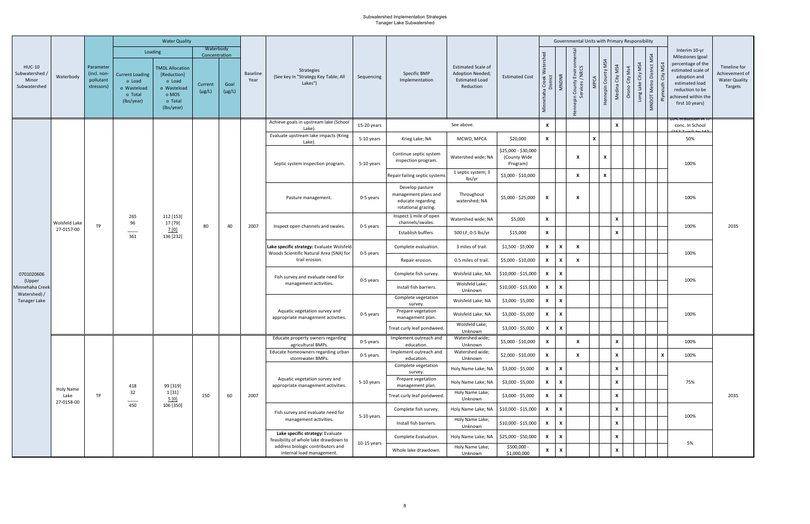|                                                        |                    |                                                     |                                                                          | <b>Water Quality</b>                                                                             |                            |                     |                         |                                                                                      |             |                                                                                     |                                                                                     |                                                 |                                      | Governmental Units with Primary Responsibility |                                                        |                                |                          |                |                                                   |                   |                                                                                                                                                            |                                                                   |
|--------------------------------------------------------|--------------------|-----------------------------------------------------|--------------------------------------------------------------------------|--------------------------------------------------------------------------------------------------|----------------------------|---------------------|-------------------------|--------------------------------------------------------------------------------------|-------------|-------------------------------------------------------------------------------------|-------------------------------------------------------------------------------------|-------------------------------------------------|--------------------------------------|------------------------------------------------|--------------------------------------------------------|--------------------------------|--------------------------|----------------|---------------------------------------------------|-------------------|------------------------------------------------------------------------------------------------------------------------------------------------------------|-------------------------------------------------------------------|
|                                                        |                    |                                                     | Loading                                                                  |                                                                                                  | Waterbody<br>Concentration |                     |                         |                                                                                      |             |                                                                                     |                                                                                     |                                                 |                                      |                                                |                                                        |                                |                          |                |                                                   |                   | Interim 10-yr                                                                                                                                              |                                                                   |
| <b>HUC-10</b><br>Subwatershed<br>Minor<br>Subwatershed | Waterbody          | Parameter<br>(incl. non-<br>pollutant<br>stressors) | <b>Current Loading</b><br>o Load<br>o Wasteload<br>o Total<br>(lbs/year) | <b>TMDL Allocation</b><br>[Reduction]<br>o Load<br>o Wasteload<br>o MOS<br>o Total<br>(lbs/year) | Current<br>$(\mu g/L)$     | Goal<br>$(\mu g/L)$ | <b>Baseline</b><br>Year | <b>Strategies</b><br>(See key in "Strategy Key Table; All<br>Lakes")                 | Sequencing  | Specific BMP<br>Implementation                                                      | <b>Estimated Scale of</b><br>Adoption Needed;<br><b>Estimated Load</b><br>Reduction | <b>Estimated Cost</b>                           | rshed<br>haha Creek<br>District<br>Ξ | MNDNR                                          | h County Environn<br>services / NRCS<br>$\overline{a}$ | County MS4<br>MPCA<br>Hennepin | MS4<br>City<br>dina<br>ξ | Orono City Ms4 | MS4<br>Long Lake City MS4<br>MNDOT Metro District | Plymouth City MS4 | Milestones (goal<br>percentage of the<br>estimated scale of<br>adoption and<br>estimated load<br>reduction to be<br>achieved within the<br>first 10 years) | Timeline for<br>Achievement of<br><b>Water Quality</b><br>Targets |
|                                                        |                    |                                                     |                                                                          |                                                                                                  |                            |                     |                         | Achieve goals in upstream lake (School<br>Lake).                                     | 15-20 years |                                                                                     | See above.                                                                          |                                                 | X                                    |                                                |                                                        |                                | X                        |                |                                                   |                   | conc. In School                                                                                                                                            |                                                                   |
|                                                        |                    |                                                     |                                                                          |                                                                                                  |                            |                     |                         | Evaluate upstream lake impacts (Krieg<br>Lake).                                      | 5-10 years  | Krieg Lake; NA                                                                      | MCWD, MPCA                                                                          | \$20,000                                        | $\mathbf{x}$                         |                                                |                                                        | $\boldsymbol{\mathsf{x}}$      |                          |                |                                                   |                   | 50%                                                                                                                                                        |                                                                   |
|                                                        |                    |                                                     |                                                                          |                                                                                                  |                            |                     |                         | Septic system inspection program.                                                    | 5-10 years  | Continue septic system<br>inspection program.                                       | Watershed wide; NA                                                                  | \$25,000 - \$30,000<br>(County Wide<br>Program) |                                      |                                                | X                                                      | $\boldsymbol{\mathsf{x}}$      |                          |                |                                                   |                   | 100%                                                                                                                                                       |                                                                   |
|                                                        |                    |                                                     |                                                                          |                                                                                                  |                            |                     |                         |                                                                                      |             | Repair failing septic systems                                                       | 1 septic system; 3<br>lbs/yr                                                        | \$3,000 - \$10,000                              |                                      |                                                | X                                                      | $\mathbf{x}$                   |                          |                |                                                   |                   |                                                                                                                                                            |                                                                   |
|                                                        |                    |                                                     |                                                                          |                                                                                                  |                            |                     |                         | Pasture management.                                                                  | 0-5 years   | Develop pasture<br>management plans and<br>educate regarding<br>rotational grazing. | Throughout<br>watershed; NA                                                         | \$5,000 - \$25,000                              | $\boldsymbol{\mathsf{x}}$            |                                                | X                                                      |                                |                          |                |                                                   |                   | 100%                                                                                                                                                       |                                                                   |
|                                                        | Wolsfeld Lake      |                                                     | 265<br>96                                                                | 112 [153]<br>17 [79]                                                                             |                            |                     |                         |                                                                                      | 0-5 years   | Inspect 1 mile of open<br>channels/swales.                                          | Watershed wide; NA                                                                  | \$5,000                                         | $\mathbf{x}$                         |                                                |                                                        |                                | X                        |                |                                                   |                   | 100%                                                                                                                                                       |                                                                   |
|                                                        | 27-0157-00         | <b>TP</b>                                           | 361                                                                      | 7[0]<br>136 [232]                                                                                | 80                         | 40                  | 2007                    | Inspect open channels and swales.                                                    |             | Establish buffers.                                                                  | 500 LF; 0-5 lbs/yr                                                                  | \$15,000                                        | $\mathbf{x}$                         |                                                |                                                        |                                | X                        |                |                                                   |                   |                                                                                                                                                            | 2035                                                              |
|                                                        |                    |                                                     |                                                                          |                                                                                                  |                            |                     |                         | Lake specific strategy: Evaluate Wolsfeld<br>Woods Scientific Natural Area (SNA) for | 0-5 years   | Complete evaluation.                                                                | 3 miles of trail.                                                                   | $$1,500 - $5,000$                               | $\mathbf{x}$                         | X                                              | X                                                      |                                |                          |                |                                                   |                   | 100%                                                                                                                                                       |                                                                   |
|                                                        |                    |                                                     |                                                                          |                                                                                                  |                            |                     |                         | trail erosion.                                                                       |             | Repair erosion.                                                                     | 0.5 miles of trail.                                                                 | \$5,000 - \$10,000                              | $\mathbf{x}$                         | $\mathbf{x}$                                   | X                                                      |                                |                          |                |                                                   |                   |                                                                                                                                                            |                                                                   |
| 0701020606<br>(Upper                                   |                    |                                                     |                                                                          |                                                                                                  |                            |                     |                         | Fish survey and evaluate need for                                                    | 0-5 years   | Complete fish survey.                                                               | Wolsfeld Lake; NA                                                                   | \$10,000 - \$15,000                             | $\mathbf{x}$                         | $\mathbf{x}$                                   |                                                        |                                |                          |                |                                                   |                   | 100%                                                                                                                                                       |                                                                   |
| Minnehaha Creek<br>Watershed) /                        |                    |                                                     |                                                                          |                                                                                                  |                            |                     |                         | management activities.                                                               |             | Install fish barriers.                                                              | Wolsfeld Lake;<br>Unknown                                                           | \$10,000 - \$15,000                             | $\boldsymbol{\mathsf{x}}$            | $\boldsymbol{\mathsf{x}}$                      |                                                        |                                |                          |                |                                                   |                   |                                                                                                                                                            |                                                                   |
| Tanager Lake                                           |                    |                                                     |                                                                          |                                                                                                  |                            |                     |                         |                                                                                      |             | Complete vegetation<br>survey.                                                      | Wolsfeld Lake; NA                                                                   | \$3,000 - \$5,000                               | $\mathbf{x}$                         | $\mathbf{x}$                                   |                                                        |                                |                          |                |                                                   |                   |                                                                                                                                                            |                                                                   |
|                                                        |                    |                                                     |                                                                          |                                                                                                  |                            |                     |                         | Aquatic vegetation survey and<br>appropriate management activities.                  | 0-5 years   | Prepare vegetation<br>management plan.                                              | Wolsfeld Lake; NA                                                                   | \$3,000 - \$5,000                               | $\mathbf{x}$                         | $\boldsymbol{\mathsf{x}}$                      |                                                        |                                |                          |                |                                                   |                   | 100%                                                                                                                                                       |                                                                   |
|                                                        |                    |                                                     |                                                                          |                                                                                                  |                            |                     |                         |                                                                                      |             | Treat curly leaf pondweed.                                                          | Wolsfeld Lake;<br>Unknown                                                           | \$3,000 - \$5,000                               | $\mathbf{x}$                         | $\boldsymbol{\mathsf{x}}$                      |                                                        |                                |                          |                |                                                   |                   |                                                                                                                                                            |                                                                   |
|                                                        |                    |                                                     |                                                                          |                                                                                                  |                            |                     |                         | Educate property owners regarding<br>agricultural BMPs.                              | 0-5 years   | Implement outreach and<br>education.                                                | Watershed wide;<br>Unknown                                                          | \$5,000 - \$10,000                              | $\mathbf{x}$                         |                                                | X                                                      |                                | X                        |                |                                                   |                   | 100%                                                                                                                                                       |                                                                   |
|                                                        |                    |                                                     |                                                                          |                                                                                                  |                            |                     |                         | Educate homeowners regarding urban<br>stormwater BMPs.                               | 0-5 years   | Implement outreach and<br>education.                                                | Watershed wide;<br>Unknown                                                          | \$2,000 - \$10,000                              | $\mathbf{x}$                         |                                                | $\mathbf{x}$                                           |                                | x                        |                |                                                   | $\mathsf{x}$      | 100%                                                                                                                                                       |                                                                   |
|                                                        |                    |                                                     |                                                                          |                                                                                                  |                            |                     |                         |                                                                                      |             | Complete vegetation<br>survey.                                                      | Holy Name Lake; NA                                                                  | \$3,000 - \$5,000                               | $\mathbf{x}$                         | $\mathbf{x}$                                   |                                                        |                                | X                        |                |                                                   |                   |                                                                                                                                                            |                                                                   |
|                                                        | <b>Holy Name</b>   |                                                     | 418                                                                      | 99 [319]                                                                                         |                            |                     |                         | Aquatic vegetation survey and<br>appropriate management activities.                  | 5-10 years  | Prepare vegetation<br>management plan.                                              | Holy Name Lake; NA                                                                  | \$3,000 - \$5,000                               | $\mathbf{x}$                         | $\mathbf{x}$                                   |                                                        |                                | $\mathbf{x}$             |                |                                                   |                   | 75%                                                                                                                                                        |                                                                   |
|                                                        | Lake<br>27-0158-00 | TP                                                  | 32<br>----                                                               | 1 [31]<br>5[0]                                                                                   | 150                        | 60                  | 2007                    |                                                                                      |             | Treat curly leaf pondweed.                                                          | Holy Name Lake;<br>Unknown                                                          | \$3,000 - \$5,000                               | $\mathbf{x}$                         | $\mathbf{x}$                                   |                                                        |                                | x                        |                |                                                   |                   |                                                                                                                                                            | 2035                                                              |
|                                                        |                    |                                                     | 450                                                                      | 106 [350]                                                                                        |                            |                     |                         | Fish survey and evaluate need for                                                    | 5-10 years  | Complete fish survey.                                                               | Holy Name Lake; NA                                                                  | \$10,000 - \$15,000                             | $\mathbf{x}$                         | $\mathbf{x}$                                   |                                                        |                                | x                        |                |                                                   |                   | 100%                                                                                                                                                       |                                                                   |
|                                                        |                    |                                                     |                                                                          |                                                                                                  |                            |                     |                         | management activities.                                                               |             | Install fish barriers.                                                              | Holy Name Lake;<br>Unknown                                                          | \$10,000 - \$15,000                             | $\mathbf{x}$                         | $\mathbf{x}$                                   |                                                        |                                | X                        |                |                                                   |                   |                                                                                                                                                            |                                                                   |
|                                                        |                    |                                                     |                                                                          |                                                                                                  |                            |                     |                         | Lake specific strategy: Evaluate<br>feasibility of whole lake drawdown to            | 10-15 years | Complete Evaluation.                                                                | Holy Name Lake; NA                                                                  | \$25,000 - \$50,000                             | $\mathbf{x}$                         | $\mathbf{x}$                                   |                                                        |                                | x                        |                |                                                   |                   | 5%                                                                                                                                                         |                                                                   |
|                                                        |                    |                                                     |                                                                          |                                                                                                  |                            |                     |                         | address biologic contributors and<br>internal load management.                       |             | Whole lake drawdown.                                                                | Holy Name Lake;<br>Unknown                                                          | \$500,000 -<br>\$1,000,000                      | X                                    | $\mathbf{x}$                                   |                                                        |                                | x                        |                |                                                   |                   |                                                                                                                                                            |                                                                   |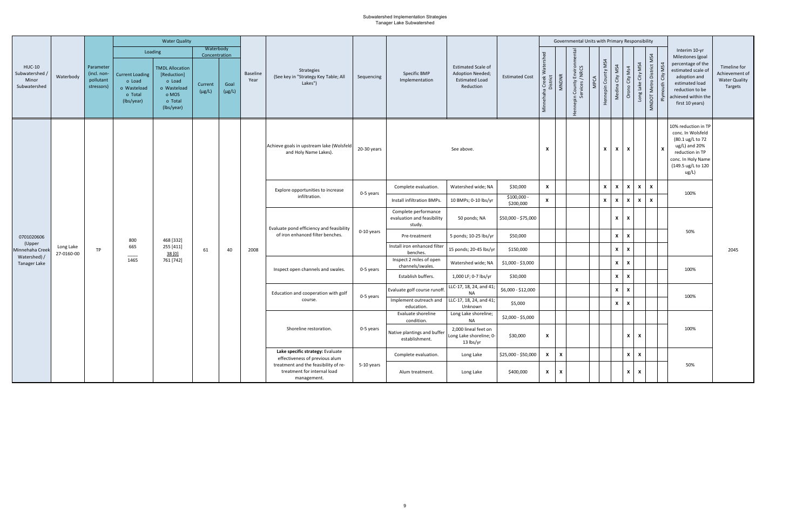|                                                        |                         |                                                     |                                                                          | <b>Water Quality</b>                                                                             |                            |                     |                         |                                                                                    |             |                                                              |                                                                                     |                        |                                                             | Governmental Units with Primary Responsibility |                                |                    |                           |                                                |                   |                                                                                                                                                            |                                                                   |
|--------------------------------------------------------|-------------------------|-----------------------------------------------------|--------------------------------------------------------------------------|--------------------------------------------------------------------------------------------------|----------------------------|---------------------|-------------------------|------------------------------------------------------------------------------------|-------------|--------------------------------------------------------------|-------------------------------------------------------------------------------------|------------------------|-------------------------------------------------------------|------------------------------------------------|--------------------------------|--------------------|---------------------------|------------------------------------------------|-------------------|------------------------------------------------------------------------------------------------------------------------------------------------------------|-------------------------------------------------------------------|
|                                                        |                         |                                                     | Loading                                                                  |                                                                                                  | Waterbody<br>Concentration |                     |                         |                                                                                    |             |                                                              |                                                                                     |                        |                                                             |                                                |                                |                    |                           |                                                |                   | Interim 10-yr                                                                                                                                              |                                                                   |
| <b>HUC-10</b><br>Subwatershed<br>Minor<br>Subwatershed | Waterbody               | Parameter<br>(incl. non-<br>pollutant<br>stressors) | <b>Current Loading</b><br>o Load<br>o Wasteload<br>o Total<br>(Ibs/year) | <b>TMDL Allocation</b><br>[Reduction]<br>o Load<br>o Wasteload<br>o MOS<br>o Total<br>(lbs/year) | Current<br>$(\mu g/L)$     | Goal<br>$(\mu g/L)$ | <b>Baseline</b><br>Year | <b>Strategies</b><br>(See key in "Strategy Key Table; All<br>Lakes")               | Sequencing  | Specific BMP<br>Implementation                               | <b>Estimated Scale of</b><br>Adoption Needed;<br><b>Estimated Load</b><br>Reduction | <b>Estimated Cost</b>  | Watersh<br><b>MNDNR</b><br>ehaha Creek \<br>District<br>Μiη | in County Environ<br>Services / NRCS<br>epi    | County MS4<br>MPCA<br>Hennepin | Medina City MS4    | Orono City Ms4            | MNDOT Metro District MS4<br>Long Lake City MS4 | Plymouth City MS4 | Milestones (goal<br>percentage of the<br>estimated scale of<br>adoption and<br>estimated load<br>reduction to be<br>achieved within the<br>first 10 years) | Timeline for<br>Achievement of<br><b>Water Quality</b><br>Targets |
|                                                        |                         |                                                     |                                                                          |                                                                                                  |                            |                     |                         | Achieve goals in upstream lake (Wolsfeld<br>and Holy Name Lakes).                  | 20-30 years |                                                              | See above.                                                                          |                        | $\boldsymbol{\mathsf{x}}$                                   |                                                | X                              | X                  | $\mathbf{x}$              |                                                | $\pmb{\chi}$      | 10% reduction in TP<br>conc. In Wolsfeld<br>(80.1 ug/L to 72<br>ug/L) and 20%<br>reduction in TP<br>conc. In Holy Name<br>(149.5 ug/L to 120<br>ug/L)      |                                                                   |
|                                                        |                         |                                                     |                                                                          |                                                                                                  |                            |                     |                         | Explore opportunities to increase                                                  |             | Complete evaluation.                                         | Watershed wide; NA                                                                  | \$30,000               | $\pmb{\mathsf{x}}$                                          |                                                | $\boldsymbol{\mathsf{x}}$      | $\mathbf{x}$       | $\boldsymbol{\mathsf{x}}$ | $\mathbf{x}$<br>$\mathbf{x}$                   |                   |                                                                                                                                                            |                                                                   |
|                                                        |                         |                                                     |                                                                          |                                                                                                  |                            |                     |                         | infiltration.                                                                      | 0-5 years   | Install infiltration BMPs.                                   | 10 BMPs; 0-10 lbs/yr                                                                | \$100,000<br>\$200,000 | $\mathbf{x}$                                                |                                                | $\mathbf{x}$                   | $\mathsf{x}$       | $\boldsymbol{\mathsf{x}}$ | $\mathbf{x}$<br>$\boldsymbol{\mathsf{x}}$      |                   | 100%                                                                                                                                                       |                                                                   |
|                                                        |                         |                                                     |                                                                          |                                                                                                  |                            |                     |                         | Evaluate pond efficiency and feasibility                                           |             | Complete performance<br>evaluation and feasibility<br>study. | 50 ponds; NA                                                                        | \$50,000 - \$75,000    |                                                             |                                                |                                | $\mathbf{x}$       | X                         |                                                |                   |                                                                                                                                                            |                                                                   |
| 0701020606                                             |                         |                                                     | 800                                                                      | 468 [332]                                                                                        |                            |                     |                         | of iron enhanced filter benches.                                                   | 0-10 years  | Pre-treatment                                                | 5 ponds; 10-25 lbs/yr                                                               | \$50,000               |                                                             |                                                |                                | $\pmb{\mathsf{X}}$ | $\boldsymbol{\mathsf{x}}$ |                                                |                   | 50%                                                                                                                                                        |                                                                   |
| (Upper<br>Minnehaha Creek                              | Long Lake<br>27-0160-00 | TP                                                  | 665<br>___                                                               | 255 [411]<br>38 [0]                                                                              | 61                         | 40                  | 2008                    |                                                                                    |             | Install iron enhanced filter<br>benches.                     | 15 ponds; 20-45 lbs/yr                                                              | \$150,000              |                                                             |                                                |                                | $\mathsf{x}$       | $\boldsymbol{\mathsf{x}}$ |                                                |                   |                                                                                                                                                            | 2045                                                              |
| Watershed) /<br>Tanager Lake                           |                         |                                                     | 1465                                                                     | 761 [742]                                                                                        |                            |                     |                         | Inspect open channels and swales.                                                  | 0-5 years   | Inspect 2 miles of open<br>channels/swales.                  | Watershed wide; NA                                                                  | \$1,000 - \$3,000      |                                                             |                                                |                                | $\mathsf{x}$       | $\boldsymbol{\mathsf{x}}$ |                                                |                   | 100%                                                                                                                                                       |                                                                   |
|                                                        |                         |                                                     |                                                                          |                                                                                                  |                            |                     |                         |                                                                                    |             | Establish buffers.                                           | 1,000 LF; 0-7 lbs/yr                                                                | \$30,000               |                                                             |                                                |                                | $\mathsf{x}$       | X                         |                                                |                   |                                                                                                                                                            |                                                                   |
|                                                        |                         |                                                     |                                                                          |                                                                                                  |                            |                     |                         | Education and cooperation with golf                                                | 0-5 years   | Evaluate golf course runoff                                  | LLC-17, 18, 24, and 41;<br><b>NA</b>                                                | \$6,000 - \$12,000     |                                                             |                                                |                                | $\mathsf{x}$       | $\boldsymbol{\mathsf{x}}$ |                                                |                   | 100%                                                                                                                                                       |                                                                   |
|                                                        |                         |                                                     |                                                                          |                                                                                                  |                            |                     |                         | course.                                                                            |             | Implement outreach and<br>education.                         | LLC-17, 18, 24, and 41;<br>Unknown                                                  | \$5,000                |                                                             |                                                |                                | $\pmb{\mathsf{X}}$ | $\boldsymbol{\mathsf{x}}$ |                                                |                   |                                                                                                                                                            |                                                                   |
|                                                        |                         |                                                     |                                                                          |                                                                                                  |                            |                     |                         |                                                                                    |             | Evaluate shoreline<br>condition.                             | Long Lake shoreline;<br><b>NA</b>                                                   | \$2,000 - \$5,000      |                                                             |                                                |                                |                    |                           |                                                |                   |                                                                                                                                                            |                                                                   |
|                                                        |                         |                                                     |                                                                          |                                                                                                  |                            |                     |                         | Shoreline restoration.                                                             | 0-5 years   | Native plantings and buffer<br>establishment.                | 2,000 lineal feet on<br>Long Lake shoreline; 0-<br>13 lbs/yr                        | \$30,000               | X                                                           |                                                |                                |                    |                           | $X \mid X$                                     |                   | 100%                                                                                                                                                       |                                                                   |
|                                                        |                         |                                                     |                                                                          |                                                                                                  |                            |                     |                         | Lake specific strategy: Evaluate<br>effectiveness of previous alum                 |             | Complete evaluation.                                         | Long Lake                                                                           | \$25,000 - \$50,000    | $\mathbf{x}$<br>$\mathsf{x}$                                |                                                |                                |                    |                           | $x \mid x$                                     |                   |                                                                                                                                                            |                                                                   |
|                                                        |                         |                                                     |                                                                          |                                                                                                  |                            |                     |                         | treatment and the feasibility of re-<br>treatment for internal load<br>management. | 5-10 years  | Alum treatment.                                              | Long Lake                                                                           | \$400,000              | $\mathsf{x}$<br>X                                           |                                                |                                |                    |                           | $x \mid x$                                     |                   | 50%                                                                                                                                                        |                                                                   |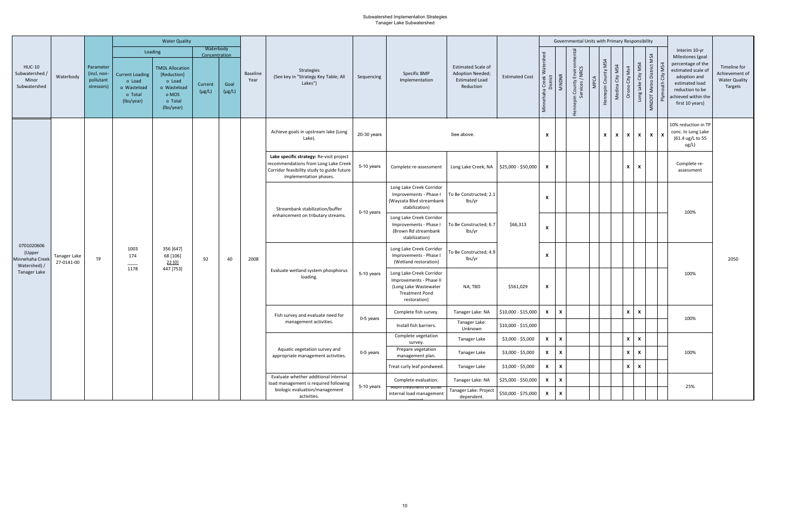|                                                         |                            |                                                     |                                                                          | <b>Water Quality</b>                                                                             |                            |                     |                  |                                                                                                                                                          |             |                                                                                                                       |                                                                                     |                       |                                                        | Governmental Units with Primary Responsibility               |      |                                              |                   |                    |                          |                   |                                                                                                                                        |                                                                   |
|---------------------------------------------------------|----------------------------|-----------------------------------------------------|--------------------------------------------------------------------------|--------------------------------------------------------------------------------------------------|----------------------------|---------------------|------------------|----------------------------------------------------------------------------------------------------------------------------------------------------------|-------------|-----------------------------------------------------------------------------------------------------------------------|-------------------------------------------------------------------------------------|-----------------------|--------------------------------------------------------|--------------------------------------------------------------|------|----------------------------------------------|-------------------|--------------------|--------------------------|-------------------|----------------------------------------------------------------------------------------------------------------------------------------|-------------------------------------------------------------------|
|                                                         |                            |                                                     | Loading                                                                  |                                                                                                  | Waterbody<br>Concentration |                     |                  |                                                                                                                                                          |             |                                                                                                                       |                                                                                     |                       | ರ                                                      |                                                              |      |                                              |                   |                    |                          |                   | Interim 10-yr<br>Milestones (goal                                                                                                      |                                                                   |
| <b>HUC-10</b><br>Subwatershed<br>Minor<br>Subwatershed  | Waterbody                  | Parameter<br>(incl. non-<br>pollutant<br>stressors) | <b>Current Loading</b><br>o Load<br>o Wasteload<br>o Total<br>(lbs/year) | <b>TMDL Allocation</b><br>[Reduction]<br>o Load<br>o Wasteload<br>o MOS<br>o Total<br>(lbs/year) | Current<br>$(\mu g/L)$     | Goal<br>$(\mu g/L)$ | Baseline<br>Year | Strategies<br>(See key in "Strategy Key Table; All<br>Lakes")                                                                                            | Sequencing  | Specific BMP<br>Implementation                                                                                        | <b>Estimated Scale of</b><br>Adoption Needed;<br><b>Estimated Load</b><br>Reduction | <b>Estimated Cost</b> | Watersh<br>haha Creek \<br>District<br>Ξ               | epin County Environr<br>Services / NRCS<br><b>MNDNR</b><br>≘ | MPCA | County MS4<br>City MS4<br>Medina<br>Hennepin | Orono City Ms4    | Long Lake City MS4 | MNDOT Metro District MS4 | Plymouth City MS4 | percentage of the<br>estimated scale of<br>adoption and<br>estimated load<br>reduction to be<br>achieved within the<br>first 10 years) | Timeline for<br>Achievement of<br><b>Water Quality</b><br>Targets |
|                                                         |                            |                                                     |                                                                          |                                                                                                  |                            |                     |                  | Achieve goals in upstream lake (Long<br>Lake).                                                                                                           | 20-30 years |                                                                                                                       | See above.                                                                          |                       | $\boldsymbol{\mathsf{x}}$                              |                                                              |      | X                                            | $\mathsf{x}$<br>X | $\mathsf{x}$       | $\mathbf{x}$             | $\mathbf{x}$      | 10% reduction in TP<br>conc. In Long Lake<br>(61.4 ug/L to 55<br>ug/L)                                                                 |                                                                   |
|                                                         |                            |                                                     |                                                                          |                                                                                                  |                            |                     |                  | Lake specific strategy: Re-visit project<br>recommendations from Long Lake Creek<br>Corridor feasibility study to guide future<br>implementation phases. | 5-10 years  | Complete re-assessment                                                                                                | Long Lake Creek; NA   \$25,000 - \$50,000                                           |                       | $\boldsymbol{\mathsf{x}}$                              |                                                              |      |                                              | X                 | X                  |                          |                   | Complete re-<br>assessment                                                                                                             |                                                                   |
|                                                         |                            |                                                     |                                                                          |                                                                                                  |                            |                     |                  | Streambank stabilization/buffer                                                                                                                          | 0-10 years  | Long Lake Creek Corridor<br>Improvements - Phase I<br>(Wayzata Blvd streambank<br>stabilization)                      | To Be Constructed; 2.1<br>lbs/yr                                                    |                       | $\boldsymbol{x}$                                       |                                                              |      |                                              |                   |                    |                          |                   | 100%                                                                                                                                   |                                                                   |
|                                                         |                            |                                                     |                                                                          |                                                                                                  |                            |                     |                  | enhancement on tributary streams.                                                                                                                        |             | Long Lake Creek Corridor<br>Improvements - Phase I<br>(Brown Rd streambank<br>stabilization)                          | To Be Constructed; 6.7<br>lbs/yr                                                    | \$66,313              | X                                                      |                                                              |      |                                              |                   |                    |                          |                   |                                                                                                                                        |                                                                   |
| 0701020606<br>(Upper<br>Minnehaha Creel<br>Watershed) / | Tanager Lake<br>27-0141-00 | TP                                                  | 1003<br>174                                                              | 356 [647]<br>68 [106]<br>22[0]                                                                   | 92                         | 40                  | 2008             |                                                                                                                                                          |             | Long Lake Creek Corridor<br>Improvements - Phase I<br>(Wetland restoration)                                           | To Be Constructed; 4.9<br>lbs/yr                                                    |                       | $\boldsymbol{x}$                                       |                                                              |      |                                              |                   |                    |                          |                   |                                                                                                                                        | 2050                                                              |
| <b>Tanager Lake</b>                                     |                            |                                                     | 1178                                                                     | 447 [753]                                                                                        |                            |                     |                  | Evaluate wetland system phosphorus<br>loading.                                                                                                           | 5-10 years  | Long Lake Creek Corridor<br>Improvements - Phase II<br>(Long Lake Wastewater<br><b>Treatment Pond</b><br>restoration) | NA; TBD                                                                             | \$561,029             | X                                                      |                                                              |      |                                              |                   |                    |                          |                   | 100%                                                                                                                                   |                                                                   |
|                                                         |                            |                                                     |                                                                          |                                                                                                  |                            |                     |                  | Fish survey and evaluate need for                                                                                                                        | 0-5 years   | Complete fish survey.                                                                                                 | Tanager Lake: NA                                                                    | \$10,000 - \$15,000   | $\boldsymbol{\mathsf{x}}$<br>$\boldsymbol{\mathsf{x}}$ |                                                              |      |                                              | $\mathbf{x}$      | $\mathbf{x}$       |                          |                   | 100%                                                                                                                                   |                                                                   |
|                                                         |                            |                                                     |                                                                          |                                                                                                  |                            |                     |                  | management activities.                                                                                                                                   |             | Install fish barriers.                                                                                                | Tanager Lake:<br>Unknown                                                            | \$10,000 - \$15,000   |                                                        |                                                              |      |                                              |                   |                    |                          |                   |                                                                                                                                        |                                                                   |
|                                                         |                            |                                                     |                                                                          |                                                                                                  |                            |                     |                  |                                                                                                                                                          |             | Complete vegetation<br>survey.                                                                                        | Tanager Lake                                                                        | \$3,000 - \$5,000     | $\mathbf{x}$<br>$\mathbf{x}$                           |                                                              |      |                                              | $\mathbf{x}$      | $\mathbf{x}$       |                          |                   |                                                                                                                                        |                                                                   |
|                                                         |                            |                                                     |                                                                          |                                                                                                  |                            |                     |                  | Aquatic vegetation survey and<br>appropriate management activities.                                                                                      | 0-5 years   | Prepare vegetation<br>management plan.                                                                                | Tanager Lake                                                                        | \$3,000 - \$5,000     | $\mathsf{x}$<br>$\mathbf{x}$                           |                                                              |      |                                              | $\mathbf{x}$      | $\mathbf{x}$       |                          |                   | 100%                                                                                                                                   |                                                                   |
|                                                         |                            |                                                     |                                                                          |                                                                                                  |                            |                     |                  |                                                                                                                                                          |             | Treat curly leaf pondweed.                                                                                            | Tanager Lake                                                                        | \$3,000 - \$5,000     | $\mathsf{x}$                                           | $\mathbf{x}$                                                 |      |                                              | $\mathsf{x}$      | $\mathbf{x}$       |                          |                   |                                                                                                                                        |                                                                   |
|                                                         |                            |                                                     |                                                                          |                                                                                                  |                            |                     |                  | Evaluate whether additional internal<br>load management is required following                                                                            | 5-10 years  | Complete evaluation.<br>Aium treatment or oth                                                                         | Tanager Lake: NA                                                                    | \$25,000 - \$50,000   | $\mathbf{x}$<br>$\mathbf{x}$                           |                                                              |      |                                              |                   |                    |                          |                   | 25%                                                                                                                                    |                                                                   |
|                                                         |                            |                                                     |                                                                          |                                                                                                  |                            |                     |                  | biologic evaluation/management<br>activities.                                                                                                            |             | internal load management                                                                                              | Tanager Lake: Project<br>dependent.                                                 | \$50,000 - \$75,000   | $\mathbf{x}$                                           | $\mathbf{x}$                                                 |      |                                              |                   |                    |                          |                   |                                                                                                                                        |                                                                   |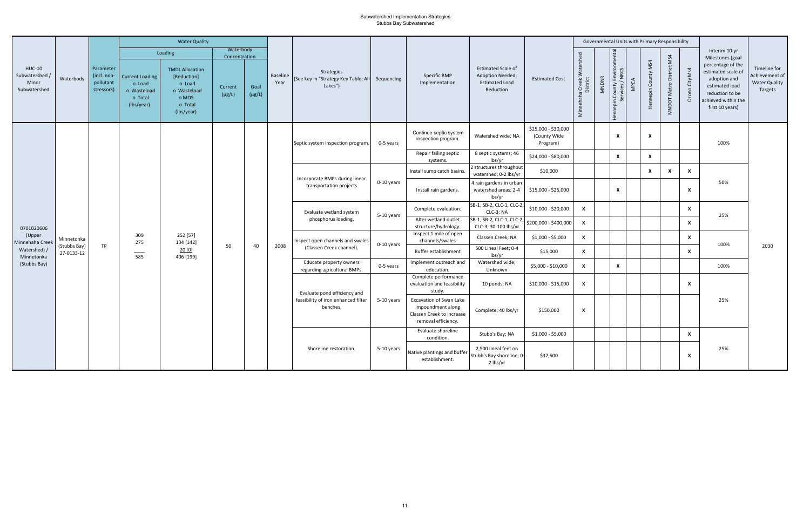## Subwatershed Implementation Strategies Stubbs Bay Subwatershed

|                                                          |                            |                                                     |                                                                                                                                                                                                                                                                                                                                                                                                                                                                                   | <b>Water Quality</b>                                                                             |                            |                     |                         |                                                                      |              |                                                                                                  |                                                                                     |                                                 |                                      | Governmental Units with Primary Responsibility            |                           |                              |                           |                           |                                                                                                                                        |                                                                   |
|----------------------------------------------------------|----------------------------|-----------------------------------------------------|-----------------------------------------------------------------------------------------------------------------------------------------------------------------------------------------------------------------------------------------------------------------------------------------------------------------------------------------------------------------------------------------------------------------------------------------------------------------------------------|--------------------------------------------------------------------------------------------------|----------------------------|---------------------|-------------------------|----------------------------------------------------------------------|--------------|--------------------------------------------------------------------------------------------------|-------------------------------------------------------------------------------------|-------------------------------------------------|--------------------------------------|-----------------------------------------------------------|---------------------------|------------------------------|---------------------------|---------------------------|----------------------------------------------------------------------------------------------------------------------------------------|-------------------------------------------------------------------|
|                                                          |                            |                                                     |                                                                                                                                                                                                                                                                                                                                                                                                                                                                                   | Loading                                                                                          | Waterbody<br>Concentration |                     |                         |                                                                      |              |                                                                                                  |                                                                                     |                                                 | ರ                                    |                                                           |                           |                              |                           |                           | Interim 10-yr<br>Milestones (goal                                                                                                      |                                                                   |
| <b>HUC-10</b><br>Subwatershed /<br>Minor<br>Subwatershed | Waterbody                  | Parameter<br>(incl. non-<br>pollutant<br>stressors) | <b>Current Loading</b><br>o Load<br>o Wasteload<br>o Total<br>(lbs/year)                                                                                                                                                                                                                                                                                                                                                                                                          | <b>TMDL Allocation</b><br>[Reduction]<br>o Load<br>o Wasteload<br>o MOS<br>o Total<br>(lbs/year) | Current<br>$(\mu g/L)$     | Goal<br>$(\mu g/L)$ | <b>Baseline</b><br>Year | <b>Strategies</b><br>(See key in "Strategy Key Table; All<br>Lakes") | Sequencing   | Specific BMP<br>Implementation                                                                   | <b>Estimated Scale of</b><br>Adoption Needed;<br><b>Estimated Load</b><br>Reduction | <b>Estimated Cost</b>                           | $\geq$<br>a Creek \<br>District<br>Ξ | ironmental<br>CS<br>County Envi<br>ervices / NRC<br>MNDNR | MPCA<br>Hennepin G<br>Se  | Inty MS4<br>ennepin Cou<br>Ĭ | MNDOT Metro District MS4  | Ms4<br>City<br>Orono      | percentage of the<br>estimated scale of<br>adoption and<br>estimated load<br>reduction to be<br>achieved within the<br>first 10 years) | Timeline for<br>Achievement of<br><b>Water Quality</b><br>Targets |
|                                                          |                            |                                                     |                                                                                                                                                                                                                                                                                                                                                                                                                                                                                   |                                                                                                  |                            |                     |                         | Septic system inspection program.                                    | 0-5 years    | Continue septic system<br>inspection program.                                                    | Watershed wide; NA                                                                  | \$25,000 - \$30,000<br>(County Wide<br>Program) |                                      |                                                           | $\boldsymbol{\mathsf{x}}$ | X                            |                           |                           | 100%                                                                                                                                   |                                                                   |
|                                                          |                            |                                                     |                                                                                                                                                                                                                                                                                                                                                                                                                                                                                   |                                                                                                  |                            |                     |                         |                                                                      |              | Repair failing septic<br>systems.                                                                | 8 septic systems; 46<br>lbs/yr                                                      | \$24,000 - \$80,000                             |                                      |                                                           | $\boldsymbol{\mathsf{x}}$ | X                            |                           |                           |                                                                                                                                        |                                                                   |
|                                                          |                            |                                                     |                                                                                                                                                                                                                                                                                                                                                                                                                                                                                   |                                                                                                  |                            |                     |                         |                                                                      |              | Install sump catch basins.                                                                       | 2 structures throughout<br>watershed; 0-2 lbs/yr                                    | \$10,000                                        |                                      |                                                           |                           | $\boldsymbol{x}$             | $\boldsymbol{\mathsf{x}}$ | $\mathbf{x}$              |                                                                                                                                        |                                                                   |
|                                                          |                            |                                                     |                                                                                                                                                                                                                                                                                                                                                                                                                                                                                   |                                                                                                  |                            |                     |                         | Incorporate BMPs during linear<br>transportation projects            | $0-10$ years | Install rain gardens.                                                                            | 4 rain gardens in urban<br>watershed areas; 2-4<br>lbs/yr                           | \$15,000 - \$25,000                             |                                      |                                                           | $\boldsymbol{\mathsf{x}}$ |                              |                           | $\mathbf{x}$              | 50%                                                                                                                                    |                                                                   |
|                                                          |                            |                                                     |                                                                                                                                                                                                                                                                                                                                                                                                                                                                                   |                                                                                                  |                            |                     |                         | Evaluate wetland system                                              |              | Complete evaluation.                                                                             | SB-1, SB-2, CLC-1, CLC-2,<br>CLC-3; NA                                              | \$10,000 - \$20,000                             | $\mathbf{x}$                         |                                                           |                           |                              |                           | $\mathbf{x}$              | 25%                                                                                                                                    |                                                                   |
| 0701020606                                               |                            |                                                     |                                                                                                                                                                                                                                                                                                                                                                                                                                                                                   |                                                                                                  |                            |                     |                         | phosphorus loading.                                                  | 5-10 years   | Alter wetland outlet<br>structure/hydrology                                                      | SB-1, SB-2, CLC-1, CLC-2,<br>CLC-3; 30-100 lbs/yr                                   | \$200,000 - \$400,000                           | $\mathbf{x}$                         |                                                           |                           |                              |                           | $\mathbf{x}$              |                                                                                                                                        |                                                                   |
| (Upper<br>Minnehaha Creek                                | Minnetonka                 |                                                     | 309<br>275                                                                                                                                                                                                                                                                                                                                                                                                                                                                        | 252 [57]<br>134 [142]                                                                            |                            |                     |                         | nspect open channels and swales                                      | $0-10$ years | Inspect 1 mile of open<br>channels/swales                                                        | Classen Creek; NA                                                                   | $$1,000 - $5,000$                               | $\mathsf{x}$                         |                                                           |                           |                              |                           | $\boldsymbol{\mathsf{x}}$ | 100%                                                                                                                                   |                                                                   |
| Watershed) /<br>Minnetonka                               | (Stubbs Bay)<br>27-0133-12 | TP                                                  | $\frac{1}{2} \left( \frac{1}{2} \right) \left( \frac{1}{2} \right) \left( \frac{1}{2} \right) \left( \frac{1}{2} \right) \left( \frac{1}{2} \right) \left( \frac{1}{2} \right) \left( \frac{1}{2} \right) \left( \frac{1}{2} \right) \left( \frac{1}{2} \right) \left( \frac{1}{2} \right) \left( \frac{1}{2} \right) \left( \frac{1}{2} \right) \left( \frac{1}{2} \right) \left( \frac{1}{2} \right) \left( \frac{1}{2} \right) \left( \frac{1}{2} \right) \left( \frac$<br>585 | 20[0]<br>406 [199]                                                                               | 50                         | 40                  | 2008                    | (Classen Creek channel).                                             |              | Buffer establishment                                                                             | 500 Lineal Feet; 0-4<br>lbs/yr                                                      | \$15,000                                        | $\boldsymbol{\mathsf{x}}$            |                                                           |                           |                              |                           | $\pmb{\mathsf{x}}$        |                                                                                                                                        | 2030                                                              |
| (Stubbs Bay)                                             |                            |                                                     |                                                                                                                                                                                                                                                                                                                                                                                                                                                                                   |                                                                                                  |                            |                     |                         | Educate property owners<br>regarding agricultural BMPs.              | $0-5$ years  | Implement outreach and<br>education.                                                             | Watershed wide;<br>Unknown                                                          | \$5,000 - \$10,000                              | $\mathbf{x}$                         |                                                           | $\mathbf{x}$              |                              |                           |                           | 100%                                                                                                                                   |                                                                   |
|                                                          |                            |                                                     |                                                                                                                                                                                                                                                                                                                                                                                                                                                                                   |                                                                                                  |                            |                     |                         | Evaluate pond efficiency and                                         |              | Complete performance<br>evaluation and feasibility<br>study.                                     | 10 ponds; NA                                                                        | \$10,000 - \$15,000                             | $\boldsymbol{\mathsf{x}}$            |                                                           |                           |                              |                           | $\mathbf{x}$              |                                                                                                                                        |                                                                   |
|                                                          |                            |                                                     |                                                                                                                                                                                                                                                                                                                                                                                                                                                                                   |                                                                                                  |                            |                     |                         | feasibility of iron enhanced filter<br>benches.                      | 5-10 years   | Excavation of Swan Lake<br>impoundment along<br>Classen Creek to increase<br>removal efficiency. | Complete; 40 lbs/yr                                                                 | \$150,000                                       | $\boldsymbol{\mathsf{x}}$            |                                                           |                           |                              |                           |                           | 25%                                                                                                                                    |                                                                   |
|                                                          |                            |                                                     |                                                                                                                                                                                                                                                                                                                                                                                                                                                                                   |                                                                                                  |                            |                     |                         |                                                                      |              | Evaluate shoreline<br>condition.                                                                 | Stubb's Bay; NA                                                                     | \$1,000 - \$5,000                               |                                      |                                                           |                           |                              |                           | $\mathbf{x}$              |                                                                                                                                        |                                                                   |
|                                                          |                            |                                                     |                                                                                                                                                                                                                                                                                                                                                                                                                                                                                   |                                                                                                  |                            |                     |                         | Shoreline restoration.                                               | 5-10 years   | Native plantings and buffer<br>establishment.                                                    | 2,500 lineal feet on<br>Stubb's Bay shoreline; 0-<br>2 lbs/yr                       | \$37,500                                        |                                      |                                                           |                           |                              |                           | $\mathbf{x}$              | 25%                                                                                                                                    |                                                                   |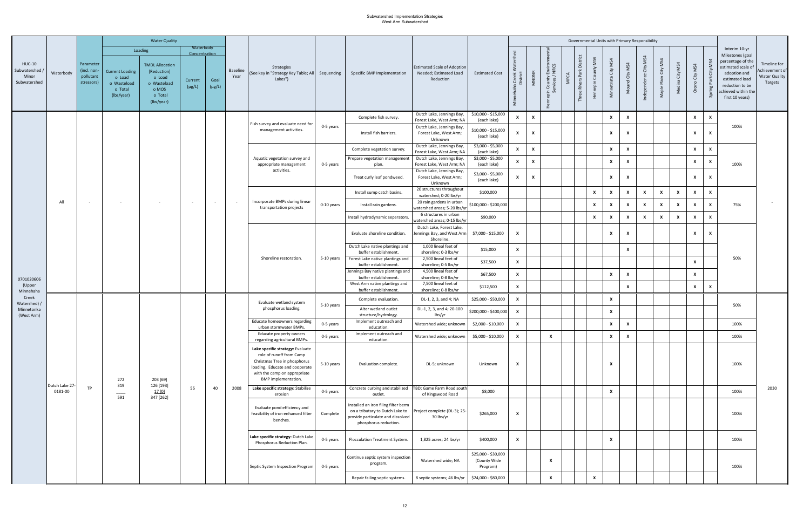#### Subwatershed Implementation StrategiesWest Arm Subwatershed

|                                                          |                           |                                                     |                                                                          | <b>Water Quality</b>                                                                             |                            |                     |                         |                                                                                                                                                                                       |            |                                                                                               |                                                                           |                                                 |                             |              |              |             |                                   | Governmental Units with Primary Responsibility |                               |                        |                  |                  |                           |                           |                                                                                                                                      |                                                                   |
|----------------------------------------------------------|---------------------------|-----------------------------------------------------|--------------------------------------------------------------------------|--------------------------------------------------------------------------------------------------|----------------------------|---------------------|-------------------------|---------------------------------------------------------------------------------------------------------------------------------------------------------------------------------------|------------|-----------------------------------------------------------------------------------------------|---------------------------------------------------------------------------|-------------------------------------------------|-----------------------------|--------------|--------------|-------------|-----------------------------------|------------------------------------------------|-------------------------------|------------------------|------------------|------------------|---------------------------|---------------------------|--------------------------------------------------------------------------------------------------------------------------------------|-------------------------------------------------------------------|
|                                                          |                           |                                                     |                                                                          | Loading                                                                                          | Waterbody<br>Concentration |                     |                         |                                                                                                                                                                                       |            |                                                                                               |                                                                           |                                                 |                             |              |              |             |                                   |                                                |                               |                        |                  |                  |                           |                           | Interim 10-yr<br>Milestones (goal                                                                                                    |                                                                   |
| <b>HUC-10</b><br>Subwatershed /<br>Minor<br>Subwatershed | Waterbody                 | Parameter<br>(incl. non-<br>pollutant<br>stressors) | <b>Current Loading</b><br>o Load<br>o Wasteload<br>o Total<br>(lbs/year) | <b>TMDL Allocation</b><br>[Reduction]<br>o Load<br>o Wasteload<br>o MOS<br>o Total<br>(lbs/year) | Current<br>$(\mu g/L)$     | Goal<br>$(\mu g/L)$ | <b>Baseline</b><br>Year | Strategies<br>(See key in "Strategy Key Table; All Sequencing<br>Lakes")                                                                                                              |            | Specific BMP Implementation                                                                   | <b>Estimated Scale of Adoption</b><br>Needed; Estimated Load<br>Reduction | <b>Estimated Cost</b>                           | a Cre<br>Distr<br>$\bar{z}$ | MNDNR        | $\subset$    | <b>Dist</b> | MS4<br>¥<br>론<br>°C<br><b>َبِ</b> | Ĝ<br>Σ                                         | MS4<br>City<br>$\overline{2}$ | MS4<br>City<br>بو<br>≞ | MS4<br>City<br>Σ | MS4<br>City<br>Σ | MS4<br>City<br>ō          |                           | percentage of the<br>estimated scale o<br>adoption and<br>estimated load<br>reduction to be<br>chieved within the<br>first 10 years) | Timeline for<br>Achievement of<br><b>Water Quality</b><br>Targets |
|                                                          |                           |                                                     |                                                                          |                                                                                                  |                            |                     |                         |                                                                                                                                                                                       |            | Complete fish survey.                                                                         | Dutch Lake, Jennings Bay,<br>Forest Lake, West Arm; NA                    | \$10,000 - \$15,000<br>(each lake)              | x                           | $\mathbf{x}$ |              |             |                                   | $\mathbf{x}$                                   | $\mathbf{x}$                  |                        |                  |                  | $\mathsf{x}$              | $\mathbf{x}$              |                                                                                                                                      |                                                                   |
|                                                          |                           |                                                     |                                                                          |                                                                                                  |                            |                     |                         | Fish survey and evaluate need for<br>management activities.                                                                                                                           | 0-5 years  | Install fish barriers.                                                                        | Dutch Lake, Jennings Bay,<br>Forest Lake, West Arm;<br>Unknown            | \$10,000 - \$15,000<br>(each lake)              | $\mathsf{x}$                | $\mathbf{x}$ |              |             |                                   | $\mathbf{x}$                                   | $\mathbf{x}$                  |                        |                  |                  | $\mathsf{x}$              | $\boldsymbol{\mathsf{x}}$ | 100%                                                                                                                                 |                                                                   |
|                                                          |                           |                                                     |                                                                          |                                                                                                  |                            |                     |                         |                                                                                                                                                                                       |            | Complete vegetation survey.                                                                   | Dutch Lake, Jennings Bay,                                                 | \$3,000 - \$5,000                               | $\mathbf{x}$                | $\mathbf{x}$ |              |             |                                   | $\mathbf{x}$                                   | $\mathbf{x}$                  |                        |                  |                  | $\boldsymbol{\mathsf{x}}$ | $\mathbf{x}$              |                                                                                                                                      |                                                                   |
|                                                          |                           |                                                     |                                                                          |                                                                                                  |                            |                     |                         | Aquatic vegetation survey and                                                                                                                                                         |            | Prepare vegetation management                                                                 | Forest Lake, West Arm; NA<br>Dutch Lake, Jennings Bay,                    | (each lake)<br>\$3,000 - \$5,000                | x                           | $\mathbf{x}$ |              |             |                                   | $\mathbf{x}$                                   | $\mathbf{x}$                  |                        |                  |                  | $\mathbf{x}$              | $\mathbf{x}$              |                                                                                                                                      |                                                                   |
|                                                          |                           |                                                     |                                                                          |                                                                                                  |                            |                     |                         | appropriate management<br>activities.                                                                                                                                                 | 0-5 years  | plan.                                                                                         | Forest Lake, West Arm; NA<br>Dutch Lake, Jennings Bay,                    | (each lake)<br>\$3,000 - \$5,000                |                             |              |              |             |                                   |                                                |                               |                        |                  |                  |                           |                           | 100%                                                                                                                                 |                                                                   |
|                                                          |                           |                                                     |                                                                          |                                                                                                  |                            |                     |                         |                                                                                                                                                                                       |            | Treat curly leaf pondweed.                                                                    | Forest Lake, West Arm;<br>Unknown                                         | (each lake)                                     | x                           | $\mathbf{x}$ |              |             |                                   | $\mathbf{x}$                                   | $\mathbf{x}$                  |                        |                  |                  | $\mathsf{x}$              | $\mathbf{x}$              |                                                                                                                                      |                                                                   |
|                                                          |                           |                                                     |                                                                          |                                                                                                  |                            |                     |                         |                                                                                                                                                                                       |            | Install sump catch basins.                                                                    | 20 structures throughout<br>watershed; 0-20 lbs/yr                        | \$100,000                                       |                             |              |              |             | X                                 | $\mathbf{x}$                                   | $\mathbf{x}$                  | $\mathbf{x}$           | $\mathbf{x}$     | $\mathbf{x}$     | $\mathbf{x}$              | $\mathbf{x}$              |                                                                                                                                      |                                                                   |
|                                                          | All                       | $\sim$                                              | $\sim$                                                                   | $\sim$                                                                                           | $\sim$                     | $\sim$              |                         | Incorporate BMPs during linear<br>transportation projects                                                                                                                             | 0-10 years | Install rain gardens.                                                                         | 20 rain gardens in urban<br>watershed areas; 5-20 lbs/yr                  | \$100,000 - \$200,000                           |                             |              |              |             | $\mathsf{x}$                      | $\mathbf{x}$                                   | $\mathsf{x}$                  | $\mathbf{x}$           | X                | X                | $\mathbf{x}$              | $\boldsymbol{\mathsf{x}}$ | 75%                                                                                                                                  | $\sim$                                                            |
|                                                          |                           |                                                     |                                                                          |                                                                                                  |                            |                     |                         |                                                                                                                                                                                       |            | Install hydrodynamic separators.                                                              | 6 structures in urban<br>watershed areas; 0-15 lbs/yr                     | \$90,000                                        |                             |              |              |             | $\mathsf{x}$                      | $\boldsymbol{\mathsf{x}}$                      | $\mathbf{x}$                  | $\mathbf{x}$           | $\mathsf{x}$     | $\mathbf{x}$     | $\mathsf{x}$              | $\boldsymbol{\mathsf{x}}$ |                                                                                                                                      |                                                                   |
|                                                          |                           |                                                     |                                                                          |                                                                                                  |                            |                     |                         |                                                                                                                                                                                       |            | Evaluate shoreline condition.                                                                 | Dutch Lake, Forest Lake,<br>Jennings Bay, and West Arm<br>Shoreline.      | \$7,000 - \$15,000                              | $\mathbf{x}$                |              |              |             |                                   | $\mathbf{x}$                                   | $\mathbf{x}$                  |                        |                  |                  | $\mathsf{x}$              | $\boldsymbol{\mathsf{x}}$ |                                                                                                                                      |                                                                   |
|                                                          |                           |                                                     |                                                                          |                                                                                                  |                            |                     |                         |                                                                                                                                                                                       |            | Dutch Lake native plantings and<br>buffer establishment.                                      | 1,000 lineal feet of<br>shoreline; 0-3 lbs/yr                             | \$15,000                                        | $\mathbf{x}$                |              |              |             |                                   |                                                | $\mathbf{x}$                  |                        |                  |                  |                           |                           |                                                                                                                                      |                                                                   |
|                                                          |                           |                                                     |                                                                          |                                                                                                  |                            |                     |                         | Shoreline restoration.                                                                                                                                                                | 5-10 years | Forest Lake native plantings and<br>buffer establishment.                                     | 2,500 lineal feet of<br>shoreline; 0-5 lbs/yr                             | \$37,500                                        | $\mathbf{x}$                |              |              |             |                                   |                                                |                               |                        |                  |                  | $\mathsf{x}$              |                           | 50%                                                                                                                                  |                                                                   |
|                                                          |                           |                                                     |                                                                          |                                                                                                  |                            |                     |                         |                                                                                                                                                                                       |            | Jennings Bay native plantings and<br>buffer establishment.                                    | 4,500 lineal feet of<br>shoreline; 0-8 lbs/yr                             | \$67,500                                        | $\mathbf{x}$                |              |              |             |                                   | $\mathbf{x}$                                   | $\mathbf{x}$                  |                        |                  |                  | $\mathbf{x}$              |                           |                                                                                                                                      |                                                                   |
| 0701020606<br>(Upper<br>Minnehaha                        |                           |                                                     |                                                                          |                                                                                                  |                            |                     |                         |                                                                                                                                                                                       |            | West Arm native plantings and<br>buffer establishment.                                        | 7,500 lineal feet of<br>shoreline; 0-8 lbs/yr                             | \$112,500                                       | $\mathbf{x}$                |              |              |             |                                   |                                                | x                             |                        |                  |                  | $\mathsf{x}$              | $\mathbf{x}$              |                                                                                                                                      |                                                                   |
| Creek<br>Watershed) /                                    |                           |                                                     |                                                                          |                                                                                                  |                            |                     |                         | Evaluate wetland system                                                                                                                                                               |            | Complete evaluation.                                                                          | DL-1, 2, 3, and 4; NA                                                     | \$25,000 - \$50,000                             | $\mathbf{x}$                |              |              |             |                                   | $\mathbf{x}$                                   |                               |                        |                  |                  |                           |                           |                                                                                                                                      |                                                                   |
| Minnetonka<br>(West Arm)                                 |                           |                                                     |                                                                          |                                                                                                  |                            |                     |                         | phosphorus loading.                                                                                                                                                                   | 5-10 years | Alter wetland outlet<br>structure/hydrology.                                                  | DL-1, 2, 3, and 4; 20-100<br>lbs/yr                                       | \$200,000 - \$400,000                           | $\boldsymbol{\mathsf{x}}$   |              |              |             |                                   | $\mathbf{x}$                                   |                               |                        |                  |                  |                           |                           | 50%                                                                                                                                  |                                                                   |
|                                                          |                           |                                                     |                                                                          |                                                                                                  |                            |                     |                         | Educate homeowners regarding<br>urban stormwater BMPs.                                                                                                                                | 0-5 years  | Implement outreach and<br>education.                                                          | Watershed wide; unknown                                                   | \$2,000 - \$10,000                              | $\boldsymbol{\mathsf{x}}$   |              |              |             |                                   | $\mathbf{x}$                                   | $\mathbf{x}$                  |                        |                  |                  |                           |                           | 100%                                                                                                                                 |                                                                   |
|                                                          |                           |                                                     |                                                                          |                                                                                                  |                            |                     |                         | Educate property owners<br>regarding agricultural BMPs.                                                                                                                               | 0-5 years  | Implement outreach and<br>education.                                                          | Watershed wide; unknown                                                   | \$5,000 - \$10,000                              | $\mathbf{x}$                |              | $\mathbf{x}$ |             |                                   | $\mathbf{x}$                                   | $\mathbf{x}$                  |                        |                  |                  |                           |                           | 100%                                                                                                                                 |                                                                   |
|                                                          |                           |                                                     | 272                                                                      | 203 [69]                                                                                         |                            |                     |                         | Lake specific strategy: Evaluate<br>role of runoff from Camp<br>Christmas Tree in phosphorus<br>loading. Educate and cooperate<br>with the camp on appropriate<br>BMP implementation. | 5-10 years | Evaluation complete.                                                                          | DL-5; unknown                                                             | Unknown                                         | $\mathbf{x}$                |              |              |             |                                   | $\boldsymbol{\mathsf{x}}$                      |                               |                        |                  |                  |                           |                           | 100%                                                                                                                                 |                                                                   |
|                                                          | Dutch Lake 27-<br>0181-00 | TP                                                  | 319<br>$\hspace{1.5cm} \overbrace{ }^{}$                                 | 126 [193]<br>17 [0]                                                                              | 55                         | 40                  | 2008                    | Lake specific strategy: Stabilize                                                                                                                                                     | 0-5 years  | Concrete curbing and stabilized   TBD; Game Farm Road south                                   |                                                                           | \$8,000                                         |                             |              |              |             |                                   | $\mathbf{x}$                                   |                               |                        |                  |                  |                           |                           | 100%                                                                                                                                 | 2030                                                              |
|                                                          |                           |                                                     | 591                                                                      | 347 [262]                                                                                        |                            |                     |                         | erosion                                                                                                                                                                               |            | outlet.<br>Installed an iron filing filter berm                                               | of Kingswood Road                                                         |                                                 |                             |              |              |             |                                   |                                                |                               |                        |                  |                  |                           |                           |                                                                                                                                      |                                                                   |
|                                                          |                           |                                                     |                                                                          |                                                                                                  |                            |                     |                         | Evaluate pond efficiency and<br>feasibility of iron enhanced filter<br>benches.                                                                                                       | Complete   | on a tributary to Dutch Lake to<br>provide particulate and dissolved<br>phosphorus reduction. | Project complete (DL-3); 25-<br>30 lbs/yr                                 | \$265,000                                       | $\mathbf{x}$                |              |              |             |                                   |                                                |                               |                        |                  |                  |                           |                           | 100%                                                                                                                                 |                                                                   |
|                                                          |                           |                                                     |                                                                          |                                                                                                  |                            |                     |                         | Lake specific strategy: Dutch Lake<br>Phosphorus Reduction Plan.                                                                                                                      | 0-5 years  | Flocculation Treatment System.                                                                | 1,825 acres; 24 lbs/yr                                                    | \$400,000                                       | $\mathbf{x}$                |              |              |             |                                   | $\mathbf{x}$                                   |                               |                        |                  |                  |                           |                           | 100%                                                                                                                                 |                                                                   |
|                                                          |                           |                                                     |                                                                          |                                                                                                  |                            |                     |                         | Septic System Inspection Program                                                                                                                                                      | 0-5 years  | Continue septic system inspection<br>program.                                                 | Watershed wide; NA                                                        | \$25,000 - \$30,000<br>(County Wide<br>Program) |                             |              | x            |             |                                   |                                                |                               |                        |                  |                  |                           |                           | 100%                                                                                                                                 |                                                                   |
|                                                          |                           |                                                     |                                                                          |                                                                                                  |                            |                     |                         |                                                                                                                                                                                       |            | Repair failing septic systems.                                                                | 8 septic systems; 46 lbs/yr                                               | \$24,000 - \$80,000                             |                             |              | x            |             | $\mathbf{x}$                      |                                                |                               |                        |                  |                  |                           |                           |                                                                                                                                      |                                                                   |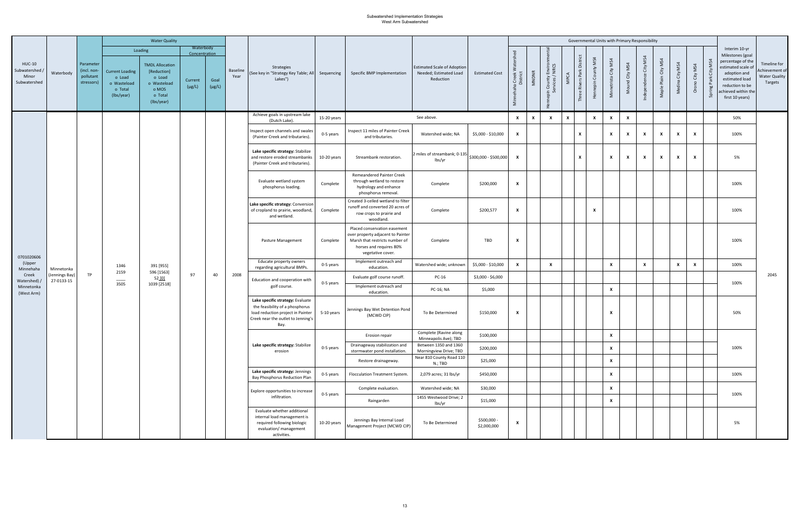#### Subwatershed Implementation StrategiesWest Arm Subwatershed

|                                                         |                             |                                                     |                                                                          | <b>Water Quality</b>                                                                                        |                                                      |                     |                  |                                                                                                                                                        |               |                                                                                                                                                     |                                                                                      |                          |                                             |                           |                                                               |              |                      |                    |                              | Governmental Units with Primary Responsibility |               |                               |                                           |                  |   |                                                                                                                                                                            |                                                                   |
|---------------------------------------------------------|-----------------------------|-----------------------------------------------------|--------------------------------------------------------------------------|-------------------------------------------------------------------------------------------------------------|------------------------------------------------------|---------------------|------------------|--------------------------------------------------------------------------------------------------------------------------------------------------------|---------------|-----------------------------------------------------------------------------------------------------------------------------------------------------|--------------------------------------------------------------------------------------|--------------------------|---------------------------------------------|---------------------------|---------------------------------------------------------------|--------------|----------------------|--------------------|------------------------------|------------------------------------------------|---------------|-------------------------------|-------------------------------------------|------------------|---|----------------------------------------------------------------------------------------------------------------------------------------------------------------------------|-------------------------------------------------------------------|
| <b>HUC-10</b><br>ubwatershed /<br>Minor<br>Subwatershed | Waterbody                   | Parameter<br>(incl. non-<br>pollutant<br>stressors) | <b>Current Loading</b><br>o Load<br>o Wasteload<br>o Total<br>(lbs/year) | Loading<br><b>TMDL Allocation</b><br>[Reduction]<br>o Load<br>o Wasteload<br>o MOS<br>o Total<br>(lbs/year) | Waterbody<br>Concentration<br>Current<br>$(\mu g/L)$ | Goal<br>$(\mu g/L)$ | Baseline<br>Year | Strategies<br>(See key in "Strategy Key Table; All<br>Lakes")                                                                                          | Sequencing    | Specific BMP Implementation                                                                                                                         | <b>Estimated Scale of Adoption</b><br>Needed; Estimated Load<br>Reduction            | <b>Estimated Cost</b>    | a Cree<br>Distri<br>$\overline{\mathbf{z}}$ | <b>MNDNR</b>              | Enviro<br>'NRCS<br>unty<br>ices /<br><b>co</b><br>$rac{1}{5}$ | ర            | Dist<br>rs Park<br>் | MS4<br>$\geq$<br>Ğ | $M_{24}$<br>diy<br>ista<br>Ξ | MS4<br>City<br>$\vec{E}$<br>Σ                  | City MS4<br>ප | MS4<br>Gty<br>$\ddot{\Sigma}$ | MS4<br>City<br>$\boldsymbol{\varpi}$<br>ž | MS4<br>City<br>ō | C | Interim 10-yr<br>Milestones (goal<br>percentage of the<br>estimated scale of<br>adoption and<br>estimated load<br>reduction to be<br>chieved within the<br>first 10 years) | Timeline for<br>Achievement of<br><b>Water Quality</b><br>Targets |
|                                                         |                             |                                                     |                                                                          |                                                                                                             |                                                      |                     |                  | Achieve goals in upstream lake<br>(Dutch Lake).                                                                                                        | 15-20 years   |                                                                                                                                                     | See above.                                                                           |                          | $\mathbf{x}$                                | $\boldsymbol{\mathsf{x}}$ | $\mathbf{x}$                                                  | $\mathbf{x}$ |                      | x                  | $\mathbf{x}$                 | $\mathbf{x}$                                   |               |                               |                                           |                  |   | 50%                                                                                                                                                                        |                                                                   |
|                                                         |                             |                                                     |                                                                          |                                                                                                             |                                                      |                     |                  | Inspect open channels and swales<br>(Painter Creek and tributaries).                                                                                   | 0-5 years     | Inspect 11 miles of Painter Creek<br>and tributaries.                                                                                               | Watershed wide; NA                                                                   | \$5,000 - \$10,000       | $\mathbf{x}$                                |                           |                                                               |              | $\mathbf{x}$         |                    | $\mathbf{x}$                 | $\mathbf{x}$                                   | $\mathbf{x}$  | $\mathbf{x}$                  | $\mathbf{x}$                              | $\mathsf{x}$     |   | 100%                                                                                                                                                                       |                                                                   |
|                                                         |                             |                                                     |                                                                          |                                                                                                             |                                                      |                     |                  | Lake specific strategy: Stabilize<br>and restore eroded streambanks<br>(Painter Creek and tributaries).                                                | $10-20$ years | Streambank restoration.                                                                                                                             | $\left 2 \text{ miles of streambank; } 0.135\right $ \$300,000 - \$500,000<br>lbs/yr |                          | $\mathbf{x}$                                |                           |                                                               |              | $\mathbf{x}$         |                    | $\mathbf{x}$                 | $\mathbf{x}$                                   | $\mathbf{x}$  | $\mathbf{x}$                  | $\mathbf{x}$                              | $\mathbf{x}$     |   | 5%                                                                                                                                                                         |                                                                   |
|                                                         |                             |                                                     |                                                                          |                                                                                                             |                                                      |                     |                  | Evaluate wetland system<br>phosphorus loading.                                                                                                         | Complete      | <b>Remeandered Painter Creek</b><br>through wetland to restore<br>hydrology and enhance<br>phosphorus removal.                                      | Complete                                                                             | \$200,000                | $\mathbf{x}$                                |                           |                                                               |              |                      |                    |                              |                                                |               |                               |                                           |                  |   | 100%                                                                                                                                                                       |                                                                   |
|                                                         |                             |                                                     |                                                                          |                                                                                                             |                                                      |                     |                  | Lake specific strategy: Conversion<br>of cropland to prairie, woodland,<br>and wetland.                                                                | Complete      | Created 3-celled wetland to filter<br>runoff and converted 20 acres of<br>row crops to prairie and<br>woodland.                                     | Complete                                                                             | \$200,577                | $\mathbf{x}$                                |                           |                                                               |              |                      |                    |                              |                                                |               |                               |                                           |                  |   | 100%                                                                                                                                                                       |                                                                   |
|                                                         |                             |                                                     |                                                                          |                                                                                                             |                                                      |                     |                  | Pasture Management                                                                                                                                     | Complete      | Placed conservation easement<br>over property adjacent to Painter<br>Marsh that restricts number of<br>horses and requires 80%<br>vegetative cover. | Complete                                                                             | TBD                      | $\boldsymbol{\mathsf{x}}$                   |                           |                                                               |              |                      |                    |                              |                                                |               |                               |                                           |                  |   | 100%                                                                                                                                                                       |                                                                   |
| 0701020606<br>(Upper<br>Minnehaha                       | Minnetonka                  |                                                     | 1346                                                                     | 391 [955]                                                                                                   |                                                      |                     |                  | Educate property owners<br>regarding agricultural BMPs.                                                                                                | 0-5 years     | Implement outreach and<br>education.                                                                                                                | Watershed wide; unknown                                                              | \$5,000 - \$10,000       | $\mathbf{x}$                                |                           | X                                                             |              |                      |                    | $\mathbf{x}$                 |                                                | $\mathbf{x}$  |                               | $\mathbf{x}$                              | $\mathbf{x}$     |   | 100%                                                                                                                                                                       |                                                                   |
| Creek<br>Watershed) /                                   | Jennings Bay)<br>27-0133-15 | <b>TP</b>                                           | 2159<br>$\hspace{0.05cm}$                                                | 596 [1563]<br>52 [0]                                                                                        | 97                                                   | 40                  | 2008             | Education and cooperation with                                                                                                                         |               | Evaluate golf course runoff.                                                                                                                        | PC-16                                                                                | \$3,000 - \$6,000        |                                             |                           |                                                               |              |                      |                    |                              |                                                |               |                               |                                           |                  |   |                                                                                                                                                                            | 2045                                                              |
| Minnetonka<br>(West Arm)                                |                             |                                                     | 3505                                                                     | 1039 [2518]                                                                                                 |                                                      |                     |                  | golf course.                                                                                                                                           | 0-5 years     | Implement outreach and<br>education.                                                                                                                | PC-16; NA                                                                            | \$5,000                  |                                             |                           |                                                               |              |                      |                    | $\mathbf{x}$                 |                                                |               |                               |                                           |                  |   | 100%                                                                                                                                                                       |                                                                   |
|                                                         |                             |                                                     |                                                                          |                                                                                                             |                                                      |                     |                  | Lake specific strategy: Evaluate<br>the feasibility of a phosphorus<br>load reduction project in Painter<br>Creek near the outlet to Jenning's<br>Bay. | 5-10 years    | Jennings Bay Wet Detention Pond<br>(MCWD CIP)                                                                                                       | To Be Determined                                                                     | \$150,000                | $\mathbf{x}$                                |                           |                                                               |              |                      |                    | $\boldsymbol{\mathsf{x}}$    |                                                |               |                               |                                           |                  |   | 50%                                                                                                                                                                        |                                                                   |
|                                                         |                             |                                                     |                                                                          |                                                                                                             |                                                      |                     |                  |                                                                                                                                                        |               | Erosion repair                                                                                                                                      | Complete (Ravine along<br>Minneapolis Ave); TBD                                      | \$100,000                |                                             |                           |                                                               |              |                      |                    | $\mathbf{x}$                 |                                                |               |                               |                                           |                  |   |                                                                                                                                                                            |                                                                   |
|                                                         |                             |                                                     |                                                                          |                                                                                                             |                                                      |                     |                  | Lake specific strategy: Stabilize<br>erosion                                                                                                           | 0-5 years     | Drainageway stabilization and<br>stormwater pond installation.                                                                                      | Between 1350 and 1360<br>Morningview Drive; TBD                                      | \$200,000                |                                             |                           |                                                               |              |                      |                    | $\mathbf{x}$                 |                                                |               |                               |                                           |                  |   | 100%                                                                                                                                                                       |                                                                   |
|                                                         |                             |                                                     |                                                                          |                                                                                                             |                                                      |                     |                  |                                                                                                                                                        |               | Restore drainageway.                                                                                                                                | Near 810 County Road 110<br>N.; TBD                                                  | \$25,000                 |                                             |                           |                                                               |              |                      |                    | $\mathbf{x}$                 |                                                |               |                               |                                           |                  |   |                                                                                                                                                                            |                                                                   |
|                                                         |                             |                                                     |                                                                          |                                                                                                             |                                                      |                     |                  | Lake specific strategy: Jennings<br>Bay Phosphorus Reduction Plan                                                                                      | 0-5 years     | Flocculation Treatment System.                                                                                                                      | 2,079 acres; 31 lbs/yr                                                               | \$450,000                |                                             |                           |                                                               |              |                      |                    | $\mathbf{x}$                 |                                                |               |                               |                                           |                  |   | 100%                                                                                                                                                                       |                                                                   |
|                                                         |                             |                                                     |                                                                          |                                                                                                             |                                                      |                     |                  | Explore opportunities to increase                                                                                                                      | 0-5 years     | Complete evaluation.                                                                                                                                | Watershed wide; NA                                                                   | \$30,000                 |                                             |                           |                                                               |              |                      |                    | $\mathbf{x}$                 |                                                |               |                               |                                           |                  |   | 100%                                                                                                                                                                       |                                                                   |
|                                                         |                             |                                                     |                                                                          |                                                                                                             |                                                      |                     |                  | infiltration.                                                                                                                                          |               | Raingarden                                                                                                                                          | 1455 Westwood Drive; 2<br>lbs/yr                                                     | \$15,000                 |                                             |                           |                                                               |              |                      |                    | $\mathbf{x}$                 |                                                |               |                               |                                           |                  |   |                                                                                                                                                                            |                                                                   |
|                                                         |                             |                                                     |                                                                          |                                                                                                             |                                                      |                     |                  | Evaluate whether additional<br>internal load management is<br>required following biologic<br>evaluation/ management<br>activities.                     | 10-20 years   | Jennings Bay Internal Load<br>Management Project (MCWD CIP)                                                                                         | To Be Determined                                                                     | \$500,000<br>\$2,000,000 | $\mathbf{x}$                                |                           |                                                               |              |                      |                    |                              |                                                |               |                               |                                           |                  |   | 5%                                                                                                                                                                         |                                                                   |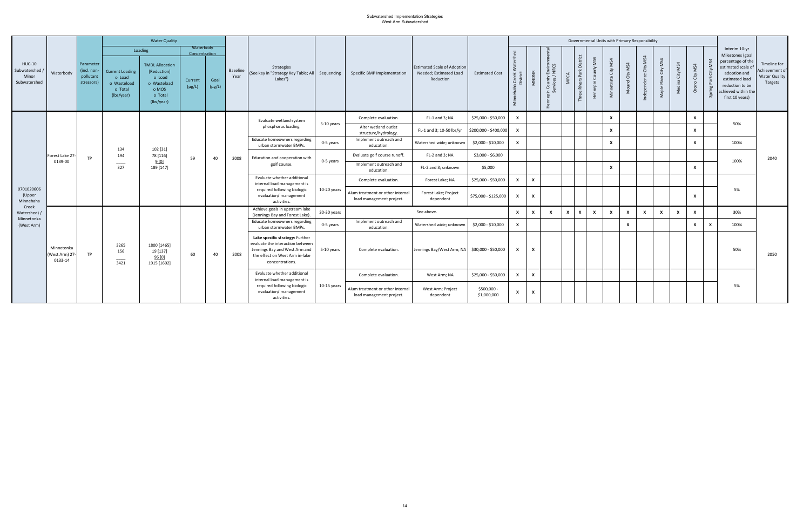Subwatershed Implementation StrategiesWest Arm Subwatershed

|                                                          |                                        |                                                     |                                                                          | <b>Water Quality</b>                                                                                        |                                                      |                     |                         |                                                                                                                                                           |               |                                                              |                                                                           |                            |                                  |                           |                          |                         |                                                                    |              |                                 | Governmental Units with Primary Responsibility |                      |                             |                  |                          |              |                                                                                                                                                                            |                                                                   |
|----------------------------------------------------------|----------------------------------------|-----------------------------------------------------|--------------------------------------------------------------------------|-------------------------------------------------------------------------------------------------------------|------------------------------------------------------|---------------------|-------------------------|-----------------------------------------------------------------------------------------------------------------------------------------------------------|---------------|--------------------------------------------------------------|---------------------------------------------------------------------------|----------------------------|----------------------------------|---------------------------|--------------------------|-------------------------|--------------------------------------------------------------------|--------------|---------------------------------|------------------------------------------------|----------------------|-----------------------------|------------------|--------------------------|--------------|----------------------------------------------------------------------------------------------------------------------------------------------------------------------------|-------------------------------------------------------------------|
| <b>HUC-10</b><br>ر subwatershed<br>Minor<br>Subwatershed | Waterbody                              | Parameter<br>(incl. non-<br>pollutant<br>stressors) | <b>Current Loading</b><br>o Load<br>o Wasteload<br>o Total<br>(Ibs/year) | Loading<br><b>TMDL Allocation</b><br>[Reduction]<br>o Load<br>o Wasteload<br>o MOS<br>o Total<br>(lbs/year) | Waterbody<br>Concentration<br>Current<br>$(\mu g/L)$ | Goal<br>$(\mu g/L)$ | <b>Baseline</b><br>Year | <b>Strategies</b><br>(See key in "Strategy Key Table; All<br>Lakes")                                                                                      | Sequencing    | Specific BMP Implementation                                  | <b>Estimated Scale of Adoption</b><br>Needed; Estimated Load<br>Reduction | <b>Estimated Cost</b>      | a Creek <sup>1</sup><br>District | MNDNR                     | ΕĖ<br>පි<br>$=$ $\alpha$ | ే<br>$\tilde{\epsilon}$ | District<br>$\div$<br>P <sub>a</sub><br>ِي.<br>$\bar{\alpha}$<br>் | ŠN<br>$\geq$ | N <sub>S</sub><br>City<br>rista | MS4<br>City<br>$\overline{2}$<br>$\frac{1}{2}$ | City MS4<br>$\omega$ | City MS4<br>$\ddot{\Sigma}$ | MS4<br>City<br>Σ | City MS4<br>$\circ$<br>ō |              | Interim 10-yr<br>Milestones (goal<br>percentage of the<br>estimated scale c<br>adoption and<br>estimated load<br>reduction to be<br>achieved within the<br>first 10 years) | Timeline for<br>Achievement of<br><b>Water Quality</b><br>Targets |
|                                                          |                                        |                                                     |                                                                          |                                                                                                             |                                                      |                     |                         | Evaluate wetland system                                                                                                                                   |               | Complete evaluation.                                         | FL-1 and 3; NA                                                            | \$25,000 - \$50,000        | X                                |                           |                          |                         |                                                                    |              | $\mathbf{x}$                    |                                                |                      |                             |                  | $\mathbf{x}$             |              |                                                                                                                                                                            |                                                                   |
|                                                          |                                        |                                                     |                                                                          |                                                                                                             |                                                      |                     |                         | phosphorus loading.                                                                                                                                       | 5-10 years    | Alter wetland outlet<br>structure/hydrology.                 | FL-1 and 3; 10-50 lbs/yr                                                  | \$200,000 - \$400,000      | $\mathbf{x}$                     |                           |                          |                         |                                                                    |              | $\mathbf{x}$                    |                                                |                      |                             |                  | $\boldsymbol{x}$         |              | 50%                                                                                                                                                                        |                                                                   |
|                                                          |                                        |                                                     |                                                                          |                                                                                                             |                                                      |                     |                         | Educate homeowners regarding<br>urban stormwater BMPs.                                                                                                    | 0-5 years     | Implement outreach and<br>education.                         | Watershed wide; unknown                                                   | \$2,000 - \$10,000         | $\mathbf{x}$                     |                           |                          |                         |                                                                    |              | $\mathbf{x}$                    |                                                |                      |                             |                  | $\mathbf{x}$             |              | 100%                                                                                                                                                                       |                                                                   |
|                                                          | Forest Lake 27<br>0139-00              | <b>TP</b>                                           | 134<br>194                                                               | 102 [31]<br>78 [116]<br>9[0]                                                                                | 59                                                   | 40                  | 2008                    | Education and cooperation with                                                                                                                            | 0-5 years     | Evaluate golf course runoff.                                 | FL-2 and 3; NA                                                            | \$3,000 - \$6,000          |                                  |                           |                          |                         |                                                                    |              |                                 |                                                |                      |                             |                  |                          |              | 100%                                                                                                                                                                       | 2040                                                              |
|                                                          |                                        |                                                     | $\hspace{1.5cm} \overbrace{\hspace{1.5cm} }$<br>327                      | 189 [147]                                                                                                   |                                                      |                     |                         | golf course.                                                                                                                                              |               | Implement outreach and<br>education.                         | FL-2 and 3; unknown                                                       | \$5,000                    |                                  |                           |                          |                         |                                                                    |              | $\mathbf{x}$                    |                                                |                      |                             |                  | $\mathsf{x}$             |              |                                                                                                                                                                            |                                                                   |
|                                                          |                                        |                                                     |                                                                          |                                                                                                             |                                                      |                     |                         | Evaluate whether additional<br>internal load management is                                                                                                |               | Complete evaluation.                                         | Forest Lake; NA                                                           | \$25,000 - \$50,000        | $\mathbf{x}$                     | $\mathbf{x}$              |                          |                         |                                                                    |              |                                 |                                                |                      |                             |                  |                          |              |                                                                                                                                                                            |                                                                   |
| 0701020606<br>(Upper<br>Minnehaha                        |                                        |                                                     |                                                                          |                                                                                                             |                                                      |                     |                         | required following biologic<br>evaluation/ management<br>activities.                                                                                      | 10-20 years   | Alum treatment or other internal<br>load management project. | Forest Lake; Project<br>dependent                                         | \$75,000 - \$125,000       | $\mathbf{x}$                     | $\mathbf{x}$              |                          |                         |                                                                    |              |                                 |                                                |                      |                             |                  | X                        |              | 5%                                                                                                                                                                         |                                                                   |
| Creek<br>Watershed) /                                    |                                        |                                                     |                                                                          |                                                                                                             |                                                      |                     |                         | Achieve goals in upstream lake<br>(Jennings Bay and Forest Lake).                                                                                         | 20-30 years   |                                                              | See above.                                                                |                            | $\mathbf{x}$                     | $\mathbf{x}$              | X                        | x                       | $\mathbf{x}$                                                       | $\mathbf{x}$ | $\mathbf{x}$                    | $\mathsf{x}$                                   | $\mathbf{x}$         | $\mathsf{x}$                | $\mathbf{x}$     | $\mathbf{x}$             |              | 30%                                                                                                                                                                        |                                                                   |
| Minnetonka<br>(West Arm)                                 |                                        |                                                     |                                                                          |                                                                                                             |                                                      |                     |                         | Educate homeowners regarding<br>urban stormwater BMPs.                                                                                                    | 0-5 years     | Implement outreach and<br>education.                         | Watershed wide; unknown                                                   | \$2,000 - \$10,000         | $\mathbf{x}$                     |                           |                          |                         |                                                                    |              |                                 | $\mathsf{x}$                                   |                      |                             |                  | $\mathbf{x}$             | $\mathbf{x}$ | 100%                                                                                                                                                                       |                                                                   |
|                                                          | Minnetonka<br>(West Arm) 27<br>0133-14 | <b>TP</b>                                           | 3265<br>156<br>$-\!-\!$<br>3421                                          | 1800 [1465]<br>19 [137]<br>96[0]<br>1915 [1602]                                                             | 60                                                   | 40                  | 2008                    | Lake specific strategy: Further<br>evaluate the interaction between<br>Jennings Bay and West Arm and<br>the effect on West Arm in-lake<br>concentrations. | 5-10 years    | Complete evaluation.                                         | Jennings Bay/West Arm; NA \$30,000 - \$50,000                             |                            | $\mathsf{x}$                     | $\mathbf{x}$              |                          |                         |                                                                    |              |                                 |                                                |                      |                             |                  |                          |              | 50%                                                                                                                                                                        | 2050                                                              |
|                                                          |                                        |                                                     |                                                                          |                                                                                                             |                                                      |                     |                         | Evaluate whether additional<br>internal load management is                                                                                                |               | Complete evaluation.                                         | West Arm; NA                                                              | \$25,000 - \$50,000        | $\mathbf{x}$                     | $\mathbf{x}$              |                          |                         |                                                                    |              |                                 |                                                |                      |                             |                  |                          |              |                                                                                                                                                                            |                                                                   |
|                                                          |                                        |                                                     |                                                                          |                                                                                                             |                                                      |                     |                         | required following biologic<br>evaluation/ management<br>activities.                                                                                      | $10-15$ years | Alum treatment or other internal<br>load management project. | West Arm; Project<br>dependent                                            | \$500,000 -<br>\$1,000,000 | $\mathbf{x}$                     | $\boldsymbol{\mathsf{x}}$ |                          |                         |                                                                    |              |                                 |                                                |                      |                             |                  |                          |              | 5%                                                                                                                                                                         |                                                                   |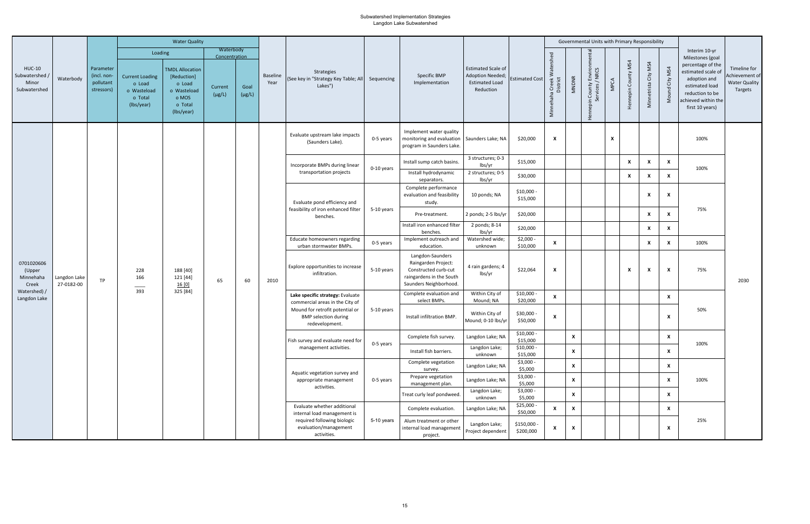|                                                        |                            |                                                     |                                                                          | <b>Water Quality</b>                                                                             |                            |                     |                         |                                                                                                                     |            |                                                                                                                       |                                                                                     |                          |                                       | Governmental Units with Primary Responsibility             |                           |                           |                         |                          |                                                                                                                                        |                                                                   |
|--------------------------------------------------------|----------------------------|-----------------------------------------------------|--------------------------------------------------------------------------|--------------------------------------------------------------------------------------------------|----------------------------|---------------------|-------------------------|---------------------------------------------------------------------------------------------------------------------|------------|-----------------------------------------------------------------------------------------------------------------------|-------------------------------------------------------------------------------------|--------------------------|---------------------------------------|------------------------------------------------------------|---------------------------|---------------------------|-------------------------|--------------------------|----------------------------------------------------------------------------------------------------------------------------------------|-------------------------------------------------------------------|
|                                                        |                            |                                                     | Loading                                                                  |                                                                                                  | Waterbody<br>Concentration |                     |                         |                                                                                                                     |            |                                                                                                                       |                                                                                     |                          | ਼ਾ                                    | ntal                                                       |                           |                           |                         |                          | Interim 10-yr<br>Milestones (goal                                                                                                      |                                                                   |
| <b>HUC-10</b><br>Subwatershed<br>Minor<br>Subwatershed | Waterbody                  | Parameter<br>(incl. non-<br>pollutant<br>stressors) | <b>Current Loading</b><br>o Load<br>o Wasteload<br>o Total<br>(lbs/year) | <b>TMDL Allocation</b><br>[Reduction]<br>o Load<br>o Wasteload<br>o MOS<br>o Total<br>(Ibs/year) | Current<br>$(\mu g/L)$     | Goal<br>$(\mu g/L)$ | <b>Baseline</b><br>Year | <b>Strategies</b><br>(See key in "Strategy Key Table; All<br>Lakes")                                                | Sequencing | Specific BMP<br>Implementation                                                                                        | <b>Estimated Scale of</b><br>Adoption Needed;<br><b>Estimated Load</b><br>Reduction | <b>Estimated Cost</b>    | $\geq$<br>a Creek \<br>District<br>in | Hennepin County Environ<br>Services / NRCS<br><b>MNDNR</b> | MPCA                      | County MS4<br>Hennepin    | City MS4<br>Minnetrista | <b>MS4</b><br>Mound City | percentage of the<br>estimated scale of<br>adoption and<br>estimated load<br>reduction to be<br>achieved within the<br>first 10 years) | Timeline for<br>Achievement of<br><b>Water Quality</b><br>Targets |
|                                                        |                            |                                                     |                                                                          |                                                                                                  |                            |                     |                         | Evaluate upstream lake impacts<br>(Saunders Lake).                                                                  | 0-5 years  | Implement water quality<br>monitoring and evaluation<br>program in Saunders Lake.                                     | Saunders Lake; NA                                                                   | \$20,000                 | $\boldsymbol{\mathsf{x}}$             |                                                            | $\boldsymbol{\mathsf{x}}$ |                           |                         |                          | 100%                                                                                                                                   |                                                                   |
|                                                        |                            |                                                     |                                                                          |                                                                                                  |                            |                     |                         | Incorporate BMPs during linear                                                                                      |            | Install sump catch basins.                                                                                            | 3 structures; 0-3<br>lbs/yr                                                         | \$15,000                 |                                       |                                                            |                           | $\boldsymbol{\mathsf{x}}$ | X                       | X                        |                                                                                                                                        |                                                                   |
|                                                        |                            |                                                     |                                                                          |                                                                                                  |                            |                     |                         | transportation projects                                                                                             | 0-10 years | Install hydrodynamic<br>separators.                                                                                   | 2 structures; 0-5<br>lbs/yr                                                         | \$30,000                 |                                       |                                                            |                           | $\mathbf{x}$              | X                       | X                        | 100%                                                                                                                                   |                                                                   |
|                                                        |                            |                                                     |                                                                          |                                                                                                  |                            |                     |                         | Evaluate pond efficiency and                                                                                        |            | Complete performance<br>evaluation and feasibility<br>study.                                                          | 10 ponds; NA                                                                        | \$10,000<br>\$15,000     |                                       |                                                            |                           |                           | X                       | X                        |                                                                                                                                        |                                                                   |
|                                                        |                            |                                                     |                                                                          |                                                                                                  |                            |                     |                         | feasibility of iron enhanced filter<br>benches.                                                                     | 5-10 years | Pre-treatment.                                                                                                        | 2 ponds; 2-5 lbs/yr                                                                 | \$20,000                 |                                       |                                                            |                           |                           | X                       | X                        | 75%                                                                                                                                    |                                                                   |
|                                                        |                            |                                                     |                                                                          |                                                                                                  |                            |                     |                         |                                                                                                                     |            | Install iron enhanced filter<br>benches.                                                                              | 2 ponds; 8-14<br>lbs/yr                                                             | \$20,000                 |                                       |                                                            |                           |                           | X                       | X                        |                                                                                                                                        |                                                                   |
|                                                        |                            |                                                     |                                                                          |                                                                                                  |                            |                     |                         | Educate homeowners regarding<br>urban stormwater BMPs.                                                              | 0-5 years  | Implement outreach and<br>education.                                                                                  | Watershed wide;<br>unknown                                                          | \$2,000<br>\$10,000      | X                                     |                                                            |                           |                           | X                       | X                        | 100%                                                                                                                                   |                                                                   |
| 0701020606<br>(Upper<br>Minnehaha<br>Creek             | Langdon Lake<br>27-0182-00 | TP                                                  | 228<br>166                                                               | 188 [40]<br>121 [44]<br>16[0]                                                                    | 65                         | 60                  | 2010                    | Explore opportunities to increase<br>infiltration.                                                                  | 5-10 years | Langdon-Saunders<br>Raingarden Project:<br>Constructed curb-cut<br>raingardens in the South<br>Saunders Neighborhood. | 4 rain gardens; 4<br>lbs/yr                                                         | \$22,064                 | $\boldsymbol{x}$                      |                                                            |                           | X                         | X                       | X                        | 75%                                                                                                                                    | 2030                                                              |
| Watershed) /<br>Langdon Lake                           |                            |                                                     | 393                                                                      | 325 [84]                                                                                         |                            |                     |                         | Lake specific strategy: Evaluate                                                                                    |            | Complete evaluation and<br>select BMPs.                                                                               | Within City of<br>Mound; NA                                                         | \$10,000<br>\$20,000     | X                                     |                                                            |                           |                           |                         | X                        |                                                                                                                                        |                                                                   |
|                                                        |                            |                                                     |                                                                          |                                                                                                  |                            |                     |                         | commercial areas in the City of<br>Mound for retrofit potential or<br><b>BMP</b> selection during<br>redevelopment. | 5-10 years | Install infiltration BMP.                                                                                             | Within City of<br>Mound; 0-10 lbs/yr                                                | \$30,000<br>\$50,000     | $\boldsymbol{\mathsf{x}}$             |                                                            |                           |                           |                         | X                        | 50%                                                                                                                                    |                                                                   |
|                                                        |                            |                                                     |                                                                          |                                                                                                  |                            |                     |                         | Fish survey and evaluate need for                                                                                   |            | Complete fish survey.                                                                                                 | Langdon Lake; NA                                                                    | \$10,000<br>\$15,000     |                                       | $\boldsymbol{\mathsf{x}}$                                  |                           |                           |                         | X                        | 100%                                                                                                                                   |                                                                   |
|                                                        |                            |                                                     |                                                                          |                                                                                                  |                            |                     |                         | management activities.                                                                                              | 0-5 years  | Install fish barriers.                                                                                                | Langdon Lake;<br>unknown                                                            | \$10,000 -<br>\$15,000   |                                       | $\boldsymbol{\mathsf{x}}$                                  |                           |                           |                         | X                        |                                                                                                                                        |                                                                   |
|                                                        |                            |                                                     |                                                                          |                                                                                                  |                            |                     |                         | Aquatic vegetation survey and                                                                                       |            | Complete vegetation<br>survey.                                                                                        | Langdon Lake; NA                                                                    | $$3,000 -$<br>\$5,000    |                                       | $\mathsf{x}$                                               |                           |                           |                         | X                        |                                                                                                                                        |                                                                   |
|                                                        |                            |                                                     |                                                                          |                                                                                                  |                            |                     |                         | appropriate management<br>activities.                                                                               | 0-5 years  | Prepare vegetation<br>management plan.                                                                                | Langdon Lake; NA                                                                    | \$3,000 -<br>\$5,000     |                                       | $\mathsf{x}$                                               |                           |                           |                         | x                        | 100%                                                                                                                                   |                                                                   |
|                                                        |                            |                                                     |                                                                          |                                                                                                  |                            |                     |                         |                                                                                                                     |            | Treat curly leaf pondweed.                                                                                            | Langdon Lake;<br>unknown                                                            | \$3,000<br>\$5,000       |                                       | $\mathsf{x}$                                               |                           |                           |                         | x                        |                                                                                                                                        |                                                                   |
|                                                        |                            |                                                     |                                                                          |                                                                                                  |                            |                     |                         | Evaluate whether additional<br>internal load management is                                                          |            | Complete evaluation.                                                                                                  | Langdon Lake; NA                                                                    | \$25,000 -<br>\$50,000   | $\mathsf{x}$                          | $\mathbf{x}$                                               |                           |                           |                         | X                        |                                                                                                                                        |                                                                   |
|                                                        |                            |                                                     |                                                                          |                                                                                                  |                            |                     |                         | required following biologic<br>evaluation/management<br>activities.                                                 | 5-10 years | Alum treatment or other<br>internal load management<br>project.                                                       | Langdon Lake;<br>Project dependent                                                  | \$150,000 -<br>\$200,000 | $\boldsymbol{\mathsf{x}}$             | $\boldsymbol{\mathsf{x}}$                                  |                           |                           |                         | X                        | 25%                                                                                                                                    |                                                                   |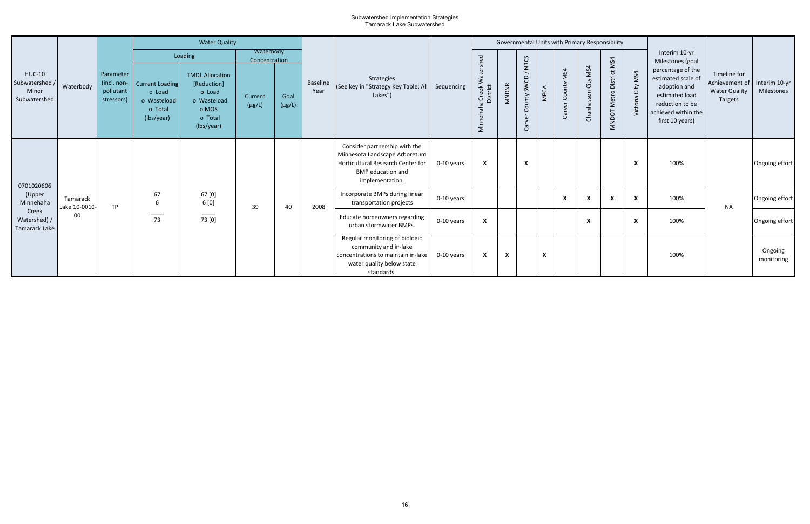|                                                          |                          |                                                     |                                                                          | <b>Water Quality</b>                                                                             |                            |                     |                  |                                                                                                                                                    |              |                                                           |                           |                  |                           |                             |                           | Governmental Units with Primary Responsibility |                                |                                                                                                                                        |                                                                                 |                       |
|----------------------------------------------------------|--------------------------|-----------------------------------------------------|--------------------------------------------------------------------------|--------------------------------------------------------------------------------------------------|----------------------------|---------------------|------------------|----------------------------------------------------------------------------------------------------------------------------------------------------|--------------|-----------------------------------------------------------|---------------------------|------------------|---------------------------|-----------------------------|---------------------------|------------------------------------------------|--------------------------------|----------------------------------------------------------------------------------------------------------------------------------------|---------------------------------------------------------------------------------|-----------------------|
|                                                          |                          |                                                     |                                                                          | Loading                                                                                          | Waterbody<br>Concentration |                     |                  |                                                                                                                                                    |              | P <sub>a</sub>                                            |                           | <b>NRCS</b>      |                           |                             |                           |                                                |                                | Interim 10-yr<br>Milestones (goal                                                                                                      |                                                                                 |                       |
| <b>HUC-10</b><br>Subwatershed /<br>Minor<br>Subwatershed | Waterbody                | Parameter<br>(incl. non-<br>pollutant<br>stressors) | <b>Current Loading</b><br>o Load<br>o Wasteload<br>o Total<br>(Ibs/year) | <b>TMDL Allocation</b><br>[Reduction]<br>o Load<br>o Wasteload<br>o MOS<br>o Total<br>(lbs/year) | Current<br>$(\mu g/L)$     | Goal<br>$(\mu g/L)$ | Baseline<br>Year | Strategies<br>(See key in "Strategy Key Table; All<br>Lakes")                                                                                      | Sequencing   | Wat<br>District<br>Creek <sup>1</sup><br>$\sum_{i=1}^{n}$ | <b>MNDNR</b>              | County SWCD<br>ී | <b>MPCA</b>               | MS4<br>hty<br><b>S</b><br>් | MS4<br>City<br>Chanhassen | Metro District MS4<br>MNDOT I                  | <b>MS4</b><br>City<br>Victoria | percentage of the<br>estimated scale of<br>adoption and<br>estimated load<br>reduction to be<br>achieved within the<br>first 10 years) | Timeline for<br>Achievement of Interim 10-yr<br><b>Water Quality</b><br>Targets | Milestones            |
| 0701020606                                               |                          |                                                     |                                                                          |                                                                                                  |                            |                     |                  | Consider partnership with the<br>Minnesota Landscape Arboretum<br>Horticultural Research Center for<br><b>BMP</b> education and<br>implementation. | 0-10 years   | $\boldsymbol{\mathsf{x}}$                                 |                           | X                |                           |                             |                           |                                                | X                              | 100%                                                                                                                                   |                                                                                 | Ongoing effort        |
| (Upper<br>Minnehaha                                      | Tamarack<br>Lake 10-0010 | <b>TP</b>                                           | 67                                                                       | 67 [0]<br>6 [0]                                                                                  | 39                         | 40                  | 2008             | Incorporate BMPs during linear<br>transportation projects                                                                                          | $0-10$ years |                                                           |                           |                  |                           | $\boldsymbol{\mathsf{x}}$   | X                         | $\boldsymbol{\mathsf{x}}$                      | X                              | 100%                                                                                                                                   | <b>NA</b>                                                                       | Ongoing effort        |
| Creek<br>Watershed) /<br>Tamarack Lake                   | $00\,$                   |                                                     | ———<br>73                                                                | 73 [0]                                                                                           |                            |                     |                  | Educate homeowners regarding<br>urban stormwater BMPs.                                                                                             | $0-10$ years | $\boldsymbol{\mathsf{x}}$                                 |                           |                  |                           |                             | X                         |                                                | X                              | 100%                                                                                                                                   |                                                                                 | Ongoing effort        |
|                                                          |                          |                                                     |                                                                          |                                                                                                  |                            |                     |                  | Regular monitoring of biologic<br>community and in-lake<br>concentrations to maintain in-lake<br>water quality below state<br>standards.           | 0-10 years   | $\pmb{\chi}$                                              | $\boldsymbol{\mathsf{x}}$ |                  | $\boldsymbol{\mathsf{x}}$ |                             |                           |                                                |                                | 100%                                                                                                                                   |                                                                                 | Ongoing<br>monitoring |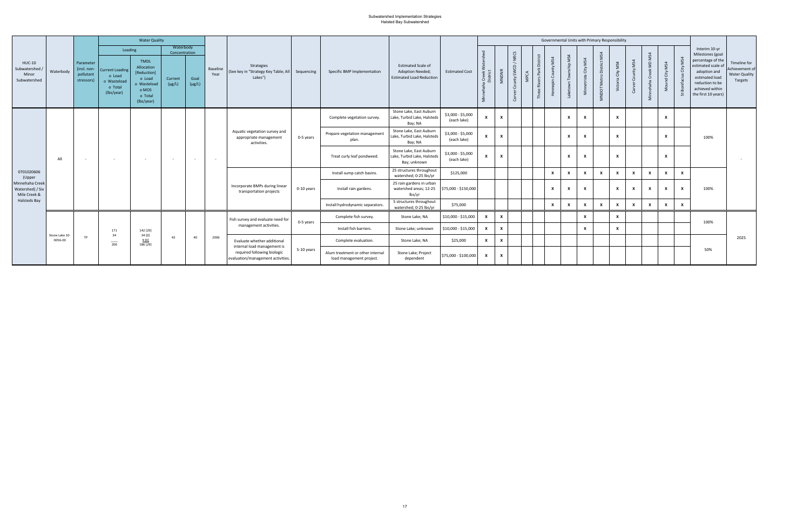Subwatershed Implementation Strategies Halsted Bay Subwatershed

|                                                        |                          |                                                     |                                                                          | <b>Water Quality</b>                                                                                       |                            |                     |                  |                                                                        |            |                                                              |                                                                                  |                                  |                     |                           |                                                                                                |          |              |                              |               |                                    | Governmental Units with Primary Responsibility |                             |              |               |              |                                                                                                                                       |                                                                   |
|--------------------------------------------------------|--------------------------|-----------------------------------------------------|--------------------------------------------------------------------------|------------------------------------------------------------------------------------------------------------|----------------------------|---------------------|------------------|------------------------------------------------------------------------|------------|--------------------------------------------------------------|----------------------------------------------------------------------------------|----------------------------------|---------------------|---------------------------|------------------------------------------------------------------------------------------------|----------|--------------|------------------------------|---------------|------------------------------------|------------------------------------------------|-----------------------------|--------------|---------------|--------------|---------------------------------------------------------------------------------------------------------------------------------------|-------------------------------------------------------------------|
|                                                        |                          |                                                     | Loading                                                                  |                                                                                                            | Waterbody<br>Concentration |                     |                  |                                                                        |            |                                                              |                                                                                  |                                  |                     |                           | S                                                                                              |          |              |                              |               |                                    |                                                |                             |              |               |              | Interim 10-yr<br>Milestones (goal                                                                                                     |                                                                   |
| <b>HUC-10</b><br>Subwatershed<br>Minor<br>Subwatershed | Waterbody                | Parameter<br>(incl. non-<br>pollutant<br>stressors) | <b>Current Loading</b><br>o Load<br>o Wasteload<br>o Total<br>(Ibs/year) | <b>TMDL</b><br><b>Allocation</b><br>[Reduction]<br>o Load<br>o Wasteload<br>o MOS<br>o Total<br>(lbs/year) | Current<br>$(\mu g/L)$     | Goal<br>$(\mu g/L)$ | Baseline<br>Year | Strategies<br>(See key in "Strategy Key Table; All<br>Lakes")          | Sequencing | Specific BMP Implementation                                  | <b>Estimated Scale of</b><br>Adoption Needed;<br><b>Estimated Load Reduction</b> | <b>Estimated Cost</b>            | a Creek<br>District | <b>MNDNR</b>              | <b>NBC</b><br>$\overline{\phantom{0}}$<br>$\mathsf{S}^{\mathsf{N}}$<br>ే<br>rty<br>Ī<br>$\cup$ | $\Omega$ | MS4<br>රි    | p MS4<br>۴<br>$\overline{c}$ | Σ<br>ο<br>sta | District MS4<br>oute<br>Σ<br>MNDOT | MS4<br>$\approx$<br>じ                          | MS4<br>$\gtrsim$<br>$\circ$ |              | MS4<br>ರ<br>š |              | percentage of the<br>estimated scale o<br>adoption and<br>estimated load<br>reduction to be<br>achieved within<br>the first 10 years) | Timeline for<br>Achievement of<br><b>Water Quality</b><br>Targets |
|                                                        |                          |                                                     |                                                                          |                                                                                                            |                            |                     |                  |                                                                        |            | Complete vegetation survey.                                  | Stone Lake, East Auburn<br>Lake, Turbid Lake, Halsteds<br>Bay; NA                | \$3,000 - \$5,000<br>(each lake) | X                   | $\mathbf{x}$              |                                                                                                |          |              | $\mathbf{x}$                 | X             |                                    | $\mathbf{x}$                                   |                             |              | $\mathbf{x}$  |              |                                                                                                                                       |                                                                   |
|                                                        |                          |                                                     |                                                                          |                                                                                                            |                            |                     |                  | Aquatic vegetation survey and<br>appropriate management<br>activities. | 0-5 years  | Prepare vegetation management<br>plan.                       | Stone Lake, East Auburn<br>Lake, Turbid Lake, Halsteds<br>Bay; NA                | \$3,000 - \$5,000<br>(each lake) | X                   | $\mathbf{x}$              |                                                                                                |          |              | x                            | X             |                                    | $\mathbf{x}$                                   |                             |              | $\mathbf{x}$  |              | 100%                                                                                                                                  |                                                                   |
|                                                        | All                      |                                                     | $\sim$                                                                   | $\sim$                                                                                                     | $\sim$ $-$                 | $\sim$              | $\sim$           |                                                                        |            | Treat curly leaf pondweed.                                   | Stone Lake, East Auburn<br>Lake, Turbid Lake, Halsteds<br>Bay; unknown           | \$3,000 - \$5,000<br>(each lake) | x                   | $\mathbf{x}$              |                                                                                                |          |              | $\mathbf{x}$                 | X             |                                    | $\mathbf{x}$                                   |                             |              | X             |              |                                                                                                                                       |                                                                   |
| 0701020606<br>(Upper                                   |                          |                                                     |                                                                          |                                                                                                            |                            |                     |                  |                                                                        |            | Install sump catch basins.                                   | 25 structures throughout<br>watershed; 0-25 lbs/yr                               | \$125,000                        |                     |                           |                                                                                                |          | $\mathbf{x}$ | X                            | X             | $\mathbf{x}$                       | $\mathbf{x}$                                   | $\mathbf{x}$                | $\mathbf{x}$ | $\mathbf{x}$  | $\mathbf{x}$ |                                                                                                                                       |                                                                   |
| Minnehaha Creek<br>Watershed) / Six<br>Mile Creek &    |                          |                                                     |                                                                          |                                                                                                            |                            |                     |                  | Incorporate BMPs during linear<br>transportation projects              | 0-10 years | Install rain gardens.                                        | 25 rain gardens in urban<br>watershed areas; 12-25<br>lbs/yr                     | \$75,000 - \$150,000             |                     |                           |                                                                                                |          | $\mathbf{x}$ | X                            | X             |                                    | $\mathbf{x}$                                   | $\mathbf{x}$                | X            | $\mathbf{x}$  | $\mathbf{x}$ | 100%                                                                                                                                  |                                                                   |
| <b>Halsteds Bay</b>                                    |                          |                                                     |                                                                          |                                                                                                            |                            |                     |                  |                                                                        |            | Install hydrodynamic separators.                             | 5 structures throughout<br>watershed; 0-25 lbs/yr                                | \$75,000                         |                     |                           |                                                                                                |          | $\mathbf{x}$ | $\mathbf{x}$                 | X             | $\mathbf{x}$                       | $\mathbf{x}$                                   | $\mathbf{x}$                | x            | $\mathbf{x}$  | $\mathbf{x}$ |                                                                                                                                       |                                                                   |
|                                                        |                          |                                                     |                                                                          |                                                                                                            |                            |                     |                  | Fish survey and evaluate need for                                      | 0-5 years  | Complete fish survey.                                        | Stone Lake; NA                                                                   | \$10,000 - \$15,000              | X                   | $\mathbf{x}$              |                                                                                                |          |              |                              | $\mathbf{x}$  |                                    | $\mathbf{x}$                                   |                             |              |               |              | 100%                                                                                                                                  |                                                                   |
|                                                        |                          |                                                     | 171                                                                      | 142 [29]                                                                                                   |                            |                     |                  | management activities.                                                 |            | Install fish barriers.                                       | Stone Lake; unknown                                                              | \$10,000 - \$15,000              | X                   | $\mathbf{x}$              |                                                                                                |          |              |                              | $\mathbf{x}$  |                                    | $\mathbf{x}$                                   |                             |              |               |              |                                                                                                                                       |                                                                   |
|                                                        | Stone Lake 10<br>0056-00 | <b>TP</b>                                           | 34<br>$\hspace{0.05cm}$<br>206                                           | 34 [0]<br>9[0]<br>186 [29]                                                                                 | 43                         | 40                  | 2006             | Evaluate whether additional<br>internal load management is             |            | Complete evaluation.                                         | Stone Lake; NA                                                                   | \$25,000                         | X                   | $\boldsymbol{\mathsf{x}}$ |                                                                                                |          |              |                              |               |                                    |                                                |                             |              |               |              |                                                                                                                                       | 2025                                                              |
|                                                        |                          |                                                     |                                                                          |                                                                                                            |                            |                     |                  | required following biologic<br>evaluation/management activities.       | 5-10 years | Alum treatment or other internal<br>load management project. | Stone Lake; Project<br>dependent                                                 | \$75,000 - \$100,000             | X                   | $\mathbf{x}$              |                                                                                                |          |              |                              |               |                                    |                                                |                             |              |               |              | 50%                                                                                                                                   |                                                                   |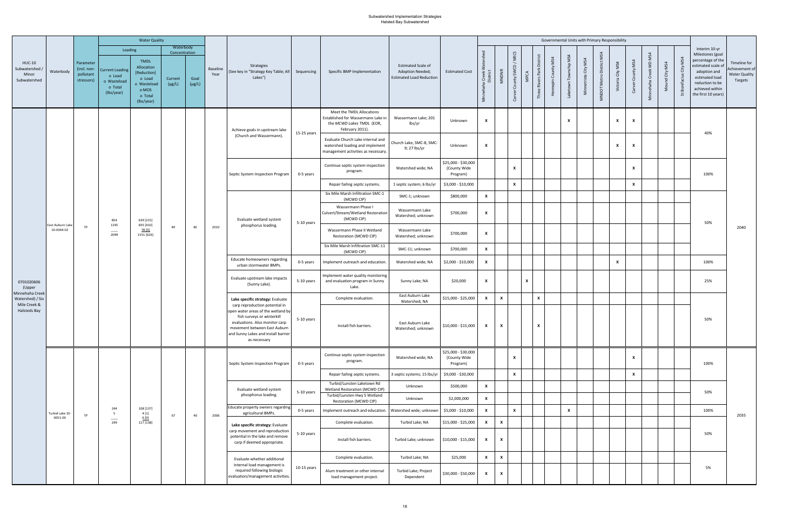## Subwatershed Implementation Strategies Halsted Bay Subwatershed

|                                                          |                                |                                                     |                                                                          | <b>Water Quality</b>                                                                                |                            |                     |                  |                                                                                                                                                                                                                             |               |                                                                                                                |                                                                                  |                                                 |                     |              |                                 |                           |                           |               |                                       |                                |                                 | Governmental Units with Primary Responsibility |                           |                      |                                               |   |                                                                                                                                       |                                                                   |
|----------------------------------------------------------|--------------------------------|-----------------------------------------------------|--------------------------------------------------------------------------|-----------------------------------------------------------------------------------------------------|----------------------------|---------------------|------------------|-----------------------------------------------------------------------------------------------------------------------------------------------------------------------------------------------------------------------------|---------------|----------------------------------------------------------------------------------------------------------------|----------------------------------------------------------------------------------|-------------------------------------------------|---------------------|--------------|---------------------------------|---------------------------|---------------------------|---------------|---------------------------------------|--------------------------------|---------------------------------|------------------------------------------------|---------------------------|----------------------|-----------------------------------------------|---|---------------------------------------------------------------------------------------------------------------------------------------|-------------------------------------------------------------------|
|                                                          |                                |                                                     | Loading                                                                  |                                                                                                     | Waterbody<br>Concentration |                     |                  |                                                                                                                                                                                                                             |               |                                                                                                                |                                                                                  |                                                 |                     |              |                                 |                           |                           |               |                                       |                                |                                 |                                                |                           |                      |                                               |   | Interim 10-yr<br>Milestones (goal                                                                                                     |                                                                   |
| <b>HUC-10</b><br>Subwatershed /<br>Minor<br>Subwatershed | Waterbody                      | Parameter<br>(incl. non-<br>pollutant<br>stressors) | <b>Current Loading</b><br>o Load<br>o Wasteload<br>o Total<br>(lbs/year) | <b>TMDL</b><br>Allocation<br>[Reduction]<br>o Load<br>o Wasteload<br>o MOS<br>o Total<br>(lbs/year) | Current<br>$(\mu g/L)$     | Goal<br>$(\mu g/L)$ | Baseline<br>Year | Strategies<br>See key in "Strategy Key Table; All<br>Lakes")                                                                                                                                                                | Sequencing    | Specific BMP Implementation                                                                                    | <b>Estimated Scale of</b><br>Adoption Needed;<br><b>Estimated Load Reduction</b> | <b>Estimated Cost</b>                           | a Creek<br>District | <b>MNDNR</b> | / NRCS<br>County SWCD<br>Carver | <b>MPCA</b>               | $\Omega$<br>å<br>ers<br>宧 | MS4<br>ξ<br>ප | MS4<br>$\Omega$<br>$\frac{1}{2}$<br>흐 | <b>NSN</b><br>City<br>sta<br>Σ | ict MS4<br>Metro Distr<br>MNDOT | MS4<br>ō<br>ത                                  | පි<br>ت                   | $\sqrt{2}$<br>$\cup$ | City MS4<br>$\overline{\sigma}$<br>$\epsilon$ | ぉ | percentage of the<br>estimated scale c<br>adoption and<br>estimated load<br>reduction to be<br>achieved within<br>the first 10 years) | Timeline for<br>Achievement of<br><b>Water Quality</b><br>Targets |
|                                                          |                                |                                                     |                                                                          |                                                                                                     |                            |                     |                  | Achieve goals in upstream lake                                                                                                                                                                                              | 15-25 years   | Meet the TMDL Allocations<br>Established for Wassermann Lake i<br>the MCWD Lakes TMDL (EOR,<br>February 2011). | Wassermann Lake; 201<br>lbs/yr                                                   | Unknown                                         | X                   |              |                                 |                           |                           |               | $\mathbf{x}$                          |                                |                                 | $\mathbf{x}$                                   | $\boldsymbol{\mathsf{x}}$ |                      |                                               |   | 40%                                                                                                                                   |                                                                   |
|                                                          |                                |                                                     |                                                                          |                                                                                                     |                            |                     |                  | (Church and Wassermann).                                                                                                                                                                                                    |               | Evaluate Church Lake internal and<br>watershed loading and implement<br>management activities as necessary     | Church Lake, SMC-8, SMC-<br>9; 27 lbs/yr                                         | Unknown                                         | X                   |              |                                 |                           |                           |               |                                       |                                |                                 | $\mathbf{x}$                                   | $\mathbf{x}$              |                      |                                               |   |                                                                                                                                       |                                                                   |
|                                                          |                                |                                                     |                                                                          |                                                                                                     |                            |                     |                  | Septic System Inspection Program                                                                                                                                                                                            | 0-5 years     | Continue septic system inspection<br>program.                                                                  | Watershed wide; NA                                                               | \$25,000 - \$30,000<br>(County Wide<br>Program) |                     |              | X                               |                           |                           |               |                                       |                                |                                 |                                                | $\mathbf{x}$              |                      |                                               |   | 100%                                                                                                                                  |                                                                   |
|                                                          |                                |                                                     |                                                                          |                                                                                                     |                            |                     |                  |                                                                                                                                                                                                                             |               | Repair failing septic systems.                                                                                 | 1 septic system; 6 lbs/yr                                                        | \$3,000 - \$10,000                              |                     |              | $\mathbf{x}$                    |                           |                           |               |                                       |                                |                                 |                                                | $\mathbf{x}$              |                      |                                               |   |                                                                                                                                       |                                                                   |
|                                                          |                                |                                                     |                                                                          |                                                                                                     |                            |                     |                  |                                                                                                                                                                                                                             |               | Six Mile Marsh Infiltration SMC-1<br>(MCWD CIP)                                                                | SMC-1; unknown                                                                   | \$800,000                                       | X                   |              |                                 |                           |                           |               |                                       |                                |                                 |                                                |                           |                      |                                               |   |                                                                                                                                       |                                                                   |
|                                                          |                                |                                                     | 854                                                                      | 639 [215]                                                                                           |                            |                     |                  | Evaluate wetland system                                                                                                                                                                                                     | 5-10 years    | Wassermann Phase I<br>Culvert/Stream/Wetland Restoration<br>(MCWD CIP)                                         | Wassermann Lake<br>Watershed; unknown                                            | \$700,000                                       | X                   |              |                                 |                           |                           |               |                                       |                                |                                 |                                                |                           |                      |                                               |   | 50%                                                                                                                                   |                                                                   |
|                                                          | :ast Auburn Lake<br>10-0044-02 | TP                                                  | 1245<br>$\overbrace{\hspace{25mm}}^{}$<br>2099                           | 835 [410]<br>78 [0]<br>1551 [626]                                                                   | 49                         | 40                  | 2010             | phosphorus loading.                                                                                                                                                                                                         |               | Wassermann Phase II Wetland<br>Restoration (MCWD CIP)                                                          | Wassermann Lake<br>Watershed; unknown                                            | \$700,000                                       | X                   |              |                                 |                           |                           |               |                                       |                                |                                 |                                                |                           |                      |                                               |   |                                                                                                                                       | 2040                                                              |
|                                                          |                                |                                                     |                                                                          |                                                                                                     |                            |                     |                  |                                                                                                                                                                                                                             |               | Six Mile Marsh Infiltration SMC-11<br>(MCWD CIP)                                                               | SMC-11; unknown                                                                  | \$700,000                                       | X                   |              |                                 |                           |                           |               |                                       |                                |                                 |                                                |                           |                      |                                               |   |                                                                                                                                       |                                                                   |
|                                                          |                                |                                                     |                                                                          |                                                                                                     |                            |                     |                  | Educate homeowners regarding<br>urban stormwater BMPs.                                                                                                                                                                      | 0-5 years     | Implement outreach and education.                                                                              | Watershed wide; NA                                                               | \$2,000 - \$10,000                              | $\mathbf{x}$        |              |                                 |                           |                           |               |                                       |                                |                                 | $\mathbf{x}$                                   |                           |                      |                                               |   | 100%                                                                                                                                  |                                                                   |
| 0701020606<br>(Upper                                     |                                |                                                     |                                                                          |                                                                                                     |                            |                     |                  | Evaluate upstream lake impacts<br>(Sunny Lake).                                                                                                                                                                             | 5-10 years    | Implement water quality monitoring<br>and evaluation program in Sunny<br>Lake.                                 | Sunny Lake; NA                                                                   | \$20,000                                        | X                   |              |                                 | $\boldsymbol{\mathsf{x}}$ |                           |               |                                       |                                |                                 |                                                |                           |                      |                                               |   | 25%                                                                                                                                   |                                                                   |
| Minnehaha Creek<br>Watershed) / Six                      |                                |                                                     |                                                                          |                                                                                                     |                            |                     |                  | Lake specific strategy: Evaluate                                                                                                                                                                                            |               | Complete evaluation.                                                                                           | East Auburn Lake<br>Watershed; NA                                                | \$15,000 - \$25,000                             | X                   | $\mathbf{x}$ |                                 |                           | $\mathbf{x}$              |               |                                       |                                |                                 |                                                |                           |                      |                                               |   |                                                                                                                                       |                                                                   |
| Mile Creek &<br>Halsteds Bay                             |                                |                                                     |                                                                          |                                                                                                     |                            |                     |                  | carp reproduction potential in<br>open water areas of the wetland by<br>fish surveys or winterkill<br>evaluations. Also monitor carp<br>movement between East Auburn<br>and Sunny Lakes and install barrier<br>as necessary | 5-10 years    | Install fish barriers.                                                                                         | East Auburn Lake<br>Watershed; unknown                                           | \$10,000 - \$15,000                             | X                   | $\mathbf{x}$ |                                 |                           | $\mathbf{x}$              |               |                                       |                                |                                 |                                                |                           |                      |                                               |   | 50%                                                                                                                                   |                                                                   |
|                                                          |                                |                                                     |                                                                          |                                                                                                     |                            |                     |                  | Septic System Inspection Program                                                                                                                                                                                            | 0-5 years     | Continue septic system inspection<br>program.                                                                  | Watershed wide; NA                                                               | \$25,000 - \$30,000<br>(County Wide<br>Program) |                     |              | $\mathbf{x}$                    |                           |                           |               |                                       |                                |                                 |                                                | $\mathbf{x}$              |                      |                                               |   | 100%                                                                                                                                  |                                                                   |
|                                                          |                                |                                                     |                                                                          |                                                                                                     |                            |                     |                  |                                                                                                                                                                                                                             |               | Repair failing septic systems.                                                                                 | 3 septic systems; 15 lbs/yr                                                      | \$9,000 - \$30,000                              |                     |              | $\mathbf{x}$                    |                           |                           |               |                                       |                                |                                 |                                                | $\mathbf{x}$              |                      |                                               |   |                                                                                                                                       |                                                                   |
|                                                          |                                |                                                     |                                                                          |                                                                                                     |                            |                     |                  | Evaluate wetland system                                                                                                                                                                                                     | 5-10 years    | Turbid/Lunsten Laketown Rd<br>Wetland Restoration (MCWD CIP)                                                   | Unknown                                                                          | \$500,000                                       | $\mathbf{x}$        |              |                                 |                           |                           |               |                                       |                                |                                 |                                                |                           |                      |                                               |   | 50%                                                                                                                                   |                                                                   |
|                                                          |                                |                                                     |                                                                          |                                                                                                     |                            |                     |                  | phosphorus loading.                                                                                                                                                                                                         |               | Turbid/Lunsten Hwy 5 Wetland<br>Restoration (MCWD CIP)                                                         | Unknown                                                                          | \$2,000,000                                     | X                   |              |                                 |                           |                           |               |                                       |                                |                                 |                                                |                           |                      |                                               |   |                                                                                                                                       |                                                                   |
|                                                          | Turbid Lake 10-                | TP                                                  | 244<br>5                                                                 | 108 [137]<br>4 [1]                                                                                  | 67                         | 40                  | 2006             | Educate property owners regarding<br>agricultural BMPs.                                                                                                                                                                     | 0-5 years     | Implement outreach and education.                                                                              | Watershed wide; unknown                                                          | \$5,000 - \$10,000                              | X                   |              | $\mathbf{x}$                    |                           |                           |               | $\mathbf{x}$                          |                                |                                 |                                                |                           |                      |                                               |   | 100%                                                                                                                                  | 2035                                                              |
|                                                          | 0051-00                        |                                                     | $\overline{249}$                                                         | 6[0]<br>117 [138]                                                                                   |                            |                     |                  | Lake specific strategy: Evaluate                                                                                                                                                                                            |               | Complete evaluation.                                                                                           | Turbid Lake; NA                                                                  | \$15,000 - \$25,000                             | $\mathbf{x}$        | $\mathbf{x}$ |                                 |                           |                           |               |                                       |                                |                                 |                                                |                           |                      |                                               |   |                                                                                                                                       |                                                                   |
|                                                          |                                |                                                     |                                                                          |                                                                                                     |                            |                     |                  | carp movement and reproduction<br>potential in the lake and remove<br>carp if deemed appropriate.                                                                                                                           | 5-10 years    | Install fish barriers.                                                                                         | Turbid Lake; unknown                                                             | \$10,000 - \$15,000                             | X                   | $\mathbf{x}$ |                                 |                           |                           |               |                                       |                                |                                 |                                                |                           |                      |                                               |   | 50%                                                                                                                                   |                                                                   |
|                                                          |                                |                                                     |                                                                          |                                                                                                     |                            |                     |                  | Evaluate whether additional                                                                                                                                                                                                 |               | Complete evaluation.                                                                                           | Turbid Lake; NA                                                                  | \$25,000                                        | $\mathbf{x}$        | $\mathbf{x}$ |                                 |                           |                           |               |                                       |                                |                                 |                                                |                           |                      |                                               |   |                                                                                                                                       |                                                                   |
|                                                          |                                |                                                     |                                                                          |                                                                                                     |                            |                     |                  | internal load management is<br>required following biologic<br>evaluation/management activities.                                                                                                                             | $10-15$ years | Alum treatment or other internal<br>load management project.                                                   | Turbid Lake; Project<br>Dependent                                                | \$30,000 - \$50,000                             | X                   | $\mathbf{x}$ |                                 |                           |                           |               |                                       |                                |                                 |                                                |                           |                      |                                               |   | 5%                                                                                                                                    |                                                                   |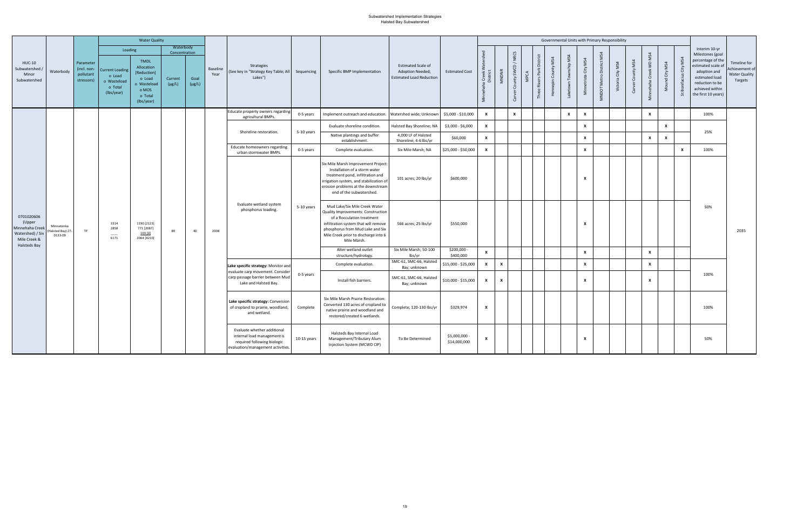## Subwatershed Implementation Strategies Halsted Bay Subwatershed

|                                                                            |                                          | Parameter<br>(incl. non-<br>pollutant<br>stressors) | <b>Water Quality</b>                                             |                                                                                                     |                        |                     |                         |                                                                                                                                |               |                                                                                                                                                                                                                                       |                                                                                         |                                                                                               | Governmental Units with Primary Responsibility |                                                         |                                         |                     |                           |                              |              |                                          |                           |                       |                                                    |                                |                                   |                                                                                                                                        |                                                                   |  |  |      |  |
|----------------------------------------------------------------------------|------------------------------------------|-----------------------------------------------------|------------------------------------------------------------------|-----------------------------------------------------------------------------------------------------|------------------------|---------------------|-------------------------|--------------------------------------------------------------------------------------------------------------------------------|---------------|---------------------------------------------------------------------------------------------------------------------------------------------------------------------------------------------------------------------------------------|-----------------------------------------------------------------------------------------|-----------------------------------------------------------------------------------------------|------------------------------------------------|---------------------------------------------------------|-----------------------------------------|---------------------|---------------------------|------------------------------|--------------|------------------------------------------|---------------------------|-----------------------|----------------------------------------------------|--------------------------------|-----------------------------------|----------------------------------------------------------------------------------------------------------------------------------------|-------------------------------------------------------------------|--|--|------|--|
| <b>HUC-10</b><br>Subwatershed /<br>Minor<br>Subwatershed                   |                                          |                                                     | Waterbody<br>Loading<br>Concentration                            |                                                                                                     |                        |                     |                         |                                                                                                                                |               |                                                                                                                                                                                                                                       |                                                                                         |                                                                                               |                                                |                                                         |                                         |                     |                           |                              |              |                                          |                           |                       |                                                    |                                | Interim 10-yr<br>Milestones (goal |                                                                                                                                        |                                                                   |  |  |      |  |
|                                                                            | Waterbody                                |                                                     | Current Loadin<br>o Load<br>o Wasteload<br>o Total<br>(lbs/year) | <b>TMDL</b><br>Allocation<br>[Reduction]<br>o Load<br>o Wasteload<br>o MOS<br>o Total<br>(lbs/year) | Current<br>$(\mu g/L)$ | Goal<br>$(\mu g/L)$ | <b>Baseline</b><br>Year | Strategies<br>(See key in "Strategy Key Table; All<br>Lakes")                                                                  | Sequencing    | Specific BMP Implementation                                                                                                                                                                                                           | <b>Estimated Scale of</b><br><b>Adoption Needed;</b><br><b>Estimated Load Reduction</b> | <b>Estimated Cost</b>                                                                         | ia Creek<br>District                           | <b>NRCS</b><br>unty SWCD<br><b>MNDNR</b><br>Š<br>Carver | G<br>$\epsilon$                         | ă<br>Three          | MS4<br>ē<br>$\frac{6}{5}$ | MS4<br>≘<br>ਰਿੰ<br>Ter       | MS4          | MS4<br><b>District</b><br>Metro<br>MNDOT | MS4<br>City<br>toria<br>Š | MS4<br>nty<br>පි<br>Ğ | MS4<br>$\mathsf{S}$<br>$\tilde{=}$<br>95<br>$\geq$ | MS4<br>City<br>고<br>$\epsilon$ | Σ<br>៊<br>ದ                       | percentage of the<br>estimated scale of<br>adoption and<br>estimated load<br>reduction to be<br>achieved within<br>the first 10 years) | Timeline for<br>Achievement of<br><b>Water Quality</b><br>Targets |  |  |      |  |
|                                                                            |                                          |                                                     |                                                                  |                                                                                                     |                        |                     |                         | Educate property owners regarding<br>agricultural BMPs.                                                                        | 0-5 years     | mplement outreach and education.                                                                                                                                                                                                      | Watershed wide; Unknown                                                                 | \$5,000 - \$10,000                                                                            | $\mathbf{x}$                                   | $\mathbf{x}$                                            |                                         |                     |                           | $\mathbf{x}$<br>$\mathbf{x}$ |              |                                          |                           |                       | $\mathbf{x}$                                       |                                |                                   | 100%                                                                                                                                   |                                                                   |  |  |      |  |
|                                                                            |                                          |                                                     |                                                                  |                                                                                                     |                        |                     |                         |                                                                                                                                |               | Evaluate shoreline condition.                                                                                                                                                                                                         | Halsted Bay Shoreline; NA                                                               | \$3,000 - \$6,000                                                                             | $\mathbf{x}$                                   |                                                         |                                         |                     |                           |                              | $\mathbf{x}$ |                                          |                           |                       |                                                    | $\mathbf{x}$                   |                                   |                                                                                                                                        |                                                                   |  |  |      |  |
| 0701020606<br>(Upper<br>Ainnehaha Cree<br>Watershed) / Six<br>Mile Creek & |                                          |                                                     |                                                                  |                                                                                                     |                        |                     |                         | Shoreline restoration.                                                                                                         | 5-10 years    | Native plantings and buffer<br>establishment.                                                                                                                                                                                         | 4,000 LF of Halsted<br>Shoreline; 4-6 lbs/yr                                            | \$60,000                                                                                      | $\mathbf{x}$                                   |                                                         |                                         |                     |                           | $\mathbf{x}$                 |              |                                          |                           |                       | $\mathbf{x}$                                       | $\mathbf{x}$                   |                                   | 25%                                                                                                                                    |                                                                   |  |  |      |  |
|                                                                            |                                          |                                                     |                                                                  |                                                                                                     |                        |                     |                         | Educate homeowners regarding<br>urban stormwater BMPs.                                                                         | 0-5 years     | Complete evaluation.                                                                                                                                                                                                                  | Six Mile Marsh; NA                                                                      | \$25,000 - \$50,000                                                                           | $\mathbf{x}$                                   |                                                         |                                         |                     |                           |                              | $\mathbf{x}$ |                                          |                           |                       |                                                    |                                | $\mathbf{x}$                      | 100%                                                                                                                                   |                                                                   |  |  |      |  |
|                                                                            | Minnetonka<br>Halsted Bay) 27<br>0133-09 | TP                                                  |                                                                  |                                                                                                     |                        |                     |                         |                                                                                                                                |               | Six Mile Marsh Improvement Project:<br>Installation of a storm water<br>treatment pond, infiltration and<br>irrigation system, and stabilization of<br>erosion problems at the downstream<br>end of the subwatershed.                 | 101 acres; 20 lbs/yr                                                                    | \$600,000                                                                                     |                                                |                                                         |                                         |                     |                           | $\mathbf{x}$                 |              |                                          |                           |                       |                                                    |                                |                                   |                                                                                                                                        |                                                                   |  |  |      |  |
|                                                                            |                                          |                                                     | 3314<br>2858<br>6171                                             | 1190 [2123]<br>771 [2087]<br>103[0]<br>2064 [4210]                                                  | 89                     | 40                  | 2008                    | Evaluate wetland system<br>phosphorus loading.                                                                                 | 5-10 years    | Mud Lake/Six Mile Creek Water<br>Quality Improvements: Construction<br>of a flocculation treatment<br>infiltration system that will remove<br>phosphorus from Mud Lake and Six<br>Mile Creek prior to discharge into 6<br>Mile Marsh. | 566 acres; 25 lbs/yr                                                                    | \$550,000                                                                                     |                                                |                                                         |                                         |                     |                           | $\mathbf{x}$                 |              |                                          |                           |                       |                                                    |                                |                                   | 50%                                                                                                                                    | 2035                                                              |  |  |      |  |
| Halsteds Bay                                                               |                                          |                                                     |                                                                  |                                                                                                     |                        |                     |                         |                                                                                                                                |               |                                                                                                                                                                                                                                       | Alter wetland outlet<br>structure/hydrology.                                            | Six Mile Marsh; 50-100<br>lbs/yr                                                              | \$200,000<br>\$400,000                         | $\mathbf{x}$                                            |                                         |                     |                           |                              |              | $\mathbf{x}$                             |                           |                       |                                                    | $\mathbf{x}$                   |                                   |                                                                                                                                        |                                                                   |  |  |      |  |
|                                                                            |                                          |                                                     |                                                                  |                                                                                                     |                        |                     |                         | Lake specific strategy: Monitor and                                                                                            |               | Complete evaluation.                                                                                                                                                                                                                  | SMC-61, SMC-66, Halsted<br>Bay; unknown                                                 | \$15,000 - \$25,000                                                                           | $\mathbf{x}$                                   | $\mathbf{x}$                                            |                                         |                     |                           |                              | $\mathbf{x}$ |                                          |                           |                       | $\mathbf{x}$                                       |                                |                                   |                                                                                                                                        |                                                                   |  |  |      |  |
|                                                                            |                                          |                                                     |                                                                  |                                                                                                     |                        |                     |                         |                                                                                                                                |               |                                                                                                                                                                                                                                       |                                                                                         | evaluate carp movement. Consider<br>carp passage barrier between Mud<br>Lake and Halsted Bay. | 0-5 years                                      | Install fish barriers.                                  | SMC-61, SMC-66, Halsted<br>Bay; unknown | \$10,000 - \$15,000 | $\mathbf{x}$              | $\mathbf{x}$                 |              |                                          |                           |                       | $\mathbf{x}$                                       |                                |                                   |                                                                                                                                        | $\mathbf{x}$                                                      |  |  | 100% |  |
|                                                                            |                                          |                                                     |                                                                  |                                                                                                     |                        |                     |                         | Lake specific strategy: Conversion<br>of cropland to prairie, woodland,<br>and wetland.                                        | Complete      | Six Mile Marsh Prairie Restoration:<br>Converted 130 acres of cropland to<br>native prairie and woodland and<br>restored/created 6 wetlands.                                                                                          | Complete; 120-130 lbs/yr                                                                | \$329,974                                                                                     | $\mathbf{x}$                                   |                                                         |                                         |                     |                           |                              |              |                                          |                           |                       |                                                    |                                |                                   | 100%                                                                                                                                   |                                                                   |  |  |      |  |
|                                                                            |                                          |                                                     |                                                                  |                                                                                                     |                        |                     |                         | Evaluate whether additional<br>internal load management is<br>required following biologic<br>evaluation/management activities. | $10-15$ years | Halsteds Bay Internal Load<br>Management/Tributary Alum<br>Injection System (MCWD CIP)                                                                                                                                                | To Be Determined                                                                        | \$5,000,000<br>\$14,000,000                                                                   | X                                              |                                                         |                                         |                     |                           | $\mathbf{x}$                 |              |                                          |                           |                       |                                                    |                                |                                   | 50%                                                                                                                                    |                                                                   |  |  |      |  |